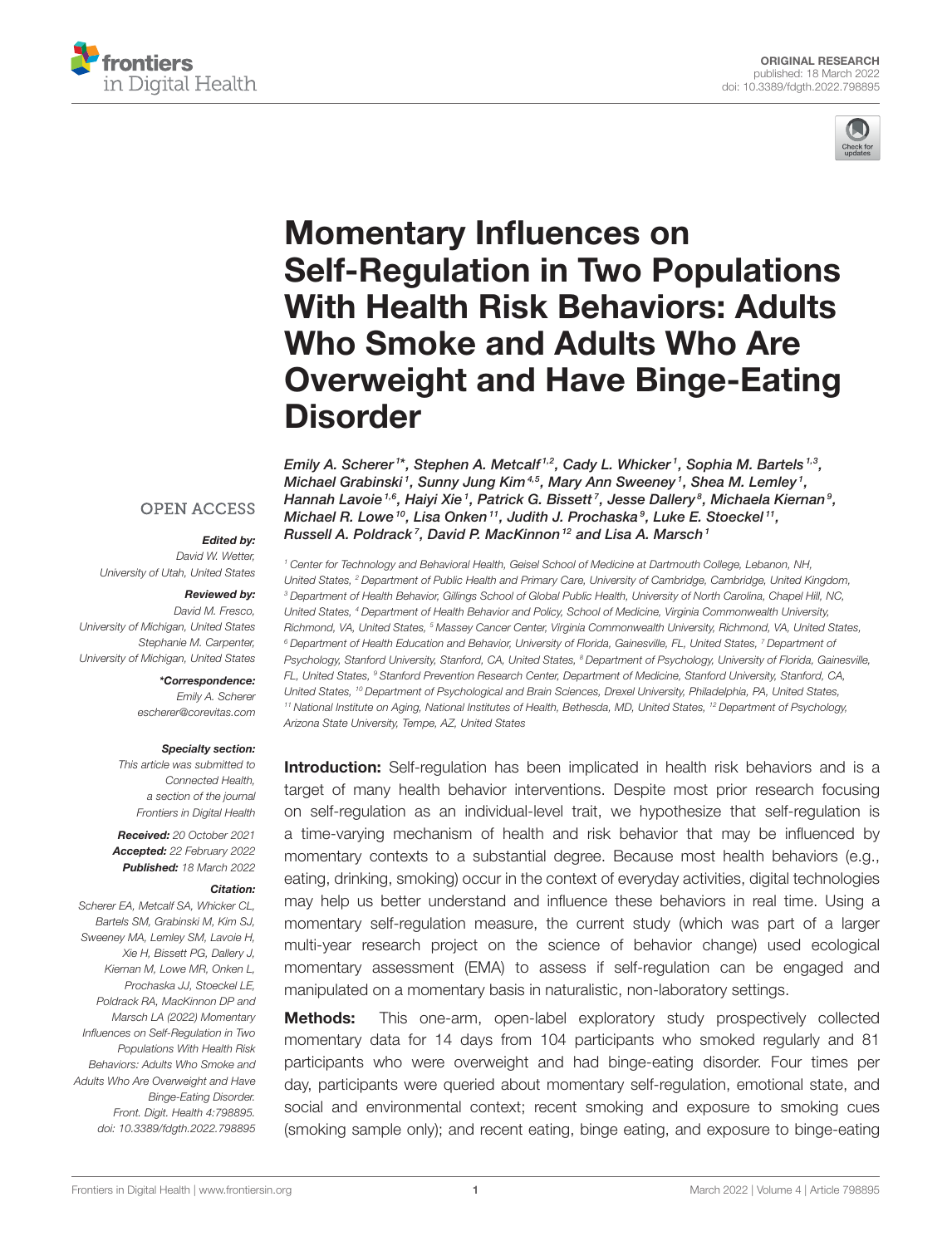



# Momentary Influences on Self-Regulation in Two Populations With Health Risk Behaviors: Adults Who Smoke and Adults Who Are [Overweight and Have Binge-Eating](https://www.frontiersin.org/articles/10.3389/fdgth.2022.798895/full) **Disorder**

Emily A. Scherer<sup>1\*</sup>, Stephen A. Metcalf<sup>1,2</sup>, Cady L. Whicker<sup>1</sup>, Sophia M. Bartels<sup>1,3</sup>, Michael Grabinski<sup>1</sup>, Sunny Jung Kim<sup>4,5</sup>, Mary Ann Sweeney<sup>1</sup>, Shea M. Lemley<sup>1</sup>, Hannah Lavoie  $^{1,6}$ , Haiyi Xie  $^1$ , Patrick G. Bissett  $^7$ , Jesse Dallery  $^8$ , Michaela Kiernan  $^9$ , Michael R. Lowe  $^{10}$ , Lisa Onken  $^{11}$ , Judith J. Prochaska $^9$ , Luke E. Stoeckel  $^{11}$ , Russell A. Poldrack<sup>7</sup>, David P. MacKinnon<sup>12</sup> and Lisa A. Marsch<sup>1</sup>

*<sup>1</sup> Center for Technology and Behavioral Health, Geisel School of Medicine at Dartmouth College, Lebanon, NH, United States, <sup>2</sup> Department of Public Health and Primary Care, University of Cambridge, Cambridge, United Kingdom, <sup>3</sup> Department of Health Behavior, Gillings School of Global Public Health, University of North Carolina, Chapel Hill, NC, United States, <sup>4</sup> Department of Health Behavior and Policy, School of Medicine, Virginia Commonwealth University, Richmond, VA, United States, <sup>5</sup> Massey Cancer Center, Virginia Commonwealth University, Richmond, VA, United States, <sup>6</sup> Department of Health Education and Behavior, University of Florida, Gainesville, FL, United States, <sup>7</sup> Department of Psychology, Stanford University, Stanford, CA, United States, <sup>8</sup> Department of Psychology, University of Florida, Gainesville, FL, United States, <sup>9</sup> Stanford Prevention Research Center, Department of Medicine, Stanford University, Stanford, CA, United States, <sup>10</sup> Department of Psychological and Brain Sciences, Drexel University, Philadelphia, PA, United States, <sup>11</sup> National Institute on Aging, National Institutes of Health, Bethesda, MD, United States, <sup>12</sup> Department of Psychology, Arizona State University, Tempe, AZ, United States*

**Introduction:** Self-regulation has been implicated in health risk behaviors and is a target of many health behavior interventions. Despite most prior research focusing on self-regulation as an individual-level trait, we hypothesize that self-regulation is a time-varying mechanism of health and risk behavior that may be influenced by momentary contexts to a substantial degree. Because most health behaviors (e.g., eating, drinking, smoking) occur in the context of everyday activities, digital technologies may help us better understand and influence these behaviors in real time. Using a momentary self-regulation measure, the current study (which was part of a larger multi-year research project on the science of behavior change) used ecological momentary assessment (EMA) to assess if self-regulation can be engaged and manipulated on a momentary basis in naturalistic, non-laboratory settings.

Methods: This one-arm, open-label exploratory study prospectively collected momentary data for 14 days from 104 participants who smoked regularly and 81 participants who were overweight and had binge-eating disorder. Four times per day, participants were queried about momentary self-regulation, emotional state, and social and environmental context; recent smoking and exposure to smoking cues (smoking sample only); and recent eating, binge eating, and exposure to binge-eating

## **OPEN ACCESS**

#### Edited by:

*David W. Wetter, University of Utah, United States*

#### Reviewed by:

*David M. Fresco, University of Michigan, United States Stephanie M. Carpenter, University of Michigan, United States*

> \*Correspondence: *Emily A. Scherer [escherer@corevitas.com](mailto:escherer@corevitas.com)*

#### Specialty section:

*This article was submitted to Connected Health, a section of the journal Frontiers in Digital Health*

Received: *20 October 2021* Accepted: *22 February 2022* Published: *18 March 2022*

#### Citation:

*Scherer EA, Metcalf SA, Whicker CL, Bartels SM, Grabinski M, Kim SJ, Sweeney MA, Lemley SM, Lavoie H, Xie H, Bissett PG, Dallery J, Kiernan M, Lowe MR, Onken L, Prochaska JJ, Stoeckel LE, Poldrack RA, MacKinnon DP and Marsch LA (2022) Momentary Influences on Self-Regulation in Two Populations With Health Risk Behaviors: Adults Who Smoke and Adults Who Are Overweight and Have Binge-Eating Disorder. Front. Digit. Health 4:798895. doi: [10.3389/fdgth.2022.798895](https://doi.org/10.3389/fdgth.2022.798895)*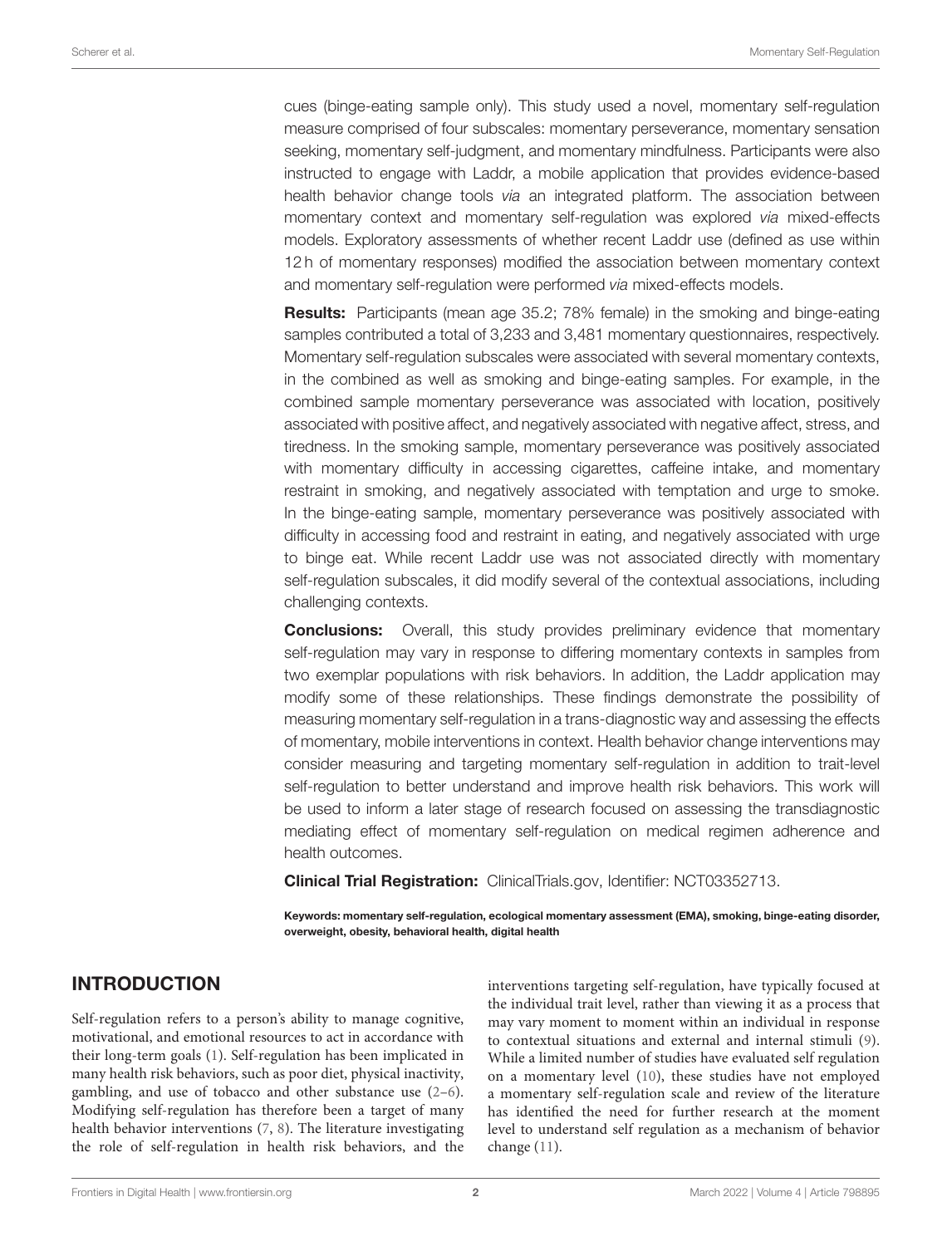cues (binge-eating sample only). This study used a novel, momentary self-regulation measure comprised of four subscales: momentary perseverance, momentary sensation seeking, momentary self-judgment, and momentary mindfulness. Participants were also instructed to engage with Laddr, a mobile application that provides evidence-based health behavior change tools *via* an integrated platform. The association between momentary context and momentary self-regulation was explored *via* mixed-effects models. Exploratory assessments of whether recent Laddr use (defined as use within 12 h of momentary responses) modified the association between momentary context and momentary self-regulation were performed *via* mixed-effects models.

Results: Participants (mean age 35.2; 78% female) in the smoking and binge-eating samples contributed a total of 3,233 and 3,481 momentary questionnaires, respectively. Momentary self-regulation subscales were associated with several momentary contexts, in the combined as well as smoking and binge-eating samples. For example, in the combined sample momentary perseverance was associated with location, positively associated with positive affect, and negatively associated with negative affect, stress, and tiredness. In the smoking sample, momentary perseverance was positively associated with momentary difficulty in accessing cigarettes, caffeine intake, and momentary restraint in smoking, and negatively associated with temptation and urge to smoke. In the binge-eating sample, momentary perseverance was positively associated with difficulty in accessing food and restraint in eating, and negatively associated with urge to binge eat. While recent Laddr use was not associated directly with momentary self-regulation subscales, it did modify several of the contextual associations, including challenging contexts.

**Conclusions:** Overall, this study provides preliminary evidence that momentary self-regulation may vary in response to differing momentary contexts in samples from two exemplar populations with risk behaviors. In addition, the Laddr application may modify some of these relationships. These findings demonstrate the possibility of measuring momentary self-regulation in a trans-diagnostic way and assessing the effects of momentary, mobile interventions in context. Health behavior change interventions may consider measuring and targeting momentary self-regulation in addition to trait-level self-regulation to better understand and improve health risk behaviors. This work will be used to inform a later stage of research focused on assessing the transdiagnostic mediating effect of momentary self-regulation on medical regimen adherence and health outcomes.

Clinical Trial Registration: [ClinicalTrials.gov,](www.ClinicalTrials.gov) Identifier: NCT03352713.

Keywords: momentary self-regulation, ecological momentary assessment (EMA), smoking, binge-eating disorder, overweight, obesity, behavioral health, digital health

# INTRODUCTION

Self-regulation refers to a person's ability to manage cognitive, motivational, and emotional resources to act in accordance with their long-term goals [\(1\)](#page-19-0). Self-regulation has been implicated in many health risk behaviors, such as poor diet, physical inactivity, gambling, and use of tobacco and other substance use [\(2](#page-19-1)[–6\)](#page-19-2). Modifying self-regulation has therefore been a target of many health behavior interventions [\(7,](#page-19-3) [8\)](#page-19-4). The literature investigating the role of self-regulation in health risk behaviors, and the interventions targeting self-regulation, have typically focused at the individual trait level, rather than viewing it as a process that may vary moment to moment within an individual in response to contextual situations and external and internal stimuli [\(9\)](#page-19-5). While a limited number of studies have evaluated self regulation on a momentary level [\(10\)](#page-20-0), these studies have not employed a momentary self-regulation scale and review of the literature has identified the need for further research at the moment level to understand self regulation as a mechanism of behavior change [\(11\)](#page-20-1).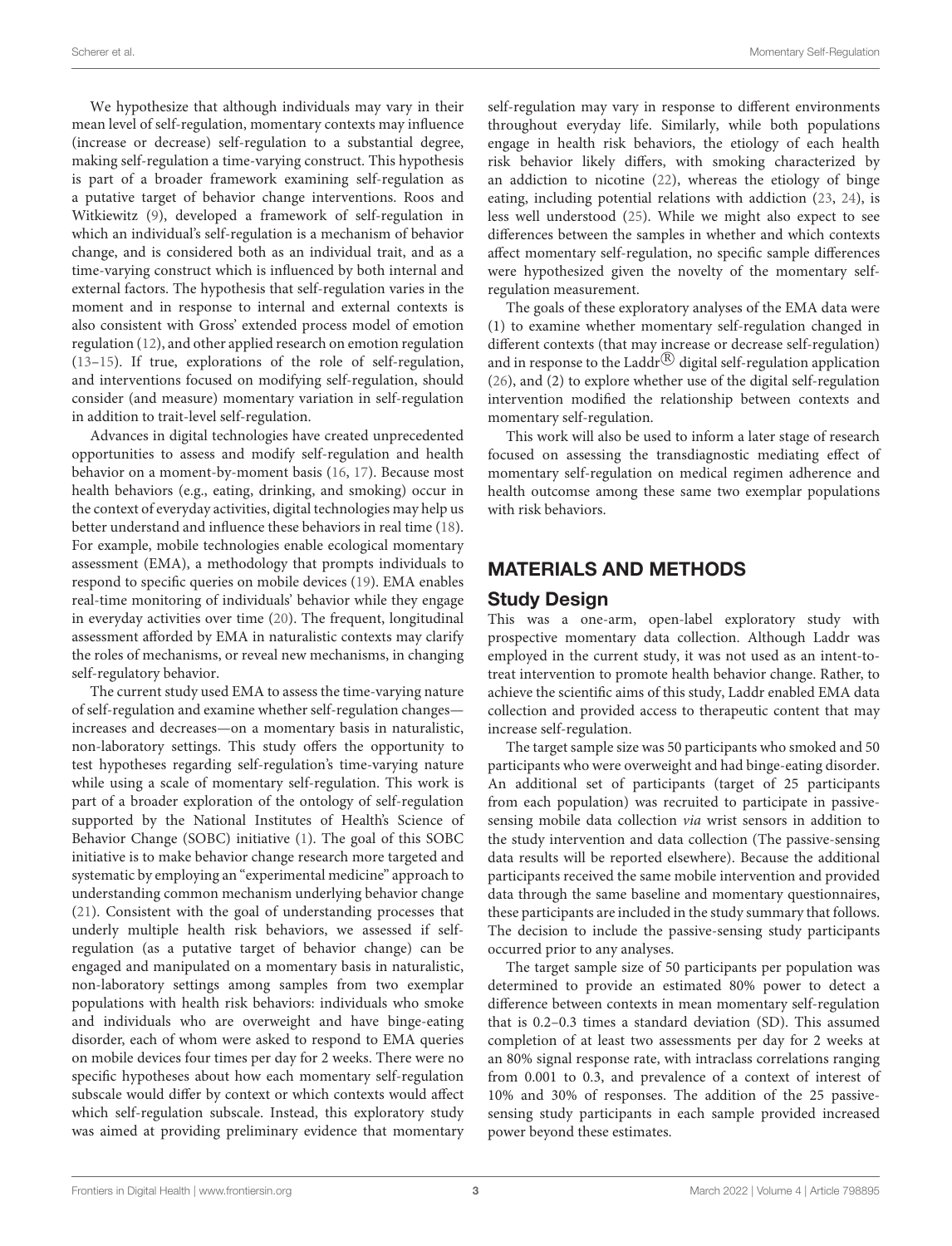We hypothesize that although individuals may vary in their mean level of self-regulation, momentary contexts may influence (increase or decrease) self-regulation to a substantial degree, making self-regulation a time-varying construct. This hypothesis is part of a broader framework examining self-regulation as a putative target of behavior change interventions. Roos and Witkiewitz [\(9\)](#page-19-5), developed a framework of self-regulation in which an individual's self-regulation is a mechanism of behavior change, and is considered both as an individual trait, and as a time-varying construct which is influenced by both internal and external factors. The hypothesis that self-regulation varies in the moment and in response to internal and external contexts is also consistent with Gross' extended process model of emotion regulation [\(12\)](#page-20-2), and other applied research on emotion regulation [\(13](#page-20-3)[–15\)](#page-20-4). If true, explorations of the role of self-regulation, and interventions focused on modifying self-regulation, should consider (and measure) momentary variation in self-regulation in addition to trait-level self-regulation.

Advances in digital technologies have created unprecedented opportunities to assess and modify self-regulation and health behavior on a moment-by-moment basis [\(16,](#page-20-5) [17\)](#page-20-6). Because most health behaviors (e.g., eating, drinking, and smoking) occur in the context of everyday activities, digital technologies may help us better understand and influence these behaviors in real time [\(18\)](#page-20-7). For example, mobile technologies enable ecological momentary assessment (EMA), a methodology that prompts individuals to respond to specific queries on mobile devices [\(19\)](#page-20-8). EMA enables real-time monitoring of individuals' behavior while they engage in everyday activities over time [\(20\)](#page-20-9). The frequent, longitudinal assessment afforded by EMA in naturalistic contexts may clarify the roles of mechanisms, or reveal new mechanisms, in changing self-regulatory behavior.

The current study used EMA to assess the time-varying nature of self-regulation and examine whether self-regulation changes increases and decreases—on a momentary basis in naturalistic, non-laboratory settings. This study offers the opportunity to test hypotheses regarding self-regulation's time-varying nature while using a scale of momentary self-regulation. This work is part of a broader exploration of the ontology of self-regulation supported by the National Institutes of Health's Science of Behavior Change (SOBC) initiative [\(1\)](#page-19-0). The goal of this SOBC initiative is to make behavior change research more targeted and systematic by employing an "experimental medicine" approach to understanding common mechanism underlying behavior change [\(21\)](#page-20-10). Consistent with the goal of understanding processes that underly multiple health risk behaviors, we assessed if selfregulation (as a putative target of behavior change) can be engaged and manipulated on a momentary basis in naturalistic, non-laboratory settings among samples from two exemplar populations with health risk behaviors: individuals who smoke and individuals who are overweight and have binge-eating disorder, each of whom were asked to respond to EMA queries on mobile devices four times per day for 2 weeks. There were no specific hypotheses about how each momentary self-regulation subscale would differ by context or which contexts would affect which self-regulation subscale. Instead, this exploratory study was aimed at providing preliminary evidence that momentary self-regulation may vary in response to different environments throughout everyday life. Similarly, while both populations engage in health risk behaviors, the etiology of each health risk behavior likely differs, with smoking characterized by an addiction to nicotine [\(22\)](#page-20-11), whereas the etiology of binge eating, including potential relations with addiction [\(23,](#page-20-12) [24\)](#page-20-13), is less well understood [\(25\)](#page-20-14). While we might also expect to see differences between the samples in whether and which contexts affect momentary self-regulation, no specific sample differences were hypothesized given the novelty of the momentary selfregulation measurement.

The goals of these exploratory analyses of the EMA data were (1) to examine whether momentary self-regulation changed in different contexts (that may increase or decrease self-regulation) and in response to the Laddr $\mathbb{B}$  digital self-regulation application [\(26\)](#page-20-15), and (2) to explore whether use of the digital self-regulation intervention modified the relationship between contexts and momentary self-regulation.

This work will also be used to inform a later stage of research focused on assessing the transdiagnostic mediating effect of momentary self-regulation on medical regimen adherence and health outcomse among these same two exemplar populations with risk behaviors.

## MATERIALS AND METHODS

#### Study Design

This was a one-arm, open-label exploratory study with prospective momentary data collection. Although Laddr was employed in the current study, it was not used as an intent-totreat intervention to promote health behavior change. Rather, to achieve the scientific aims of this study, Laddr enabled EMA data collection and provided access to therapeutic content that may increase self-regulation.

The target sample size was 50 participants who smoked and 50 participants who were overweight and had binge-eating disorder. An additional set of participants (target of 25 participants from each population) was recruited to participate in passivesensing mobile data collection via wrist sensors in addition to the study intervention and data collection (The passive-sensing data results will be reported elsewhere). Because the additional participants received the same mobile intervention and provided data through the same baseline and momentary questionnaires, these participants are included in the study summary that follows. The decision to include the passive-sensing study participants occurred prior to any analyses.

The target sample size of 50 participants per population was determined to provide an estimated 80% power to detect a difference between contexts in mean momentary self-regulation that is 0.2–0.3 times a standard deviation (SD). This assumed completion of at least two assessments per day for 2 weeks at an 80% signal response rate, with intraclass correlations ranging from 0.001 to 0.3, and prevalence of a context of interest of 10% and 30% of responses. The addition of the 25 passivesensing study participants in each sample provided increased power beyond these estimates.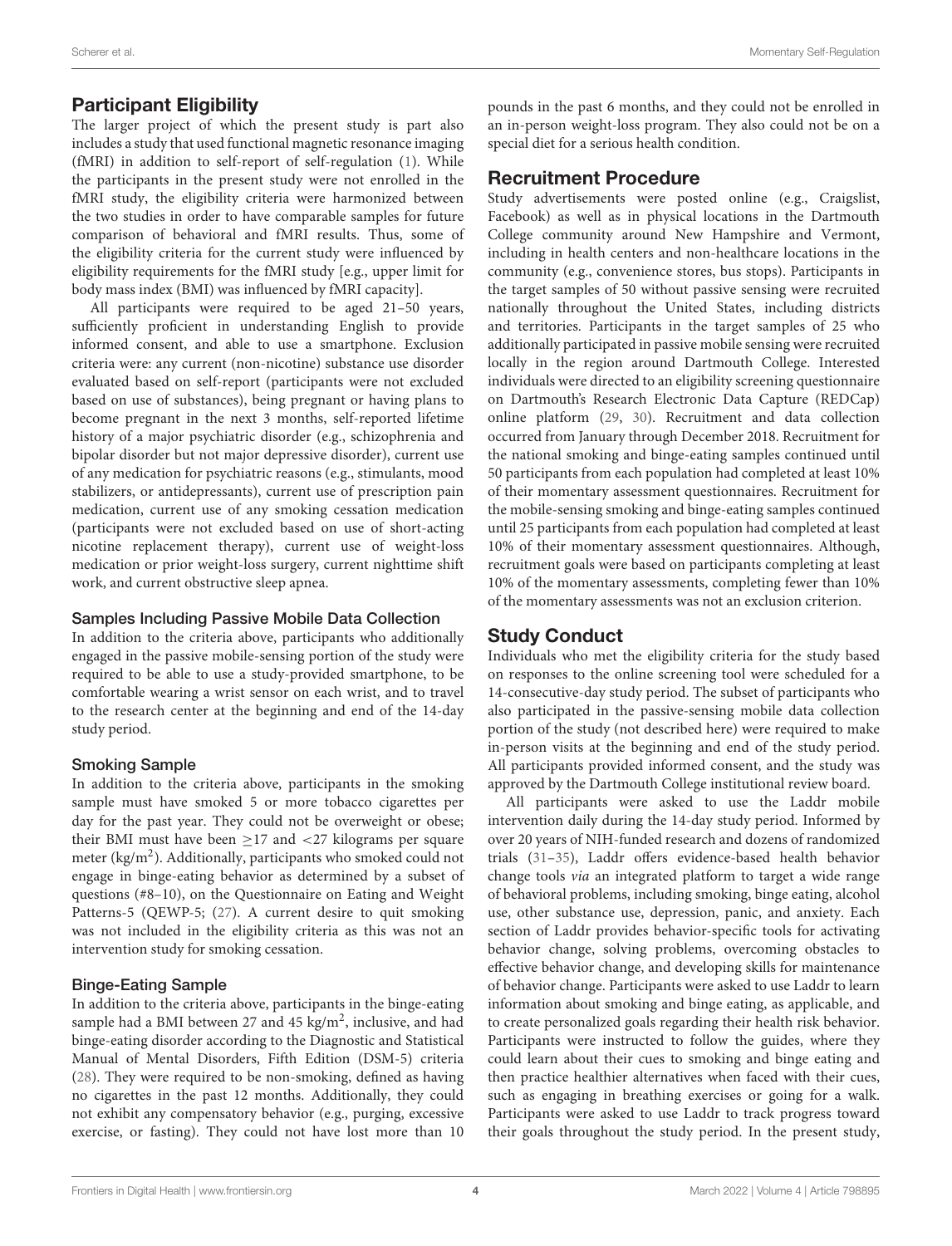# Participant Eligibility

The larger project of which the present study is part also includes a study that used functional magnetic resonance imaging (fMRI) in addition to self-report of self-regulation [\(1\)](#page-19-0). While the participants in the present study were not enrolled in the fMRI study, the eligibility criteria were harmonized between the two studies in order to have comparable samples for future comparison of behavioral and fMRI results. Thus, some of the eligibility criteria for the current study were influenced by eligibility requirements for the fMRI study [e.g., upper limit for body mass index (BMI) was influenced by fMRI capacity].

All participants were required to be aged 21–50 years, sufficiently proficient in understanding English to provide informed consent, and able to use a smartphone. Exclusion criteria were: any current (non-nicotine) substance use disorder evaluated based on self-report (participants were not excluded based on use of substances), being pregnant or having plans to become pregnant in the next 3 months, self-reported lifetime history of a major psychiatric disorder (e.g., schizophrenia and bipolar disorder but not major depressive disorder), current use of any medication for psychiatric reasons (e.g., stimulants, mood stabilizers, or antidepressants), current use of prescription pain medication, current use of any smoking cessation medication (participants were not excluded based on use of short-acting nicotine replacement therapy), current use of weight-loss medication or prior weight-loss surgery, current nighttime shift work, and current obstructive sleep apnea.

#### Samples Including Passive Mobile Data Collection

In addition to the criteria above, participants who additionally engaged in the passive mobile-sensing portion of the study were required to be able to use a study-provided smartphone, to be comfortable wearing a wrist sensor on each wrist, and to travel to the research center at the beginning and end of the 14-day study period.

#### Smoking Sample

In addition to the criteria above, participants in the smoking sample must have smoked 5 or more tobacco cigarettes per day for the past year. They could not be overweight or obese; their BMI must have been  $\geq$ 17 and <27 kilograms per square meter (kg/m<sup>2</sup>). Additionally, participants who smoked could not engage in binge-eating behavior as determined by a subset of questions (#8–10), on the Questionnaire on Eating and Weight Patterns-5 (QEWP-5; [\(27\)](#page-20-16). A current desire to quit smoking was not included in the eligibility criteria as this was not an intervention study for smoking cessation.

#### Binge-Eating Sample

In addition to the criteria above, participants in the binge-eating sample had a BMI between 27 and 45  $\text{kg/m}^2$ , inclusive, and had binge-eating disorder according to the Diagnostic and Statistical Manual of Mental Disorders, Fifth Edition (DSM-5) criteria [\(28\)](#page-20-17). They were required to be non-smoking, defined as having no cigarettes in the past 12 months. Additionally, they could not exhibit any compensatory behavior (e.g., purging, excessive exercise, or fasting). They could not have lost more than 10 pounds in the past 6 months, and they could not be enrolled in an in-person weight-loss program. They also could not be on a special diet for a serious health condition.

# Recruitment Procedure

Study advertisements were posted online (e.g., Craigslist, Facebook) as well as in physical locations in the Dartmouth College community around New Hampshire and Vermont, including in health centers and non-healthcare locations in the community (e.g., convenience stores, bus stops). Participants in the target samples of 50 without passive sensing were recruited nationally throughout the United States, including districts and territories. Participants in the target samples of 25 who additionally participated in passive mobile sensing were recruited locally in the region around Dartmouth College. Interested individuals were directed to an eligibility screening questionnaire on Dartmouth's Research Electronic Data Capture (REDCap) online platform [\(29,](#page-20-18) [30\)](#page-20-19). Recruitment and data collection occurred from January through December 2018. Recruitment for the national smoking and binge-eating samples continued until 50 participants from each population had completed at least 10% of their momentary assessment questionnaires. Recruitment for the mobile-sensing smoking and binge-eating samples continued until 25 participants from each population had completed at least 10% of their momentary assessment questionnaires. Although, recruitment goals were based on participants completing at least 10% of the momentary assessments, completing fewer than 10% of the momentary assessments was not an exclusion criterion.

# Study Conduct

Individuals who met the eligibility criteria for the study based on responses to the online screening tool were scheduled for a 14-consecutive-day study period. The subset of participants who also participated in the passive-sensing mobile data collection portion of the study (not described here) were required to make in-person visits at the beginning and end of the study period. All participants provided informed consent, and the study was approved by the Dartmouth College institutional review board.

All participants were asked to use the Laddr mobile intervention daily during the 14-day study period. Informed by over 20 years of NIH-funded research and dozens of randomized trials [\(31](#page-20-20)[–35\)](#page-20-21), Laddr offers evidence-based health behavior change tools via an integrated platform to target a wide range of behavioral problems, including smoking, binge eating, alcohol use, other substance use, depression, panic, and anxiety. Each section of Laddr provides behavior-specific tools for activating behavior change, solving problems, overcoming obstacles to effective behavior change, and developing skills for maintenance of behavior change. Participants were asked to use Laddr to learn information about smoking and binge eating, as applicable, and to create personalized goals regarding their health risk behavior. Participants were instructed to follow the guides, where they could learn about their cues to smoking and binge eating and then practice healthier alternatives when faced with their cues, such as engaging in breathing exercises or going for a walk. Participants were asked to use Laddr to track progress toward their goals throughout the study period. In the present study,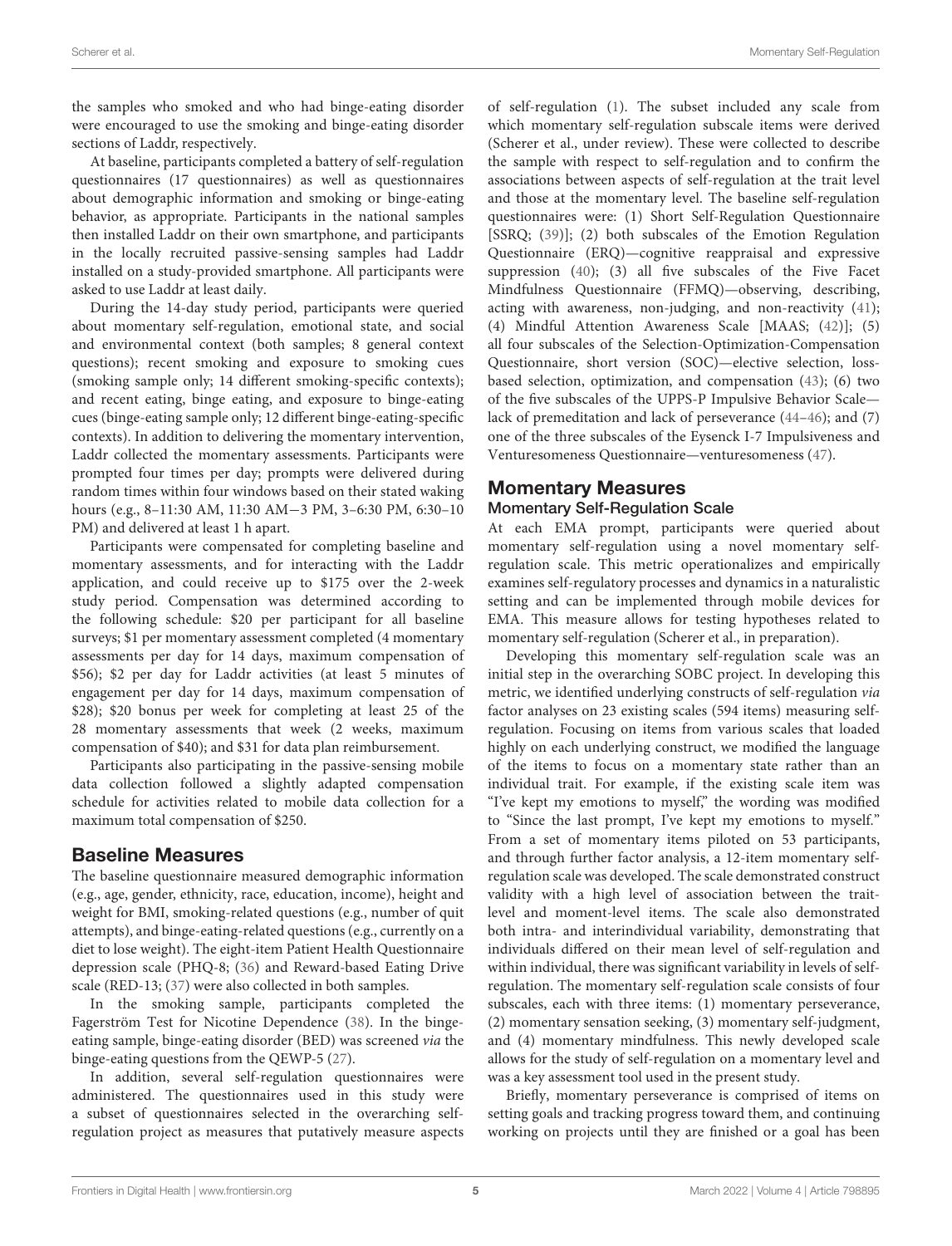the samples who smoked and who had binge-eating disorder were encouraged to use the smoking and binge-eating disorder sections of Laddr, respectively.

At baseline, participants completed a battery of self-regulation questionnaires (17 questionnaires) as well as questionnaires about demographic information and smoking or binge-eating behavior, as appropriate. Participants in the national samples then installed Laddr on their own smartphone, and participants in the locally recruited passive-sensing samples had Laddr installed on a study-provided smartphone. All participants were asked to use Laddr at least daily.

During the 14-day study period, participants were queried about momentary self-regulation, emotional state, and social and environmental context (both samples; 8 general context questions); recent smoking and exposure to smoking cues (smoking sample only; 14 different smoking-specific contexts); and recent eating, binge eating, and exposure to binge-eating cues (binge-eating sample only; 12 different binge-eating-specific contexts). In addition to delivering the momentary intervention, Laddr collected the momentary assessments. Participants were prompted four times per day; prompts were delivered during random times within four windows based on their stated waking hours (e.g., 8–11:30 AM, 11:30 AM−3 PM, 3–6:30 PM, 6:30–10 PM) and delivered at least 1 h apart.

Participants were compensated for completing baseline and momentary assessments, and for interacting with the Laddr application, and could receive up to \$175 over the 2-week study period. Compensation was determined according to the following schedule: \$20 per participant for all baseline surveys; \$1 per momentary assessment completed (4 momentary assessments per day for 14 days, maximum compensation of \$56); \$2 per day for Laddr activities (at least 5 minutes of engagement per day for 14 days, maximum compensation of \$28); \$20 bonus per week for completing at least 25 of the 28 momentary assessments that week (2 weeks, maximum compensation of \$40); and \$31 for data plan reimbursement.

Participants also participating in the passive-sensing mobile data collection followed a slightly adapted compensation schedule for activities related to mobile data collection for a maximum total compensation of \$250.

## Baseline Measures

The baseline questionnaire measured demographic information (e.g., age, gender, ethnicity, race, education, income), height and weight for BMI, smoking-related questions (e.g., number of quit attempts), and binge-eating-related questions (e.g., currently on a diet to lose weight). The eight-item Patient Health Questionnaire depression scale (PHQ-8; [\(36\)](#page-20-22) and Reward-based Eating Drive scale (RED-13; [\(37\)](#page-20-23) were also collected in both samples.

In the smoking sample, participants completed the Fagerström Test for Nicotine Dependence [\(38\)](#page-20-24). In the bingeeating sample, binge-eating disorder (BED) was screened via the binge-eating questions from the QEWP-5 [\(27\)](#page-20-16).

In addition, several self-regulation questionnaires were administered. The questionnaires used in this study were a subset of questionnaires selected in the overarching selfregulation project as measures that putatively measure aspects of self-regulation [\(1\)](#page-19-0). The subset included any scale from which momentary self-regulation subscale items were derived (Scherer et al., under review). These were collected to describe the sample with respect to self-regulation and to confirm the associations between aspects of self-regulation at the trait level and those at the momentary level. The baseline self-regulation questionnaires were: (1) Short Self-Regulation Questionnaire [SSRQ; [\(39\)](#page-20-25)]; (2) both subscales of the Emotion Regulation Questionnaire (ERQ)—cognitive reappraisal and expressive suppression [\(40\)](#page-20-26); (3) all five subscales of the Five Facet Mindfulness Questionnaire (FFMQ)—observing, describing, acting with awareness, non-judging, and non-reactivity [\(41\)](#page-20-27); (4) Mindful Attention Awareness Scale [MAAS; [\(42\)](#page-20-28)]; (5) all four subscales of the Selection-Optimization-Compensation Questionnaire, short version (SOC)—elective selection, lossbased selection, optimization, and compensation [\(43\)](#page-20-29); (6) two of the five subscales of the UPPS-P Impulsive Behavior Scale lack of premeditation and lack of perseverance [\(44](#page-20-30)[–46\)](#page-20-31); and (7) one of the three subscales of the Eysenck I-7 Impulsiveness and Venturesomeness Questionnaire—venturesomeness [\(47\)](#page-20-32).

# Momentary Measures

#### Momentary Self-Regulation Scale

At each EMA prompt, participants were queried about momentary self-regulation using a novel momentary selfregulation scale. This metric operationalizes and empirically examines self-regulatory processes and dynamics in a naturalistic setting and can be implemented through mobile devices for EMA. This measure allows for testing hypotheses related to momentary self-regulation (Scherer et al., in preparation).

Developing this momentary self-regulation scale was an initial step in the overarching SOBC project. In developing this metric, we identified underlying constructs of self-regulation via factor analyses on 23 existing scales (594 items) measuring selfregulation. Focusing on items from various scales that loaded highly on each underlying construct, we modified the language of the items to focus on a momentary state rather than an individual trait. For example, if the existing scale item was "I've kept my emotions to myself," the wording was modified to "Since the last prompt, I've kept my emotions to myself." From a set of momentary items piloted on 53 participants, and through further factor analysis, a 12-item momentary selfregulation scale was developed. The scale demonstrated construct validity with a high level of association between the traitlevel and moment-level items. The scale also demonstrated both intra- and interindividual variability, demonstrating that individuals differed on their mean level of self-regulation and within individual, there was significant variability in levels of selfregulation. The momentary self-regulation scale consists of four subscales, each with three items: (1) momentary perseverance, (2) momentary sensation seeking, (3) momentary self-judgment, and (4) momentary mindfulness. This newly developed scale allows for the study of self-regulation on a momentary level and was a key assessment tool used in the present study.

Briefly, momentary perseverance is comprised of items on setting goals and tracking progress toward them, and continuing working on projects until they are finished or a goal has been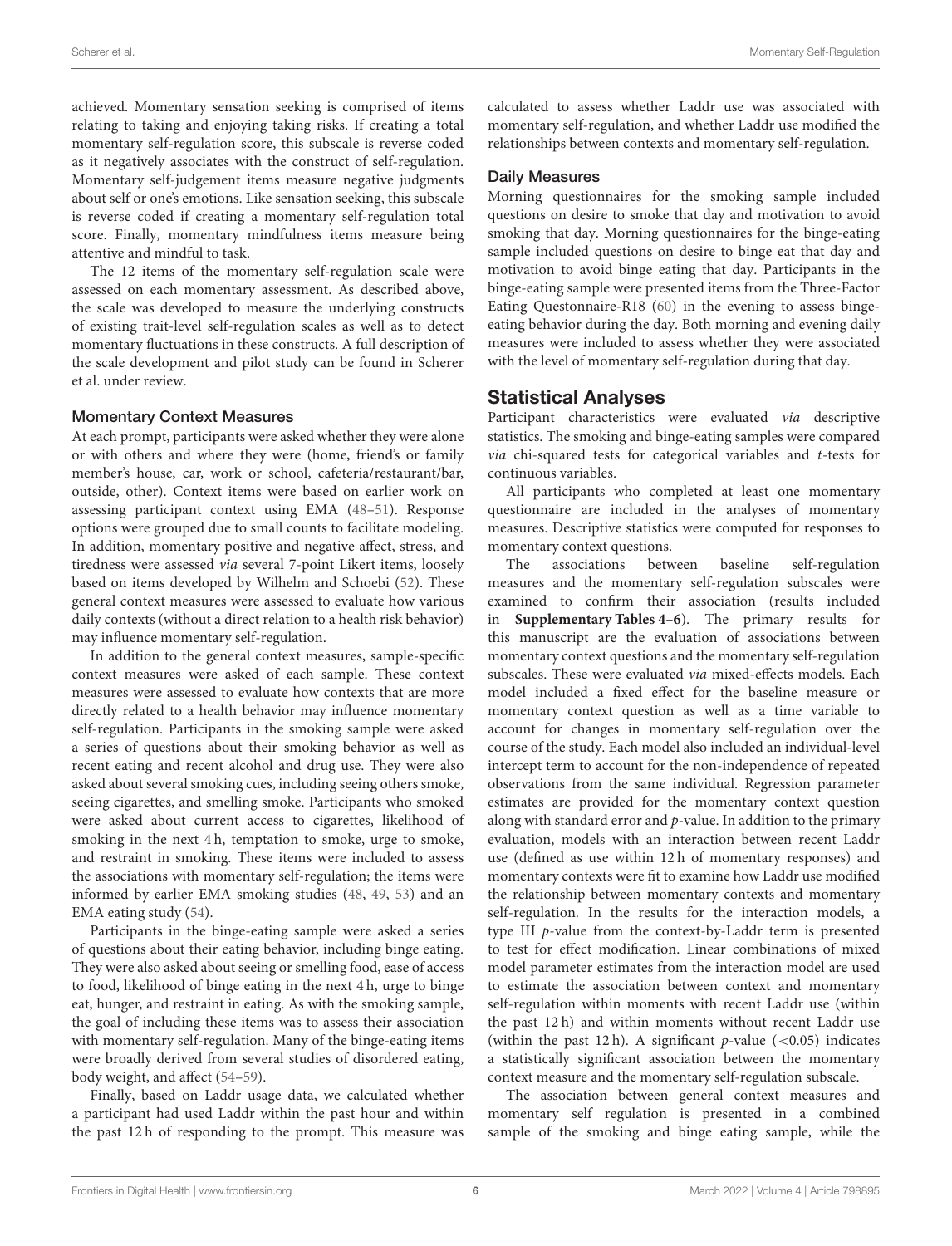achieved. Momentary sensation seeking is comprised of items relating to taking and enjoying taking risks. If creating a total momentary self-regulation score, this subscale is reverse coded as it negatively associates with the construct of self-regulation. Momentary self-judgement items measure negative judgments about self or one's emotions. Like sensation seeking, this subscale is reverse coded if creating a momentary self-regulation total score. Finally, momentary mindfulness items measure being attentive and mindful to task.

The 12 items of the momentary self-regulation scale were assessed on each momentary assessment. As described above, the scale was developed to measure the underlying constructs of existing trait-level self-regulation scales as well as to detect momentary fluctuations in these constructs. A full description of the scale development and pilot study can be found in Scherer et al. under review.

#### Momentary Context Measures

At each prompt, participants were asked whether they were alone or with others and where they were (home, friend's or family member's house, car, work or school, cafeteria/restaurant/bar, outside, other). Context items were based on earlier work on assessing participant context using EMA [\(48](#page-20-33)[–51\)](#page-20-34). Response options were grouped due to small counts to facilitate modeling. In addition, momentary positive and negative affect, stress, and tiredness were assessed via several 7-point Likert items, loosely based on items developed by Wilhelm and Schoebi [\(52\)](#page-20-35). These general context measures were assessed to evaluate how various daily contexts (without a direct relation to a health risk behavior) may influence momentary self-regulation.

In addition to the general context measures, sample-specific context measures were asked of each sample. These context measures were assessed to evaluate how contexts that are more directly related to a health behavior may influence momentary self-regulation. Participants in the smoking sample were asked a series of questions about their smoking behavior as well as recent eating and recent alcohol and drug use. They were also asked about several smoking cues, including seeing others smoke, seeing cigarettes, and smelling smoke. Participants who smoked were asked about current access to cigarettes, likelihood of smoking in the next 4 h, temptation to smoke, urge to smoke, and restraint in smoking. These items were included to assess the associations with momentary self-regulation; the items were informed by earlier EMA smoking studies [\(48,](#page-20-33) [49,](#page-20-36) [53\)](#page-21-0) and an EMA eating study [\(54\)](#page-21-1).

Participants in the binge-eating sample were asked a series of questions about their eating behavior, including binge eating. They were also asked about seeing or smelling food, ease of access to food, likelihood of binge eating in the next 4 h, urge to binge eat, hunger, and restraint in eating. As with the smoking sample, the goal of including these items was to assess their association with momentary self-regulation. Many of the binge-eating items were broadly derived from several studies of disordered eating, body weight, and affect [\(54](#page-21-1)[–59\)](#page-21-2).

Finally, based on Laddr usage data, we calculated whether a participant had used Laddr within the past hour and within the past 12 h of responding to the prompt. This measure was calculated to assess whether Laddr use was associated with momentary self-regulation, and whether Laddr use modified the relationships between contexts and momentary self-regulation.

#### Daily Measures

Morning questionnaires for the smoking sample included questions on desire to smoke that day and motivation to avoid smoking that day. Morning questionnaires for the binge-eating sample included questions on desire to binge eat that day and motivation to avoid binge eating that day. Participants in the binge-eating sample were presented items from the Three-Factor Eating Questonnaire-R18 [\(60\)](#page-21-3) in the evening to assess bingeeating behavior during the day. Both morning and evening daily measures were included to assess whether they were associated with the level of momentary self-regulation during that day.

#### Statistical Analyses

Participant characteristics were evaluated via descriptive statistics. The smoking and binge-eating samples were compared  $via$  chi-squared tests for categorical variables and  $t$ -tests for continuous variables.

All participants who completed at least one momentary questionnaire are included in the analyses of momentary measures. Descriptive statistics were computed for responses to momentary context questions.

The associations between baseline self-regulation measures and the momentary self-regulation subscales were examined to confirm their association (results included in **[Supplementary Tables 4–6](#page-19-6)**). The primary results for this manuscript are the evaluation of associations between momentary context questions and the momentary self-regulation subscales. These were evaluated via mixed-effects models. Each model included a fixed effect for the baseline measure or momentary context question as well as a time variable to account for changes in momentary self-regulation over the course of the study. Each model also included an individual-level intercept term to account for the non-independence of repeated observations from the same individual. Regression parameter estimates are provided for the momentary context question along with standard error and  $p$ -value. In addition to the primary evaluation, models with an interaction between recent Laddr use (defined as use within 12 h of momentary responses) and momentary contexts were fit to examine how Laddr use modified the relationship between momentary contexts and momentary self-regulation. In the results for the interaction models, a type III p-value from the context-by-Laddr term is presented to test for effect modification. Linear combinations of mixed model parameter estimates from the interaction model are used to estimate the association between context and momentary self-regulation within moments with recent Laddr use (within the past 12 h) and within moments without recent Laddr use (within the past 12 h). A significant  $p$ -value (<0.05) indicates a statistically significant association between the momentary context measure and the momentary self-regulation subscale.

The association between general context measures and momentary self regulation is presented in a combined sample of the smoking and binge eating sample, while the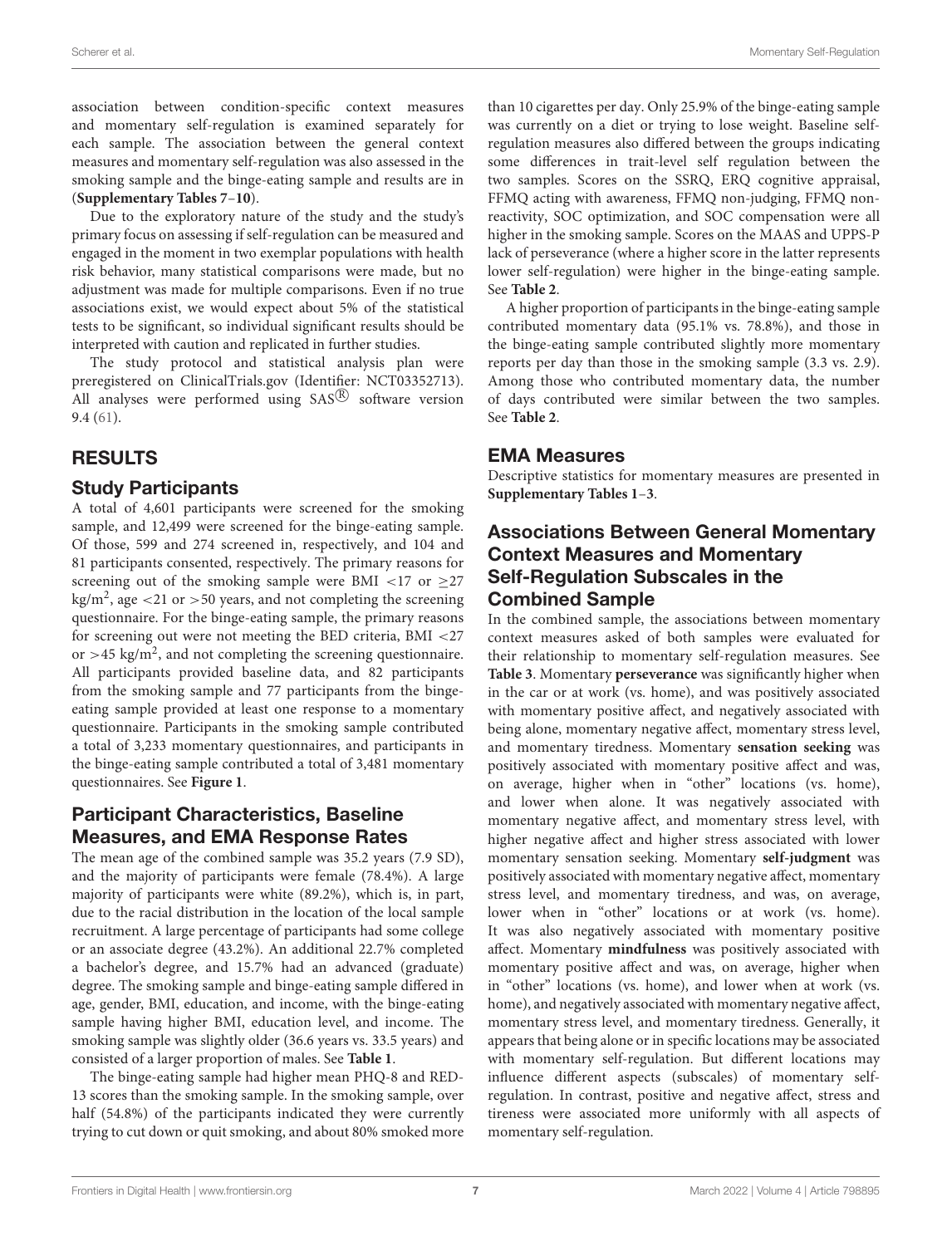association between condition-specific context measures and momentary self-regulation is examined separately for each sample. The association between the general context measures and momentary self-regulation was also assessed in the smoking sample and the binge-eating sample and results are in (**[Supplementary Tables 7](#page-19-6)**–**[10](#page-19-6)**).

Due to the exploratory nature of the study and the study's primary focus on assessing if self-regulation can be measured and engaged in the moment in two exemplar populations with health risk behavior, many statistical comparisons were made, but no adjustment was made for multiple comparisons. Even if no true associations exist, we would expect about 5% of the statistical tests to be significant, so individual significant results should be interpreted with caution and replicated in further studies.

The study protocol and statistical analysis plan were preregistered on ClinicalTrials.gov (Identifier: NCT03352713). All analyses were performed using  $SAS^{(R)}$  software version 9.4 [\(61\)](#page-21-4).

# RESULTS

#### Study Participants

A total of 4,601 participants were screened for the smoking sample, and 12,499 were screened for the binge-eating sample. Of those, 599 and 274 screened in, respectively, and 104 and 81 participants consented, respectively. The primary reasons for screening out of the smoking sample were BMI <17 or  $\geq$ 27  $\text{kg/m}^2$ , age <21 or >50 years, and not completing the screening questionnaire. For the binge-eating sample, the primary reasons for screening out were not meeting the BED criteria, BMI <27 or >45 kg/m<sup>2</sup>, and not completing the screening questionnaire. All participants provided baseline data, and 82 participants from the smoking sample and 77 participants from the bingeeating sample provided at least one response to a momentary questionnaire. Participants in the smoking sample contributed a total of 3,233 momentary questionnaires, and participants in the binge-eating sample contributed a total of 3,481 momentary questionnaires. See **[Figure 1](#page-7-0)**.

# Participant Characteristics, Baseline Measures, and EMA Response Rates

The mean age of the combined sample was 35.2 years (7.9 SD), and the majority of participants were female (78.4%). A large majority of participants were white (89.2%), which is, in part, due to the racial distribution in the location of the local sample recruitment. A large percentage of participants had some college or an associate degree (43.2%). An additional 22.7% completed a bachelor's degree, and 15.7% had an advanced (graduate) degree. The smoking sample and binge-eating sample differed in age, gender, BMI, education, and income, with the binge-eating sample having higher BMI, education level, and income. The smoking sample was slightly older (36.6 years vs. 33.5 years) and consisted of a larger proportion of males. See **[Table 1](#page-8-0)**.

The binge-eating sample had higher mean PHQ-8 and RED-13 scores than the smoking sample. In the smoking sample, over half (54.8%) of the participants indicated they were currently trying to cut down or quit smoking, and about 80% smoked more than 10 cigarettes per day. Only 25.9% of the binge-eating sample was currently on a diet or trying to lose weight. Baseline selfregulation measures also differed between the groups indicating some differences in trait-level self regulation between the two samples. Scores on the SSRQ, ERQ cognitive appraisal, FFMQ acting with awareness, FFMQ non-judging, FFMQ nonreactivity, SOC optimization, and SOC compensation were all higher in the smoking sample. Scores on the MAAS and UPPS-P lack of perseverance (where a higher score in the latter represents lower self-regulation) were higher in the binge-eating sample. See **[Table 2](#page-9-0)**.

A higher proportion of participants in the binge-eating sample contributed momentary data (95.1% vs. 78.8%), and those in the binge-eating sample contributed slightly more momentary reports per day than those in the smoking sample (3.3 vs. 2.9). Among those who contributed momentary data, the number of days contributed were similar between the two samples. See **[Table 2](#page-9-0)**.

#### EMA Measures

Descriptive statistics for momentary measures are presented in **[Supplementary Tables 1](#page-19-6)**–**[3](#page-19-6)**.

# Associations Between General Momentary Context Measures and Momentary Self-Regulation Subscales in the Combined Sample

In the combined sample, the associations between momentary context measures asked of both samples were evaluated for their relationship to momentary self-regulation measures. See **[Table 3](#page-10-0)**. Momentary **perseverance** was significantly higher when in the car or at work (vs. home), and was positively associated with momentary positive affect, and negatively associated with being alone, momentary negative affect, momentary stress level, and momentary tiredness. Momentary **sensation seeking** was positively associated with momentary positive affect and was, on average, higher when in "other" locations (vs. home), and lower when alone. It was negatively associated with momentary negative affect, and momentary stress level, with higher negative affect and higher stress associated with lower momentary sensation seeking. Momentary **self-judgment** was positively associated with momentary negative affect, momentary stress level, and momentary tiredness, and was, on average, lower when in "other" locations or at work (vs. home). It was also negatively associated with momentary positive affect. Momentary **mindfulness** was positively associated with momentary positive affect and was, on average, higher when in "other" locations (vs. home), and lower when at work (vs. home), and negatively associated with momentary negative affect, momentary stress level, and momentary tiredness. Generally, it appears that being alone or in specific locations may be associated with momentary self-regulation. But different locations may influence different aspects (subscales) of momentary selfregulation. In contrast, positive and negative affect, stress and tireness were associated more uniformly with all aspects of momentary self-regulation.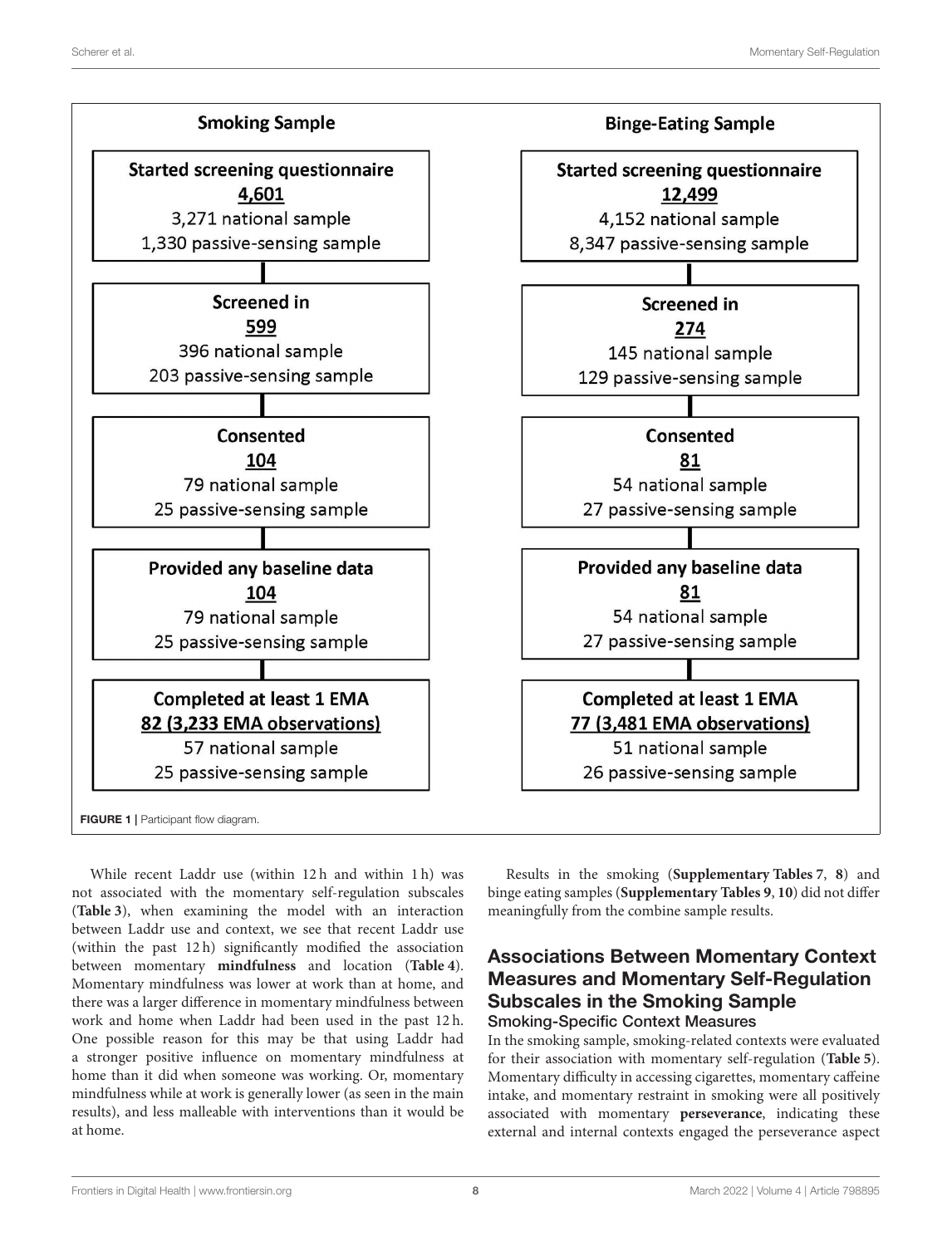

<span id="page-7-0"></span>While recent Laddr use (within 12 h and within 1 h) was not associated with the momentary self-regulation subscales (**[Table 3](#page-10-0)**), when examining the model with an interaction between Laddr use and context, we see that recent Laddr use (within the past 12 h) significantly modified the association between momentary **mindfulness** and location (**[Table 4](#page-11-0)**). Momentary mindfulness was lower at work than at home, and there was a larger difference in momentary mindfulness between work and home when Laddr had been used in the past 12 h. One possible reason for this may be that using Laddr had a stronger positive influence on momentary mindfulness at home than it did when someone was working. Or, momentary mindfulness while at work is generally lower (as seen in the main results), and less malleable with interventions than it would be at home.

Results in the smoking (**[Supplementary Tables 7](#page-19-6)**, **[8](#page-19-6)**) and binge eating samples (**[Supplementary Tables 9](#page-19-6)**, **[10](#page-19-6)**) did not differ meaningfully from the combine sample results.

# Associations Between Momentary Context Measures and Momentary Self-Regulation Subscales in the Smoking Sample

Smoking-Specific Context Measures

In the smoking sample, smoking-related contexts were evaluated for their association with momentary self-regulation (**[Table 5](#page-12-0)**). Momentary difficulty in accessing cigarettes, momentary caffeine intake, and momentary restraint in smoking were all positively associated with momentary **perseverance**, indicating these external and internal contexts engaged the perseverance aspect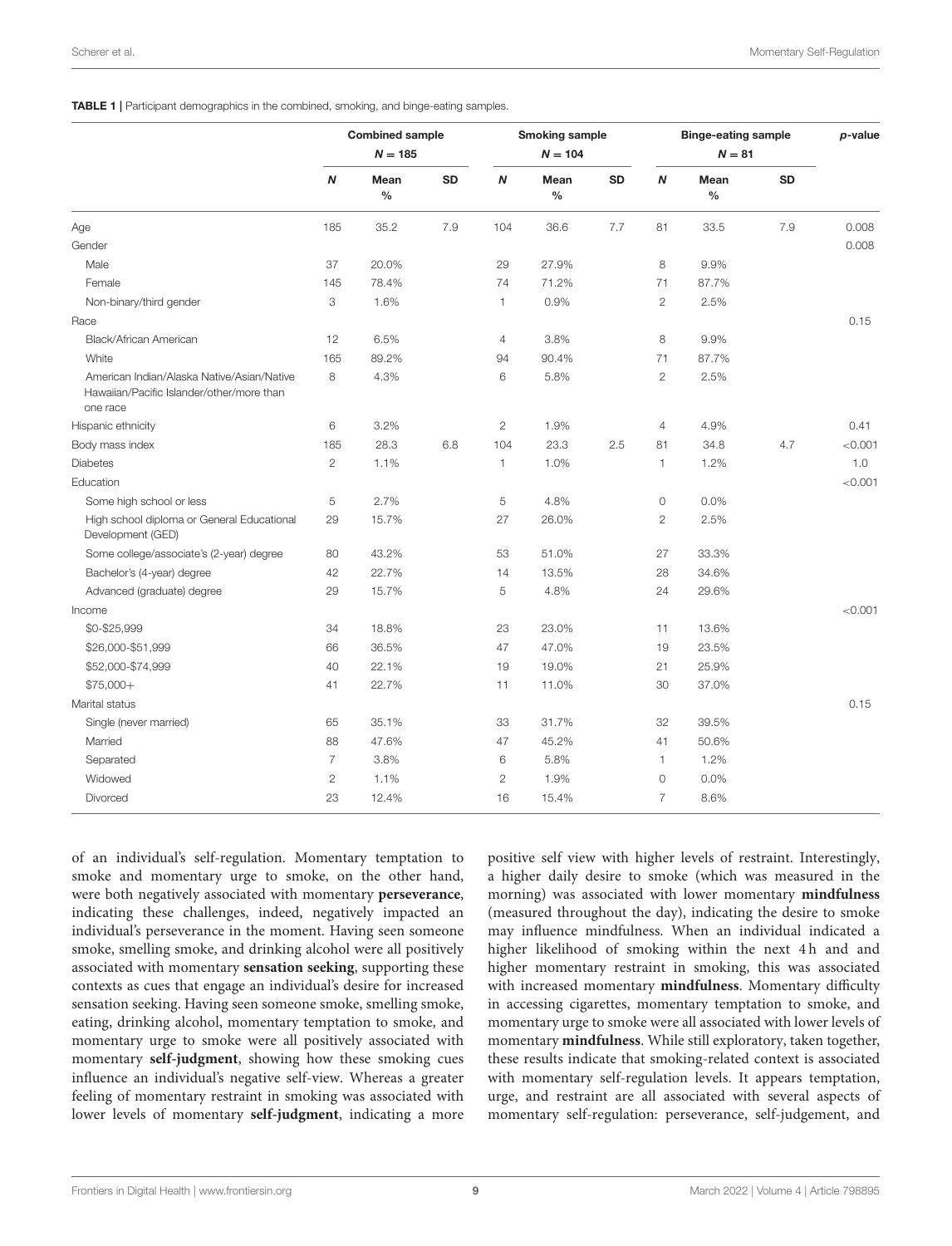<span id="page-8-0"></span>TABLE 1 | Participant demographics in the combined, smoking, and binge-eating samples.

|                                                                                                     |                | <b>Combined sample</b><br>$N = 185$ |           |                  | <b>Smoking sample</b><br>$N = 104$ |           |                  | <b>Binge-eating sample</b><br>$N = 81$ |           | p-value |
|-----------------------------------------------------------------------------------------------------|----------------|-------------------------------------|-----------|------------------|------------------------------------|-----------|------------------|----------------------------------------|-----------|---------|
|                                                                                                     | N              | Mean<br>$\%$                        | <b>SD</b> | $\boldsymbol{N}$ | Mean<br>$\%$                       | <b>SD</b> | $\boldsymbol{N}$ | Mean<br>$\frac{0}{0}$                  | <b>SD</b> |         |
| Age                                                                                                 | 185            | 35.2                                | 7.9       | 104              | 36.6                               | 7.7       | 81               | 33.5                                   | 7.9       | 0.008   |
| Gender                                                                                              |                |                                     |           |                  |                                    |           |                  |                                        |           | 0.008   |
| Male                                                                                                | 37             | 20.0%                               |           | 29               | 27.9%                              |           | 8                | 9.9%                                   |           |         |
| Female                                                                                              | 145            | 78.4%                               |           | 74               | 71.2%                              |           | 71               | 87.7%                                  |           |         |
| Non-binary/third gender                                                                             | 3              | 1.6%                                |           | 1                | 0.9%                               |           | $\overline{2}$   | 2.5%                                   |           |         |
| Race                                                                                                |                |                                     |           |                  |                                    |           |                  |                                        |           | 0.15    |
| Black/African American                                                                              | 12             | 6.5%                                |           | $\overline{4}$   | 3.8%                               |           | 8                | 9.9%                                   |           |         |
| White                                                                                               | 165            | 89.2%                               |           | 94               | 90.4%                              |           | 71               | 87.7%                                  |           |         |
| American Indian/Alaska Native/Asian/Native<br>Hawaiian/Pacific Islander/other/more than<br>one race | 8              | 4.3%                                |           | 6                | 5.8%                               |           | $\overline{2}$   | 2.5%                                   |           |         |
| Hispanic ethnicity                                                                                  | 6              | 3.2%                                |           | $\overline{c}$   | 1.9%                               |           | $\overline{4}$   | 4.9%                                   |           | 0.41    |
| Body mass index                                                                                     | 185            | 28.3                                | 6.8       | 104              | 23.3                               | 2.5       | 81               | 34.8                                   | 4.7       | < 0.001 |
| <b>Diabetes</b>                                                                                     | $\overline{2}$ | 1.1%                                |           | 1                | 1.0%                               |           | $\mathbf{1}$     | 1.2%                                   |           | 1.0     |
| Education                                                                                           |                |                                     |           |                  |                                    |           |                  |                                        |           | < 0.001 |
| Some high school or less                                                                            | 5              | 2.7%                                |           | 5                | 4.8%                               |           | $\circ$          | 0.0%                                   |           |         |
| High school diploma or General Educational<br>Development (GED)                                     | 29             | 15.7%                               |           | 27               | 26.0%                              |           | $\mathbf{2}$     | 2.5%                                   |           |         |
| Some college/associate's (2-year) degree                                                            | 80             | 43.2%                               |           | 53               | 51.0%                              |           | 27               | 33.3%                                  |           |         |
| Bachelor's (4-year) degree                                                                          | 42             | 22.7%                               |           | 14               | 13.5%                              |           | 28               | 34.6%                                  |           |         |
| Advanced (graduate) degree                                                                          | 29             | 15.7%                               |           | 5                | 4.8%                               |           | 24               | 29.6%                                  |           |         |
| Income                                                                                              |                |                                     |           |                  |                                    |           |                  |                                        |           | < 0.001 |
| \$0-\$25,999                                                                                        | 34             | 18.8%                               |           | 23               | 23.0%                              |           | 11               | 13.6%                                  |           |         |
| \$26,000-\$51,999                                                                                   | 66             | 36.5%                               |           | 47               | 47.0%                              |           | 19               | 23.5%                                  |           |         |
| \$52,000-\$74,999                                                                                   | 40             | 22.1%                               |           | 19               | 19.0%                              |           | 21               | 25.9%                                  |           |         |
| $$75,000+$                                                                                          | 41             | 22.7%                               |           | 11               | 11.0%                              |           | 30               | 37.0%                                  |           |         |
| Marital status                                                                                      |                |                                     |           |                  |                                    |           |                  |                                        |           | 0.15    |
| Single (never married)                                                                              | 65             | 35.1%                               |           | 33               | 31.7%                              |           | 32               | 39.5%                                  |           |         |
| Married                                                                                             | 88             | 47.6%                               |           | 47               | 45.2%                              |           | 41               | 50.6%                                  |           |         |
| Separated                                                                                           | $\overline{7}$ | 3.8%                                |           | 6                | 5.8%                               |           | 1                | 1.2%                                   |           |         |
| Widowed                                                                                             | $\overline{c}$ | 1.1%                                |           | $\overline{c}$   | 1.9%                               |           | $\circ$          | 0.0%                                   |           |         |
| Divorced                                                                                            | 23             | 12.4%                               |           | 16               | 15.4%                              |           | 7                | 8.6%                                   |           |         |

of an individual's self-regulation. Momentary temptation to smoke and momentary urge to smoke, on the other hand, were both negatively associated with momentary **perseverance**, indicating these challenges, indeed, negatively impacted an individual's perseverance in the moment. Having seen someone smoke, smelling smoke, and drinking alcohol were all positively associated with momentary **sensation seeking**, supporting these contexts as cues that engage an individual's desire for increased sensation seeking. Having seen someone smoke, smelling smoke, eating, drinking alcohol, momentary temptation to smoke, and momentary urge to smoke were all positively associated with momentary **self-judgment**, showing how these smoking cues influence an individual's negative self-view. Whereas a greater feeling of momentary restraint in smoking was associated with lower levels of momentary **self-judgment**, indicating a more positive self view with higher levels of restraint. Interestingly, a higher daily desire to smoke (which was measured in the morning) was associated with lower momentary **mindfulness** (measured throughout the day), indicating the desire to smoke may influence mindfulness. When an individual indicated a higher likelihood of smoking within the next 4h and and higher momentary restraint in smoking, this was associated with increased momentary **mindfulness**. Momentary difficulty in accessing cigarettes, momentary temptation to smoke, and momentary urge to smoke were all associated with lower levels of momentary **mindfulness**. While still exploratory, taken together, these results indicate that smoking-related context is associated with momentary self-regulation levels. It appears temptation, urge, and restraint are all associated with several aspects of momentary self-regulation: perseverance, self-judgement, and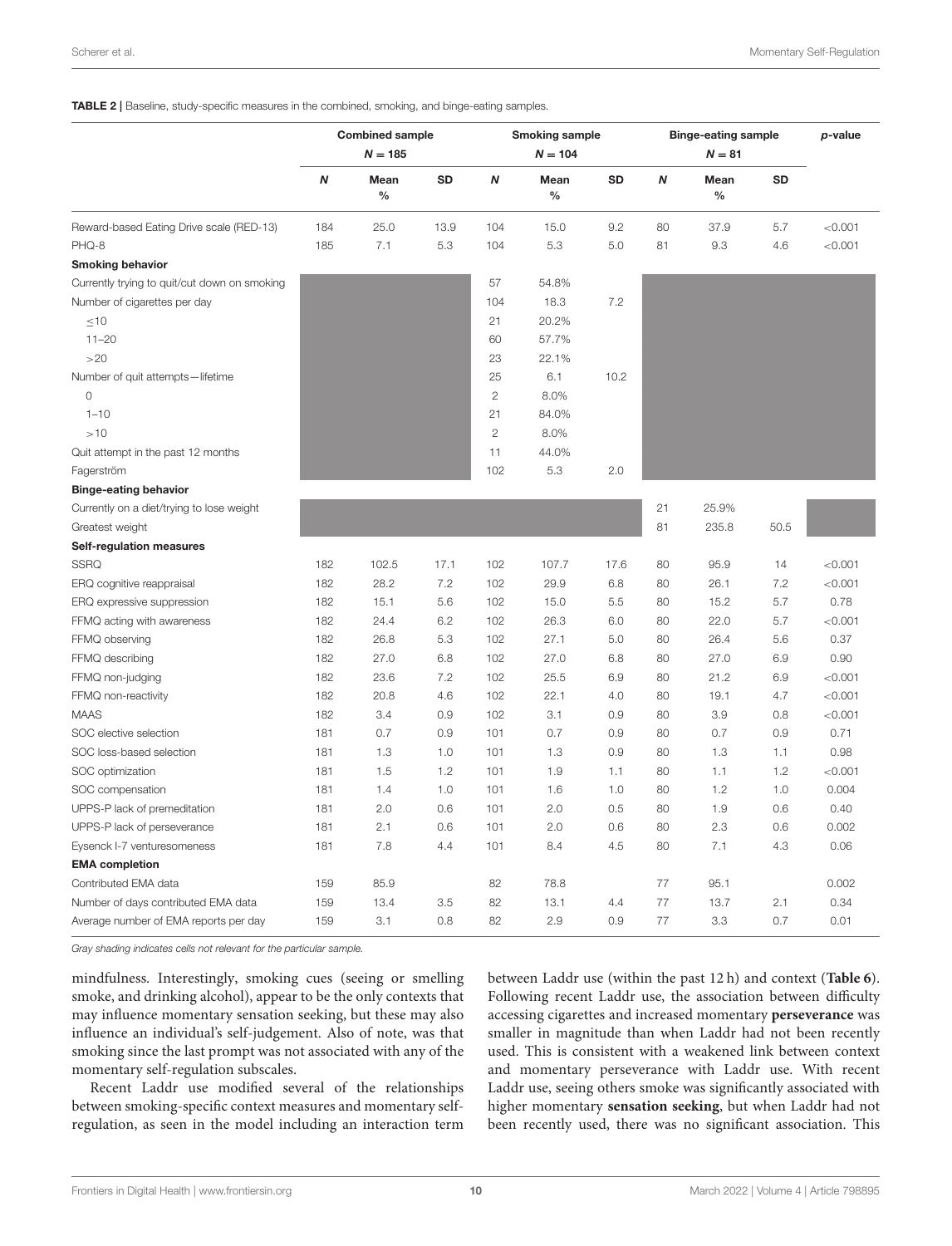#### <span id="page-9-0"></span>TABLE 2 | Baseline, study-specific measures in the combined, smoking, and binge-eating samples.

|                                              |     | <b>Combined sample</b><br>$N = 185$ |      |                | <b>Smoking sample</b><br>$N = 104$ |           |    | <b>Binge-eating sample</b><br>$N = 81$ |           | p-value |
|----------------------------------------------|-----|-------------------------------------|------|----------------|------------------------------------|-----------|----|----------------------------------------|-----------|---------|
|                                              | N   | Mean<br>$\frac{0}{0}$               | SD   | N              | Mean<br>$\%$                       | <b>SD</b> | N  | Mean<br>$\frac{0}{0}$                  | <b>SD</b> |         |
| Reward-based Eating Drive scale (RED-13)     | 184 | 25.0                                | 13.9 | 104            | 15.0                               | 9.2       | 80 | 37.9                                   | 5.7       | < 0.001 |
| PHQ-8                                        | 185 | 7.1                                 | 5.3  | 104            | 5.3                                | 5.0       | 81 | 9.3                                    | 4.6       | < 0.001 |
| <b>Smoking behavior</b>                      |     |                                     |      |                |                                    |           |    |                                        |           |         |
| Currently trying to quit/cut down on smoking |     |                                     |      | 57             | 54.8%                              |           |    |                                        |           |         |
| Number of cigarettes per day                 |     |                                     |      | 104            | 18.3                               | 7.2       |    |                                        |           |         |
| $\leq 10$                                    |     |                                     |      | 21             | 20.2%                              |           |    |                                        |           |         |
| $11 - 20$                                    |     |                                     |      | 60             | 57.7%                              |           |    |                                        |           |         |
| >20                                          |     |                                     |      | 23             | 22.1%                              |           |    |                                        |           |         |
| Number of quit attempts-lifetime             |     |                                     |      | 25             | 6.1                                | 10.2      |    |                                        |           |         |
| $\circ$                                      |     |                                     |      | $\overline{2}$ | 8.0%                               |           |    |                                        |           |         |
| $1 - 10$                                     |     |                                     |      | 21             | 84.0%                              |           |    |                                        |           |         |
| >10                                          |     |                                     |      | $\mathbf{2}$   | 8.0%                               |           |    |                                        |           |         |
| Quit attempt in the past 12 months           |     |                                     |      | 11             | 44.0%                              |           |    |                                        |           |         |
| Fagerström                                   |     |                                     |      | 102            | 5.3                                | 2.0       |    |                                        |           |         |
| <b>Binge-eating behavior</b>                 |     |                                     |      |                |                                    |           |    |                                        |           |         |
| Currently on a diet/trying to lose weight    |     |                                     |      |                |                                    |           | 21 | 25.9%                                  |           |         |
| Greatest weight                              |     |                                     |      |                |                                    |           | 81 | 235.8                                  | 50.5      |         |
| Self-regulation measures                     |     |                                     |      |                |                                    |           |    |                                        |           |         |
| <b>SSRQ</b>                                  | 182 | 102.5                               | 17.1 | 102            | 107.7                              | 17.6      | 80 | 95.9                                   | 14        | < 0.001 |
| ERQ cognitive reappraisal                    | 182 | 28.2                                | 7.2  | 102            | 29.9                               | 6.8       | 80 | 26.1                                   | 7.2       | < 0.001 |
| ERQ expressive suppression                   | 182 | 15.1                                | 5.6  | 102            | 15.0                               | 5.5       | 80 | 15.2                                   | 5.7       | 0.78    |
| FFMQ acting with awareness                   | 182 | 24.4                                | 6.2  | 102            | 26.3                               | 6.0       | 80 | 22.0                                   | 5.7       | < 0.001 |
| FFMQ observing                               | 182 | 26.8                                | 5.3  | 102            | 27.1                               | 5.0       | 80 | 26.4                                   | 5.6       | 0.37    |
| FFMQ describing                              | 182 | 27.0                                | 6.8  | 102            | 27.0                               | 6.8       | 80 | 27.0                                   | 6.9       | 0.90    |
| FFMQ non-judging                             | 182 | 23.6                                | 7.2  | 102            | 25.5                               | 6.9       | 80 | 21.2                                   | 6.9       | < 0.001 |
| FFMQ non-reactivity                          | 182 | 20.8                                | 4.6  | 102            | 22.1                               | 4.0       | 80 | 19.1                                   | 4.7       | < 0.001 |
| <b>MAAS</b>                                  | 182 | 3.4                                 | 0.9  | 102            | 3.1                                | 0.9       | 80 | 3.9                                    | 0.8       | < 0.001 |
| SOC elective selection                       | 181 | 0.7                                 | 0.9  | 101            | 0.7                                | 0.9       | 80 | 0.7                                    | 0.9       | 0.71    |
| SOC loss-based selection                     | 181 | 1.3                                 | 1.0  | 101            | 1.3                                | 0.9       | 80 | 1.3                                    | 1.1       | 0.98    |
| SOC optimization                             | 181 | 1.5                                 | 1.2  | 101            | 1.9                                | 1.1       | 80 | 1.1                                    | 1.2       | < 0.001 |
| SOC compensation                             | 181 | 1.4                                 | 1.0  | 101            | 1.6                                | 1.0       | 80 | 1.2                                    | 1.0       | 0.004   |
| UPPS-P lack of premeditation                 | 181 | 2.0                                 | 0.6  | 101            | 2.0                                | 0.5       | 80 | 1.9                                    | 0.6       | 0.40    |
| UPPS-P lack of perseverance                  | 181 | 2.1                                 | 0.6  | 101            | 2.0                                | 0.6       | 80 | 2.3                                    | 0.6       | 0.002   |
| Eysenck I-7 venturesomeness                  | 181 | 7.8                                 | 4.4  | 101            | 8.4                                | 4.5       | 80 | 7.1                                    | 4.3       | 0.06    |
| <b>EMA</b> completion                        |     |                                     |      |                |                                    |           |    |                                        |           |         |
| Contributed EMA data                         | 159 | 85.9                                |      | 82             | 78.8                               |           | 77 | 95.1                                   |           | 0.002   |
| Number of days contributed EMA data          | 159 | 13.4                                | 3.5  | 82             | 13.1                               | 4.4       | 77 | 13.7                                   | 2.1       | 0.34    |
| Average number of EMA reports per day        | 159 | 3.1                                 | 0.8  | 82             | 2.9                                | 0.9       | 77 | 3.3                                    | 0.7       | 0.01    |

*Gray shading indicates cells not relevant for the particular sample.*

mindfulness. Interestingly, smoking cues (seeing or smelling smoke, and drinking alcohol), appear to be the only contexts that may influence momentary sensation seeking, but these may also influence an individual's self-judgement. Also of note, was that smoking since the last prompt was not associated with any of the momentary self-regulation subscales.

Recent Laddr use modified several of the relationships between smoking-specific context measures and momentary selfregulation, as seen in the model including an interaction term between Laddr use (within the past 12 h) and context (**[Table 6](#page-13-0)**). Following recent Laddr use, the association between difficulty accessing cigarettes and increased momentary **perseverance** was smaller in magnitude than when Laddr had not been recently used. This is consistent with a weakened link between context and momentary perseverance with Laddr use. With recent Laddr use, seeing others smoke was significantly associated with higher momentary **sensation seeking**, but when Laddr had not been recently used, there was no significant association. This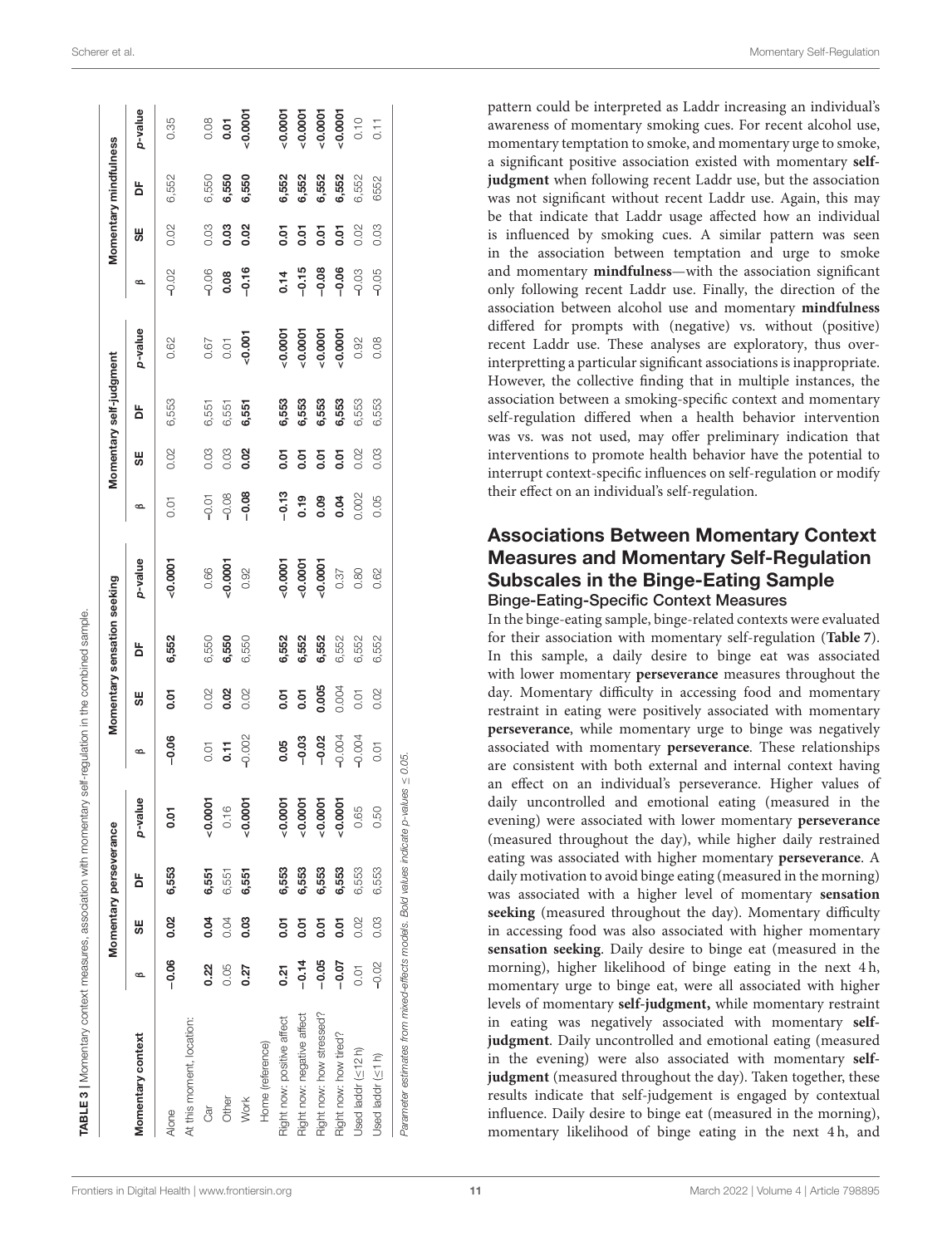|                            |         |             | Momentary perseverance |           |                |       | Momentary sensation seeking |           |         |           | Momentary self-judgment |           |         |       | Momentary mindfulness |           |
|----------------------------|---------|-------------|------------------------|-----------|----------------|-------|-----------------------------|-----------|---------|-----------|-------------------------|-----------|---------|-------|-----------------------|-----------|
| Momentary context          | ∞       | S₩          | ă                      | p-value   | $\circ$        | 95    | ង                           | p-value   | $\circ$ | 95        | ă                       | p-value   | $\circ$ | 55    | ង                     | p-value   |
| Alone                      | $-0.06$ | 0.02        | 6,553                  | 0.01      | $-0.06$        | 5.01  | 6,552                       | 0.0001    | 0.01    | 0.02      | 6,553                   | 0.62      | $-0.02$ | 0.02  | 6,552                 | 0.35      |
| At this moment, location:  |         |             |                        |           |                |       |                             |           |         |           |                         |           |         |       |                       |           |
| ेवा                        | 0.22    | 0.04        | 6,551                  | $-0.0001$ |                | 0.02  | 6,550                       | 0.66      | $-0.01$ | 0.03      | 6,551                   | 0.67      | $-0.06$ | 0.03  | 6,550                 | 0.08      |
| Other                      | 0.05    | 0.04        | 6,551                  | 0.16      | $0.71$<br>0.11 | 0.02  | 6,550                       | $-0.0001$ | $-0.08$ | 0.03      | 6,551                   | 0.01      | 0.08    | 0.03  | 6,550                 | 0.01      |
| <b>Work</b>                | 0.27    | 0.03        | 6,551                  | $-0.0001$ | $-0.002$       | 0.02  | 6,550                       | 0.92      | $-0.08$ | 0.02      | 6,551                   | 0.001     | $-0.16$ | 0.02  | 6,550                 | $-0.0001$ |
| Home (reference)           |         |             |                        |           |                |       |                             |           |         |           |                         |           |         |       |                       |           |
| Right now: positive affect | 0.21    | <b>D.OT</b> | 6,553                  | $-0.0001$ | 0.05           | 5.01  | 6,552                       | $-0.0001$ | $-0.13$ | 0.01      | 6,553                   | $-0.0001$ | 0.14    | 5.01  | 6,552                 | $-0.0001$ |
| Right now: negative affect | $-0.14$ | 5<br>0.01   | 6,553                  | $-0.0001$ | $-0.03$        | 50.07 | 6,552                       | $-0.0001$ | 0.19    | $50 - 01$ | 6,553                   | 0.0007    | $-0.15$ | 0.01  | 6,552                 | 0.0001    |
| Right now: how stressed?   | $-0.05$ | <b>D.OT</b> | 6,553                  | 0.0007    | $-0.02$        | 0.005 | 6,552                       | $-0.0001$ | 0.09    | $50 -$    | 6,553                   | 0.0007    | $-0.08$ | 5.01  | 6,552                 | $-0.0001$ |
| Right now: how tired?      | $-0.07$ | <b>D.OT</b> | 6,553                  | 0.0007    | $-0.004$       | 0.004 | 6,552                       | 0.37      | 0.04    | 50.01     | 6,553                   | 0.0007    | $-0.06$ | 50.07 | 6,552                 | 0.0001    |
| Used laddr $(\leq 12h)$    | 0.01    | 0.02        | 6,553                  | 0.65      | $-0.004$       | 0.01  | 6,552                       | 0.80      | 0.002   | 0.02      | 6,553                   | 0.92      | $-0.03$ | 0.02  | 6,552                 | 0.10      |
| Used laddr $( \leq 1 h )$  | $-0.02$ | 0.03        | 6,553                  | 0.50      | 0.01           | 0.02  | 6,552                       | 0.62      | 0.05    | 0.03      | 6,553                   | 0.08      | $-0.05$ | 0.03  | 6552                  | 0.11      |

pattern could be interpreted as Laddr increasing an individual's awareness of momentary smoking cues. For recent alcohol use, momentary temptation to smoke, and momentary urge to smoke, a significant positive association existed with momentary **selfjudgment** when following recent Laddr use, but the association was not significant without recent Laddr use. Again, this may be that indicate that Laddr usage affected how an individual is influenced by smoking cues. A similar pattern was seen in the association between temptation and urge to smoke and momentary **mindfulness**—with the association significant only following recent Laddr use. Finally, the direction of the association between alcohol use and momentary **mindfulness** differed for prompts with (negative) vs. without (positive) recent Laddr use. These analyses are exploratory, thus overinterpretting a particular significant associations is inappropriate. However, the collective finding that in multiple instances, the association between a smoking-specific context and momentary self-regulation differed when a health behavior intervention was vs. was not used, may offer preliminary indication that interventions to promote health behavior have the potential to interrupt context-specific influences on self-regulation or modify their effect on an individual's self-regulation.

#### Associations Between Momentary Context Measures and Momentary Self-Regulation Subscales in the Binge-Eating Sample Binge-Eating-Specific Context Measures

<span id="page-10-0"></span>In the binge-eating sample, binge-related contexts were evaluated for their association with momentary self-regulation (**[Table 7](#page-15-0)**). In this sample, a daily desire to binge eat was associated with lower momentary **perseverance** measures throughout the day. Momentary difficulty in accessing food and momentary restraint in eating were positively associated with momentary **perseverance**, while momentary urge to binge was negatively associated with momentary **perseverance**. These relationships are consistent with both external and internal context having an effect on an individual's perseverance. Higher values of daily uncontrolled and emotional eating (measured in the evening) were associated with lower momentary **perseverance** (measured throughout the day), while higher daily restrained eating was associated with higher momentary **perseverance**. A daily motivation to avoid binge eating (measured in the morning) was associated with a higher level of momentary **sensation seeking** (measured throughout the day). Momentary difficulty in accessing food was also associated with higher momentary **sensation seeking**. Daily desire to binge eat (measured in the morning), higher likelihood of binge eating in the next 4h, momentary urge to binge eat, were all associated with higher levels of momentary **self-judgment,** while momentary restraint in eating was negatively associated with momentary **selfjudgment**. Daily uncontrolled and emotional eating (measured in the evening) were also associated with momentary **selfjudgment** (measured throughout the day). Taken together, these results indicate that self-judgement is engaged by contextual influence. Daily desire to binge eat (measured in the morning), momentary likelihood of binge eating in the next 4 h, and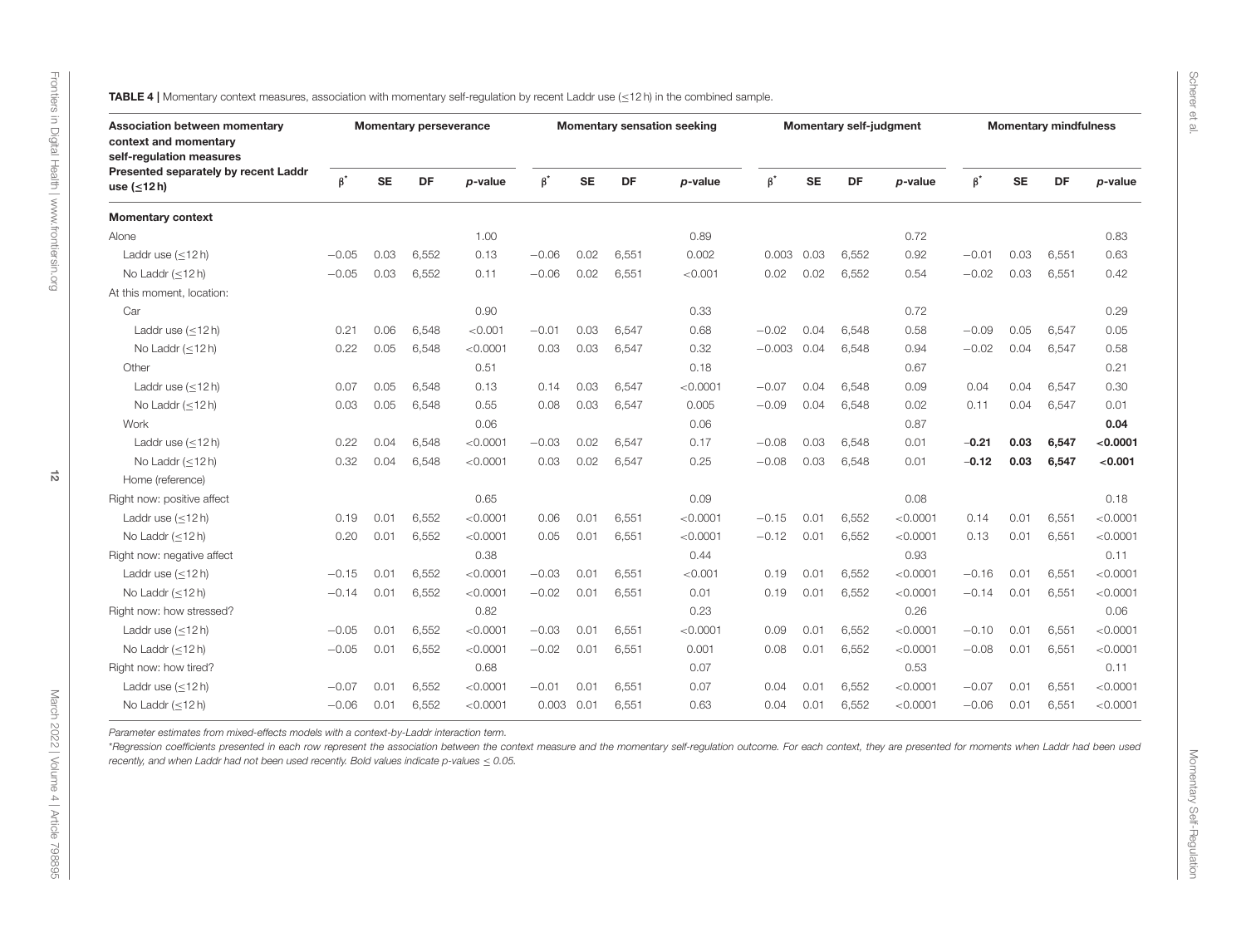<span id="page-11-0"></span>

| Association between momentary<br>context and momentary<br>self-regulation measures |           |           | <b>Momentary perseverance</b> |          |              |           |           | <b>Momentary sensation seeking</b> |           |           | <b>Momentary self-judgment</b> |          |           |           | <b>Momentary mindfulness</b> |          |
|------------------------------------------------------------------------------------|-----------|-----------|-------------------------------|----------|--------------|-----------|-----------|------------------------------------|-----------|-----------|--------------------------------|----------|-----------|-----------|------------------------------|----------|
| Presented separately by recent Laddr<br>use $(\leq 12 h)$                          | $\beta^*$ | <b>SE</b> | DF                            | p-value  | $\beta^*$    | <b>SE</b> | <b>DF</b> | p-value                            | $\beta^*$ | <b>SE</b> | DF                             | p-value  | $\beta^*$ | <b>SE</b> | DF                           | p-value  |
| <b>Momentary context</b>                                                           |           |           |                               |          |              |           |           |                                    |           |           |                                |          |           |           |                              |          |
| Alone                                                                              |           |           |                               | 1.00     |              |           |           | 0.89                               |           |           |                                | 0.72     |           |           |                              | 0.83     |
| Laddr use $(\leq 12 h)$                                                            | $-0.05$   | 0.03      | 6,552                         | 0.13     | $-0.06$      | 0.02      | 6,551     | 0.002                              | 0.003     | 0.03      | 6,552                          | 0.92     | $-0.01$   | 0.03      | 6,551                        | 0.63     |
| No Laddr $(\leq 12 h)$                                                             | $-0.05$   | 0.03      | 6,552                         | 0.11     | $-0.06$      | 0.02      | 6,551     | < 0.001                            | 0.02      | 0.02      | 6,552                          | 0.54     | $-0.02$   | 0.03      | 6,551                        | 0.42     |
| At this moment, location:                                                          |           |           |                               |          |              |           |           |                                    |           |           |                                |          |           |           |                              |          |
| Car                                                                                |           |           |                               | 0.90     |              |           |           | 0.33                               |           |           |                                | 0.72     |           |           |                              | 0.29     |
| Laddr use (<12h)                                                                   | 0.21      | 0.06      | 6.548                         | < 0.001  | $-0.01$      | 0.03      | 6,547     | 0.68                               | $-0.02$   | 0.04      | 6.548                          | 0.58     | $-0.09$   | 0.05      | 6.547                        | 0.05     |
| No Laddr $(\leq 12 h)$                                                             | 0.22      | 0.05      | 6,548                         | < 0.0001 | 0.03         | 0.03      | 6,547     | 0.32                               | $-0.003$  | 0.04      | 6,548                          | 0.94     | $-0.02$   | 0.04      | 6,547                        | 0.58     |
| Other                                                                              |           |           |                               | 0.51     |              |           |           | 0.18                               |           |           |                                | 0.67     |           |           |                              | 0.21     |
| Laddr use $(\leq 12 h)$                                                            | 0.07      | 0.05      | 6,548                         | 0.13     | 0.14         | 0.03      | 6,547     | < 0.0001                           | $-0.07$   | 0.04      | 6,548                          | 0.09     | 0.04      | 0.04      | 6,547                        | 0.30     |
| No Laddr $(\leq 12 h)$                                                             | 0.03      | 0.05      | 6,548                         | 0.55     | 0.08         | 0.03      | 6,547     | 0.005                              | $-0.09$   | 0.04      | 6,548                          | 0.02     | 0.11      | 0.04      | 6,547                        | 0.01     |
| Work                                                                               |           |           |                               | 0.06     |              |           |           | 0.06                               |           |           |                                | 0.87     |           |           |                              | 0.04     |
| Laddr use $(\leq 12 h)$                                                            | 0.22      | 0.04      | 6,548                         | < 0.0001 | $-0.03$      | 0.02      | 6,547     | 0.17                               | $-0.08$   | 0.03      | 6,548                          | 0.01     | $-0.21$   | 0.03      | 6,547                        | < 0.0001 |
| No Laddr $(\leq 12 h)$                                                             | 0.32      | 0.04      | 6.548                         | < 0.0001 | 0.03         | 0.02      | 6,547     | 0.25                               | $-0.08$   | 0.03      | 6,548                          | 0.01     | $-0.12$   | 0.03      | 6,547                        | < 0.001  |
| Home (reference)                                                                   |           |           |                               |          |              |           |           |                                    |           |           |                                |          |           |           |                              |          |
| Right now: positive affect                                                         |           |           |                               | 0.65     |              |           |           | 0.09                               |           |           |                                | 0.08     |           |           |                              | 0.18     |
| Laddr use (<12h)                                                                   | 0.19      | 0.01      | 6,552                         | < 0.0001 | 0.06         | 0.01      | 6,551     | < 0.0001                           | $-0.15$   | 0.01      | 6,552                          | < 0.0001 | 0.14      | 0.01      | 6,551                        | < 0.0001 |
| No Laddr $(\leq 12 h)$                                                             | 0.20      | 0.01      | 6,552                         | < 0.0001 | 0.05         | 0.01      | 6,551     | < 0.0001                           | $-0.12$   | 0.01      | 6,552                          | < 0.0001 | 0.13      | 0.01      | 6,551                        | < 0.0001 |
| Right now: negative affect                                                         |           |           |                               | 0.38     |              |           |           | 0.44                               |           |           |                                | 0.93     |           |           |                              | 0.11     |
| Laddr use $(<12 h)$                                                                | $-0.15$   | 0.01      | 6,552                         | < 0.0001 | $-0.03$      | 0.01      | 6,551     | < 0.001                            | 0.19      | 0.01      | 6,552                          | < 0.0001 | $-0.16$   | 0.01      | 6.551                        | < 0.0001 |
| No Laddr $(<12 h)$                                                                 | $-0.14$   | 0.01      | 6,552                         | < 0.0001 | $-0.02$      | 0.01      | 6,551     | 0.01                               | 0.19      | 0.01      | 6,552                          | < 0.0001 | $-0.14$   | 0.01      | 6,551                        | < 0.0001 |
| Right now: how stressed?                                                           |           |           |                               | 0.82     |              |           |           | 0.23                               |           |           |                                | 0.26     |           |           |                              | 0.06     |
| Laddr use $(\leq 12 h)$                                                            | $-0.05$   | 0.01      | 6,552                         | < 0.0001 | $-0.03$      | 0.01      | 6,551     | < 0.0001                           | 0.09      | 0.01      | 6,552                          | < 0.0001 | $-0.10$   | 0.01      | 6,551                        | < 0.0001 |
| No Laddr $(\leq 12 h)$                                                             | $-0.05$   | 0.01      | 6,552                         | < 0.0001 | $-0.02$      | 0.01      | 6,551     | 0.001                              | 0.08      | 0.01      | 6,552                          | < 0.0001 | $-0.08$   | 0.01      | 6,551                        | < 0.0001 |
| Right now: how tired?                                                              |           |           |                               | 0.68     |              |           |           | 0.07                               |           |           |                                | 0.53     |           |           |                              | 0.11     |
| Laddr use $(\leq 12 h)$                                                            | $-0.07$   | 0.01      | 6,552                         | < 0.0001 | $-0.01$      | 0.01      | 6,551     | 0.07                               | 0.04      | 0.01      | 6,552                          | < 0.0001 | $-0.07$   | 0.01      | 6,551                        | < 0.0001 |
| No Laddr $(<12 h)$                                                                 | $-0.06$   | 0.01      | 6,552                         | < 0.0001 | $0.003$ 0.01 |           | 6,551     | 0.63                               | 0.04      | 0.01      | 6,552                          | < 0.0001 | $-0.06$   | 0.01      | 6,551                        | < 0.0001 |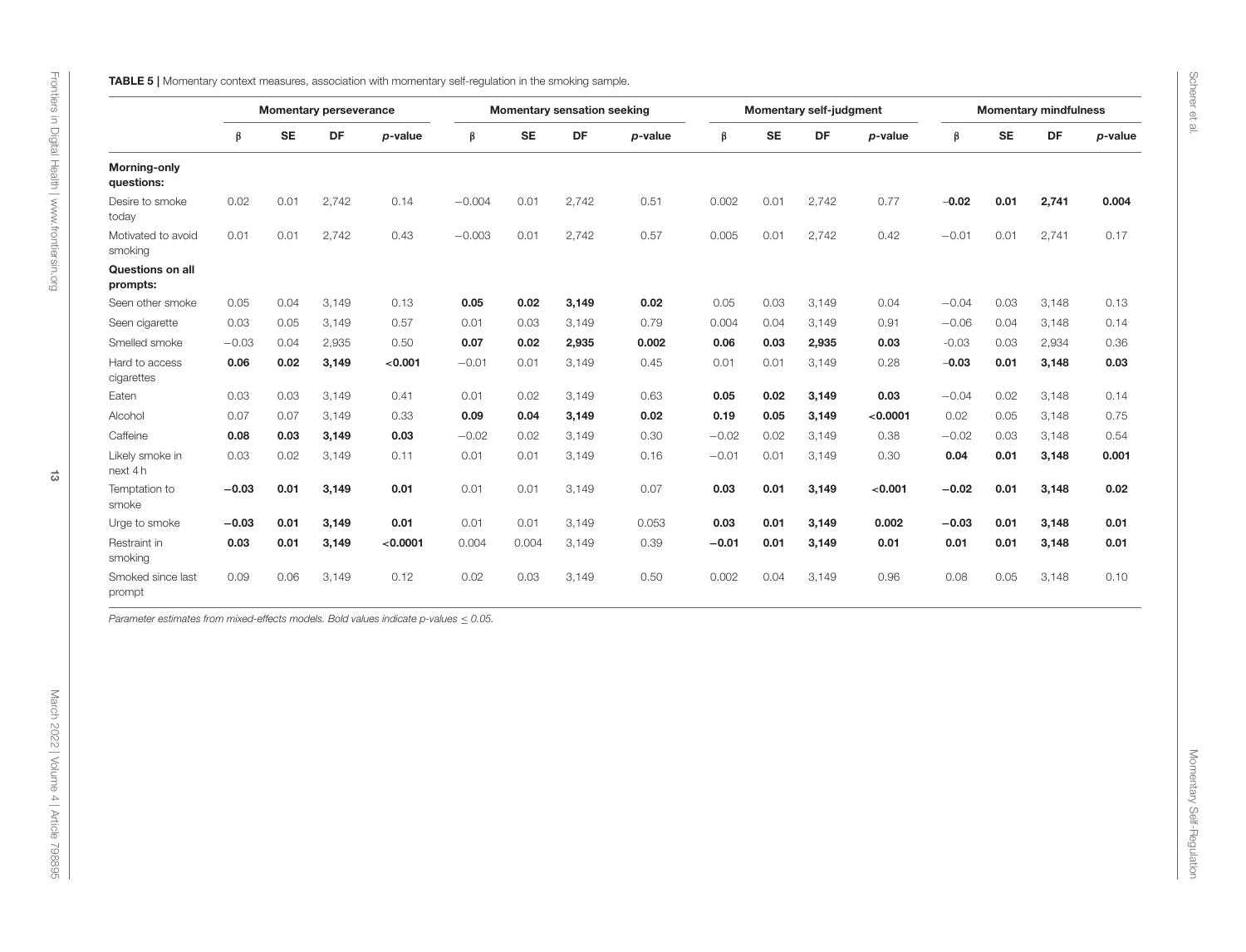<span id="page-12-0"></span>

| DF<br>$\boldsymbol{\beta}$<br>$\boldsymbol{\beta}$<br>$\beta$<br><b>SE</b><br>DF<br>p-value<br>β<br><b>SE</b><br><b>SE</b><br>DF<br><b>SE</b><br>DF<br>p-value<br>p-value<br>p-value<br><b>Morning-only</b><br>questions:<br>0.01<br>2,742<br>Desire to smoke<br>0.02<br>0.14<br>$-0.004$<br>0.01<br>2,742<br>0.51<br>0.002<br>0.01<br>2,742<br>0.77<br>$-0.02$<br>0.01<br>2,741<br>0.004<br>today<br>0.57<br>0.005<br>0.01<br>0.01<br>2,742<br>0.43<br>$-0.003$<br>0.01<br>2,742<br>0.01<br>2,742<br>0.42<br>$-0.01$<br>0.01<br>2,741<br>0.17<br>Motivated to avoid<br>smoking<br>Questions on all<br>prompts:<br>0.05<br>0.04<br>0.05<br>0.02<br>0.02<br>0.05<br>0.03<br>0.04<br>$-0.04$<br>0.03<br>3,148<br>0.13<br>Seen other smoke<br>3,149<br>0.13<br>3,149<br>3,149<br>0.79<br>Seen cigarette<br>0.03<br>0.05<br>3,149<br>0.57<br>0.01<br>0.03<br>3,149<br>0.004<br>0.04<br>3,149<br>0.91<br>$-0.06$<br>0.04<br>3,148<br>0.14<br>Smelled smoke<br>$-0.03$<br>0.04<br>2,935<br>0.50<br>0.07<br>0.02<br>2,935<br>0.002<br>0.06<br>0.03<br>2,935<br>0.03<br>$-0.03$<br>0.03<br>2,934<br>0.36<br>Hard to access<br>0.06<br>0.02<br>3,149<br>< 0.001<br>$-0.01$<br>0.45<br>0.01<br>0.01<br>3,149<br>0.28<br>$-0.03$<br>0.01<br>0.03<br>0.01<br>3,149<br>3,148<br>cigarettes<br>0.03<br>0.05<br>$-0.04$<br>0.02<br>0.03<br>3,149<br>0.41<br>0.01<br>0.02<br>3,149<br>0.63<br>0.02<br>3,149<br>0.03<br>3,148<br>0.14<br>Eaten<br>0.07<br>0.02<br>0.02<br>0.05<br>Alcohol<br>0.07<br>3,149<br>0.33<br>0.09<br>0.04<br>3,149<br>0.19<br>0.05<br>3,149<br>< 0.0001<br>3,148<br>0.75<br>Caffeine<br>0.08<br>0.03<br>0.03<br>$-0.02$<br>0.02<br>3,149<br>0.30<br>$-0.02$<br>0.02<br>3,149<br>0.38<br>$-0.02$<br>0.03<br>3,148<br>0.54<br>3,149<br>0.04<br>0.001<br>Likely smoke in<br>0.03<br>0.02<br>3,149<br>0.11<br>0.01<br>0.01<br>3,149<br>0.16<br>$-0.01$<br>0.01<br>3,149<br>0.30<br>0.01<br>3,148<br>next 4h<br>Temptation to<br>$-0.03$<br>0.01<br>3,149<br>0.01<br>0.01<br>0.01<br>3,149<br>0.07<br>0.03<br>0.01<br>3,149<br>< 0.001<br>$-0.02$<br>0.01<br>3,148<br>0.02<br>smoke<br>Urge to smoke<br>$-0.03$<br>0.01<br>3,149<br>0.01<br>0.01<br>0.01<br>0.053<br>0.03<br>0.01<br>3,149<br>0.002<br>$-0.03$<br>0.01<br>0.01<br>3,149<br>3,148<br>0.03<br>0.01<br>< 0.0001<br>0.39<br>$-0.01$<br>0.01<br>0.01<br>0.01<br>0.01<br>Restraint in<br>3,149<br>0.004<br>0.004<br>3,149<br>3,149<br>0.01<br>3,148<br>smoking<br>0.09<br>0.06<br>3,149<br>0.02<br>0.50<br>0.002<br>0.04<br>3,149<br>0.96<br>0.08<br>0.05<br>3,148<br>Smoked since last<br>0.12<br>0.03<br>3,149<br>0.10<br>prompt |
|-------------------------------------------------------------------------------------------------------------------------------------------------------------------------------------------------------------------------------------------------------------------------------------------------------------------------------------------------------------------------------------------------------------------------------------------------------------------------------------------------------------------------------------------------------------------------------------------------------------------------------------------------------------------------------------------------------------------------------------------------------------------------------------------------------------------------------------------------------------------------------------------------------------------------------------------------------------------------------------------------------------------------------------------------------------------------------------------------------------------------------------------------------------------------------------------------------------------------------------------------------------------------------------------------------------------------------------------------------------------------------------------------------------------------------------------------------------------------------------------------------------------------------------------------------------------------------------------------------------------------------------------------------------------------------------------------------------------------------------------------------------------------------------------------------------------------------------------------------------------------------------------------------------------------------------------------------------------------------------------------------------------------------------------------------------------------------------------------------------------------------------------------------------------------------------------------------------------------------------------------------------------------------------------------------------------------------------------------------------------------------------------------------------------------------------------------------------------------------------------------------------------------------------------------------------------------------------------------|
|                                                                                                                                                                                                                                                                                                                                                                                                                                                                                                                                                                                                                                                                                                                                                                                                                                                                                                                                                                                                                                                                                                                                                                                                                                                                                                                                                                                                                                                                                                                                                                                                                                                                                                                                                                                                                                                                                                                                                                                                                                                                                                                                                                                                                                                                                                                                                                                                                                                                                                                                                                                                 |
|                                                                                                                                                                                                                                                                                                                                                                                                                                                                                                                                                                                                                                                                                                                                                                                                                                                                                                                                                                                                                                                                                                                                                                                                                                                                                                                                                                                                                                                                                                                                                                                                                                                                                                                                                                                                                                                                                                                                                                                                                                                                                                                                                                                                                                                                                                                                                                                                                                                                                                                                                                                                 |
|                                                                                                                                                                                                                                                                                                                                                                                                                                                                                                                                                                                                                                                                                                                                                                                                                                                                                                                                                                                                                                                                                                                                                                                                                                                                                                                                                                                                                                                                                                                                                                                                                                                                                                                                                                                                                                                                                                                                                                                                                                                                                                                                                                                                                                                                                                                                                                                                                                                                                                                                                                                                 |
|                                                                                                                                                                                                                                                                                                                                                                                                                                                                                                                                                                                                                                                                                                                                                                                                                                                                                                                                                                                                                                                                                                                                                                                                                                                                                                                                                                                                                                                                                                                                                                                                                                                                                                                                                                                                                                                                                                                                                                                                                                                                                                                                                                                                                                                                                                                                                                                                                                                                                                                                                                                                 |
|                                                                                                                                                                                                                                                                                                                                                                                                                                                                                                                                                                                                                                                                                                                                                                                                                                                                                                                                                                                                                                                                                                                                                                                                                                                                                                                                                                                                                                                                                                                                                                                                                                                                                                                                                                                                                                                                                                                                                                                                                                                                                                                                                                                                                                                                                                                                                                                                                                                                                                                                                                                                 |
|                                                                                                                                                                                                                                                                                                                                                                                                                                                                                                                                                                                                                                                                                                                                                                                                                                                                                                                                                                                                                                                                                                                                                                                                                                                                                                                                                                                                                                                                                                                                                                                                                                                                                                                                                                                                                                                                                                                                                                                                                                                                                                                                                                                                                                                                                                                                                                                                                                                                                                                                                                                                 |
|                                                                                                                                                                                                                                                                                                                                                                                                                                                                                                                                                                                                                                                                                                                                                                                                                                                                                                                                                                                                                                                                                                                                                                                                                                                                                                                                                                                                                                                                                                                                                                                                                                                                                                                                                                                                                                                                                                                                                                                                                                                                                                                                                                                                                                                                                                                                                                                                                                                                                                                                                                                                 |
|                                                                                                                                                                                                                                                                                                                                                                                                                                                                                                                                                                                                                                                                                                                                                                                                                                                                                                                                                                                                                                                                                                                                                                                                                                                                                                                                                                                                                                                                                                                                                                                                                                                                                                                                                                                                                                                                                                                                                                                                                                                                                                                                                                                                                                                                                                                                                                                                                                                                                                                                                                                                 |
|                                                                                                                                                                                                                                                                                                                                                                                                                                                                                                                                                                                                                                                                                                                                                                                                                                                                                                                                                                                                                                                                                                                                                                                                                                                                                                                                                                                                                                                                                                                                                                                                                                                                                                                                                                                                                                                                                                                                                                                                                                                                                                                                                                                                                                                                                                                                                                                                                                                                                                                                                                                                 |
|                                                                                                                                                                                                                                                                                                                                                                                                                                                                                                                                                                                                                                                                                                                                                                                                                                                                                                                                                                                                                                                                                                                                                                                                                                                                                                                                                                                                                                                                                                                                                                                                                                                                                                                                                                                                                                                                                                                                                                                                                                                                                                                                                                                                                                                                                                                                                                                                                                                                                                                                                                                                 |
|                                                                                                                                                                                                                                                                                                                                                                                                                                                                                                                                                                                                                                                                                                                                                                                                                                                                                                                                                                                                                                                                                                                                                                                                                                                                                                                                                                                                                                                                                                                                                                                                                                                                                                                                                                                                                                                                                                                                                                                                                                                                                                                                                                                                                                                                                                                                                                                                                                                                                                                                                                                                 |
|                                                                                                                                                                                                                                                                                                                                                                                                                                                                                                                                                                                                                                                                                                                                                                                                                                                                                                                                                                                                                                                                                                                                                                                                                                                                                                                                                                                                                                                                                                                                                                                                                                                                                                                                                                                                                                                                                                                                                                                                                                                                                                                                                                                                                                                                                                                                                                                                                                                                                                                                                                                                 |
|                                                                                                                                                                                                                                                                                                                                                                                                                                                                                                                                                                                                                                                                                                                                                                                                                                                                                                                                                                                                                                                                                                                                                                                                                                                                                                                                                                                                                                                                                                                                                                                                                                                                                                                                                                                                                                                                                                                                                                                                                                                                                                                                                                                                                                                                                                                                                                                                                                                                                                                                                                                                 |
|                                                                                                                                                                                                                                                                                                                                                                                                                                                                                                                                                                                                                                                                                                                                                                                                                                                                                                                                                                                                                                                                                                                                                                                                                                                                                                                                                                                                                                                                                                                                                                                                                                                                                                                                                                                                                                                                                                                                                                                                                                                                                                                                                                                                                                                                                                                                                                                                                                                                                                                                                                                                 |
|                                                                                                                                                                                                                                                                                                                                                                                                                                                                                                                                                                                                                                                                                                                                                                                                                                                                                                                                                                                                                                                                                                                                                                                                                                                                                                                                                                                                                                                                                                                                                                                                                                                                                                                                                                                                                                                                                                                                                                                                                                                                                                                                                                                                                                                                                                                                                                                                                                                                                                                                                                                                 |
|                                                                                                                                                                                                                                                                                                                                                                                                                                                                                                                                                                                                                                                                                                                                                                                                                                                                                                                                                                                                                                                                                                                                                                                                                                                                                                                                                                                                                                                                                                                                                                                                                                                                                                                                                                                                                                                                                                                                                                                                                                                                                                                                                                                                                                                                                                                                                                                                                                                                                                                                                                                                 |
|                                                                                                                                                                                                                                                                                                                                                                                                                                                                                                                                                                                                                                                                                                                                                                                                                                                                                                                                                                                                                                                                                                                                                                                                                                                                                                                                                                                                                                                                                                                                                                                                                                                                                                                                                                                                                                                                                                                                                                                                                                                                                                                                                                                                                                                                                                                                                                                                                                                                                                                                                                                                 |

Scherer et al.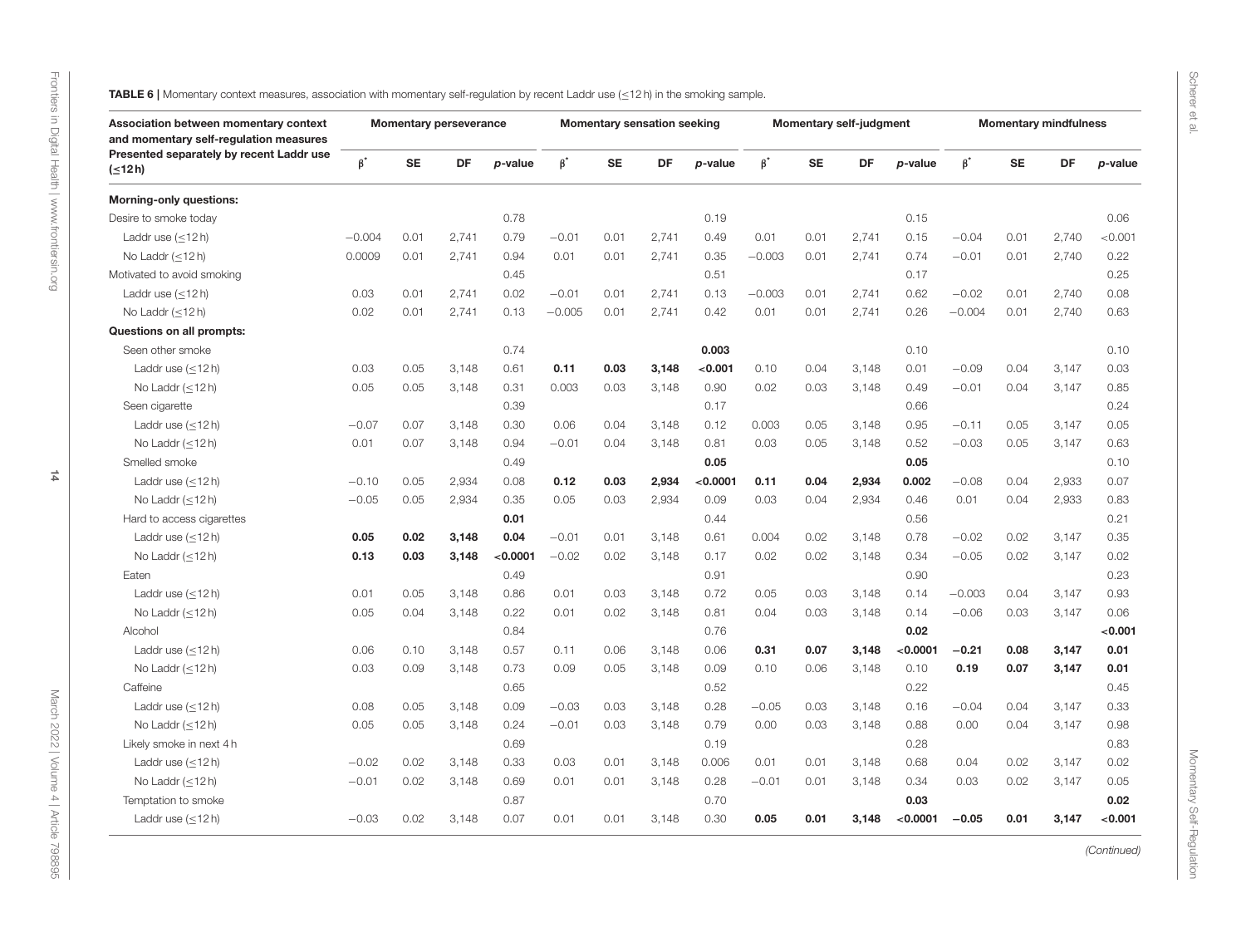Scherer et al.

<span id="page-13-0"></span>

| Association between momentary context<br>and momentary self-regulation measures |           |           | <b>Momentary perseverance</b> |          |           |           | <b>Momentary sensation seeking</b> |          |           |           | <b>Momentary self-judgment</b> |          |           |           | <b>Momentary mindfulness</b> |         |
|---------------------------------------------------------------------------------|-----------|-----------|-------------------------------|----------|-----------|-----------|------------------------------------|----------|-----------|-----------|--------------------------------|----------|-----------|-----------|------------------------------|---------|
| Presented separately by recent Laddr use<br>$( \leq 12 h)$                      | $\beta^*$ | <b>SE</b> | DF                            | p-value  | $\beta^*$ | <b>SE</b> | DF                                 | p-value  | $\beta^*$ | <b>SE</b> | DF                             | p-value  | $\beta^*$ | <b>SE</b> | <b>DF</b>                    | p-value |
| <b>Morning-only questions:</b>                                                  |           |           |                               |          |           |           |                                    |          |           |           |                                |          |           |           |                              |         |
| Desire to smoke today                                                           |           |           |                               | 0.78     |           |           |                                    | 0.19     |           |           |                                | 0.15     |           |           |                              | 0.06    |
| Laddr use $(\leq 12 h)$                                                         | $-0.004$  | 0.01      | 2,741                         | 0.79     | $-0.01$   | 0.01      | 2,741                              | 0.49     | 0.01      | 0.01      | 2,741                          | 0.15     | $-0.04$   | 0.01      | 2,740                        | < 0.001 |
| No Laddr $(\leq 12 h)$                                                          | 0.0009    | 0.01      | 2,741                         | 0.94     | 0.01      | 0.01      | 2,741                              | 0.35     | $-0.003$  | 0.01      | 2,741                          | 0.74     | $-0.01$   | 0.01      | 2,740                        | 0.22    |
| Motivated to avoid smoking                                                      |           |           |                               | 0.45     |           |           |                                    | 0.51     |           |           |                                | 0.17     |           |           |                              | 0.25    |
| Laddr use $(\leq 12 h)$                                                         | 0.03      | 0.01      | 2.741                         | 0.02     | $-0.01$   | 0.01      | 2.741                              | 0.13     | $-0.003$  | 0.01      | 2.741                          | 0.62     | $-0.02$   | 0.01      | 2.740                        | 0.08    |
| No Laddr $(<12 h)$                                                              | 0.02      | 0.01      | 2,741                         | 0.13     | $-0.005$  | 0.01      | 2,741                              | 0.42     | 0.01      | 0.01      | 2,741                          | 0.26     | $-0.004$  | 0.01      | 2,740                        | 0.63    |
| Questions on all prompts:                                                       |           |           |                               |          |           |           |                                    |          |           |           |                                |          |           |           |                              |         |
| Seen other smoke                                                                |           |           |                               | 0.74     |           |           |                                    | 0.003    |           |           |                                | 0.10     |           |           |                              | 0.10    |
| Laddr use $(\leq 12 h)$                                                         | 0.03      | 0.05      | 3,148                         | 0.61     | 0.11      | 0.03      | 3,148                              | <0.001   | 0.10      | 0.04      | 3,148                          | 0.01     | $-0.09$   | 0.04      | 3,147                        | 0.03    |
| No Laddr $(<12 h)$                                                              | 0.05      | 0.05      | 3,148                         | 0.31     | 0.003     | 0.03      | 3,148                              | 0.90     | 0.02      | 0.03      | 3,148                          | 0.49     | $-0.01$   | 0.04      | 3,147                        | 0.85    |
| Seen cigarette                                                                  |           |           |                               | 0.39     |           |           |                                    | 0.17     |           |           |                                | 0.66     |           |           |                              | 0.24    |
| Laddr use $(\leq 12 h)$                                                         | $-0.07$   | 0.07      | 3,148                         | 0.30     | 0.06      | 0.04      | 3,148                              | 0.12     | 0.003     | 0.05      | 3,148                          | 0.95     | $-0.11$   | 0.05      | 3,147                        | 0.05    |
| No Laddr $(\leq 12 h)$                                                          | 0.01      | 0.07      | 3,148                         | 0.94     | $-0.01$   | 0.04      | 3,148                              | 0.81     | 0.03      | 0.05      | 3,148                          | 0.52     | $-0.03$   | 0.05      | 3,147                        | 0.63    |
| Smelled smoke                                                                   |           |           |                               | 0.49     |           |           |                                    | 0.05     |           |           |                                | 0.05     |           |           |                              | 0.10    |
| Laddr use $(<12 h)$                                                             | $-0.10$   | 0.05      | 2.934                         | 0.08     | 0.12      | 0.03      | 2,934                              | < 0.0001 | 0.11      | 0.04      | 2,934                          | 0.002    | $-0.08$   | 0.04      | 2.933                        | 0.07    |
| No Laddr $(\leq 12 h)$                                                          | $-0.05$   | 0.05      | 2,934                         | 0.35     | 0.05      | 0.03      | 2,934                              | 0.09     | 0.03      | 0.04      | 2,934                          | 0.46     | 0.01      | 0.04      | 2,933                        | 0.83    |
| Hard to access cigarettes                                                       |           |           |                               | 0.01     |           |           |                                    | 0.44     |           |           |                                | 0.56     |           |           |                              | 0.21    |
| Laddr use $(\leq 12 h)$                                                         | 0.05      | 0.02      | 3,148                         | 0.04     | $-0.01$   | 0.01      | 3,148                              | 0.61     | 0.004     | 0.02      | 3,148                          | 0.78     | $-0.02$   | 0.02      | 3,147                        | 0.35    |
| No Laddr $(<12 h)$                                                              | 0.13      | 0.03      | 3,148                         | < 0.0001 | $-0.02$   | 0.02      | 3,148                              | 0.17     | 0.02      | 0.02      | 3.148                          | 0.34     | $-0.05$   | 0.02      | 3,147                        | 0.02    |
| Eaten                                                                           |           |           |                               | 0.49     |           |           |                                    | 0.91     |           |           |                                | 0.90     |           |           |                              | 0.23    |
| Laddr use $(\leq 12 h)$                                                         | 0.01      | 0.05      | 3,148                         | 0.86     | 0.01      | 0.03      | 3,148                              | 0.72     | 0.05      | 0.03      | 3,148                          | 0.14     | $-0.003$  | 0.04      | 3,147                        | 0.93    |
| No Laddr $(<12 h)$                                                              | 0.05      | 0.04      | 3,148                         | 0.22     | 0.01      | 0.02      | 3,148                              | 0.81     | 0.04      | 0.03      | 3,148                          | 0.14     | $-0.06$   | 0.03      | 3,147                        | 0.06    |
| Alcohol                                                                         |           |           |                               | 0.84     |           |           |                                    | 0.76     |           |           |                                | 0.02     |           |           |                              | < 0.001 |
| Laddr use $(\leq 12 h)$                                                         | 0.06      | 0.10      | 3,148                         | 0.57     | 0.11      | 0.06      | 3,148                              | 0.06     | 0.31      | 0.07      | 3,148                          | < 0.0001 | $-0.21$   | 0.08      | 3,147                        | 0.01    |
| No Laddr $(\leq 12 h)$                                                          | 0.03      | 0.09      | 3,148                         | 0.73     | 0.09      | 0.05      | 3,148                              | 0.09     | 0.10      | 0.06      | 3,148                          | 0.10     | 0.19      | 0.07      | 3,147                        | 0.01    |
| Caffeine                                                                        |           |           |                               | 0.65     |           |           |                                    | 0.52     |           |           |                                | 0.22     |           |           |                              | 0.45    |
| Laddr use $(\leq 12 h)$                                                         | 0.08      | 0.05      | 3,148                         | 0.09     | $-0.03$   | 0.03      | 3,148                              | 0.28     | $-0.05$   | 0.03      | 3,148                          | 0.16     | $-0.04$   | 0.04      | 3,147                        | 0.33    |
| No Laddr $(<12 h)$                                                              | 0.05      | 0.05      | 3.148                         | 0.24     | $-0.01$   | 0.03      | 3,148                              | 0.79     | 0.00      | 0.03      | 3,148                          | 0.88     | 0.00      | 0.04      | 3,147                        | 0.98    |
| Likely smoke in next 4 h                                                        |           |           |                               | 0.69     |           |           |                                    | 0.19     |           |           |                                | 0.28     |           |           |                              | 0.83    |
| Laddr use $(\leq 12 h)$                                                         | $-0.02$   | 0.02      | 3,148                         | 0.33     | 0.03      | 0.01      | 3,148                              | 0.006    | 0.01      | 0.01      | 3,148                          | 0.68     | 0.04      | 0.02      | 3,147                        | 0.02    |
| No Laddr $(\leq 12 h)$                                                          | $-0.01$   | 0.02      | 3,148                         | 0.69     | 0.01      | 0.01      | 3,148                              | 0.28     | $-0.01$   | 0.01      | 3,148                          | 0.34     | 0.03      | 0.02      | 3,147                        | 0.05    |
| Temptation to smoke                                                             |           |           |                               | 0.87     |           |           |                                    | 0.70     |           |           |                                | 0.03     |           |           |                              | 0.02    |
| Laddr use $(\leq 12 h)$                                                         | $-0.03$   | 0.02      | 3,148                         | 0.07     | 0.01      | 0.01      | 3,148                              | 0.30     | 0.05      | 0.01      | 3,148                          | < 0.0001 | $-0.05$   | 0.01      | 3,147                        | < 0.001 |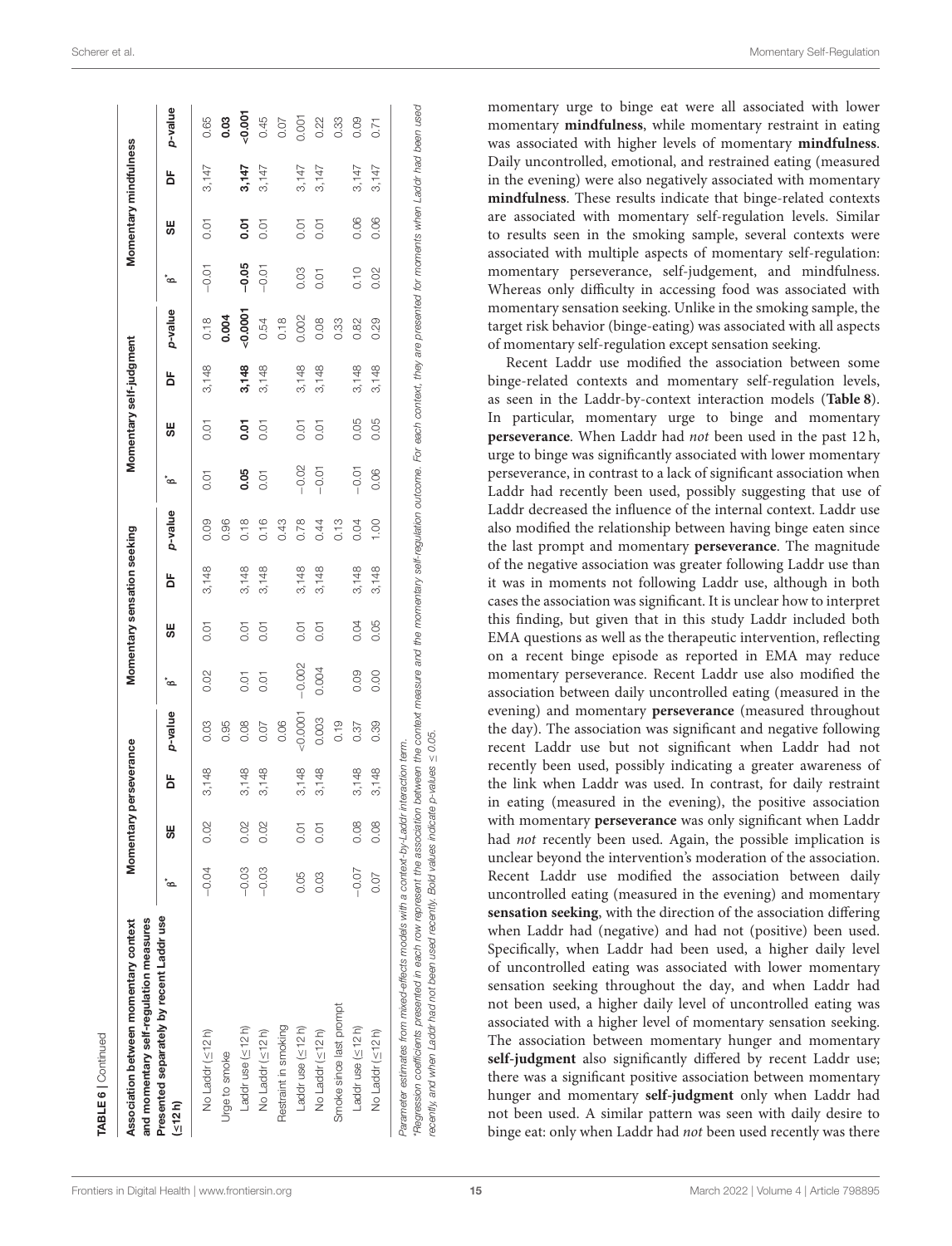| and momentary self-regulation measures<br>Association between momentary context                                                                                                                                                                                                                                                                                                             |         |      | Momentary perseverance |         |                |      | Momentary sensation seeking |         |         |      | Momentary self-judgment |         |         |      | Momentary mindfulness |          |
|---------------------------------------------------------------------------------------------------------------------------------------------------------------------------------------------------------------------------------------------------------------------------------------------------------------------------------------------------------------------------------------------|---------|------|------------------------|---------|----------------|------|-----------------------------|---------|---------|------|-------------------------|---------|---------|------|-----------------------|----------|
| Presented separately by recent Laddr use<br>(12h)                                                                                                                                                                                                                                                                                                                                           | ്ക      | 56   | 눔                      | p-value | $\mathbf{g}^*$ | 5€   | ă                           | p-value | ်ာ      | S₩   | 눔                       | p-value | ోది     | 5€   | ă                     | p-value  |
| No Laddr (<12h)                                                                                                                                                                                                                                                                                                                                                                             | $-0.04$ | 0.02 | 3,148                  | 0.03    | 0.02           | 0.01 | 3,148                       | 0.09    | 0.01    | 0.01 | 3,148                   | 0.18    | $-0.01$ | 0.01 | 3,147                 | 0.65     |
| Urge to smoke                                                                                                                                                                                                                                                                                                                                                                               |         |      |                        | 0.95    |                |      |                             | 0.96    |         |      |                         | 0.004   |         |      |                       | 0.03     |
| Laddr use (<12h)                                                                                                                                                                                                                                                                                                                                                                            | $-0.03$ | 0.02 | 3,148                  | 0.08    | 0.01           | 0.01 | 3,148                       | 0.18    | 0.05    | 50.0 | 3,148                   | 0.0001  | $-0.05$ | 50.0 | 3,147                 | $-0.001$ |
| No Laddr (≤12h)                                                                                                                                                                                                                                                                                                                                                                             | $-0.03$ | 0.02 | 3,148                  | 0.07    | 0.01           | 0.01 | 3,148                       | 0.16    | 0.01    | 0.01 | 3,148                   | 0.54    | $-0.01$ | 0.01 | 3,147                 | 0.45     |
| Restraint in smoking                                                                                                                                                                                                                                                                                                                                                                        |         |      |                        | 0.06    |                |      |                             | 0.43    |         |      |                         | 0.18    |         |      |                       | 0.07     |
| Laddr use (<12h)                                                                                                                                                                                                                                                                                                                                                                            | 0.05    | 0.01 | 3,148                  | 0.0001  | $-0.002$       | 0.01 | 3,148                       | 0.78    | $-0.02$ | 0.01 | 3,148                   | 0.002   | 0.03    | 0.01 | 3,147                 | 0.001    |
| No Laddr (<12h)                                                                                                                                                                                                                                                                                                                                                                             | 0.03    | 0.01 | 3,148                  | 0.003   | 0.004          | 0.01 | 3,148                       | 0.44    | $-0.01$ | 0.01 | 3,148                   | 0.08    | 0.01    | 0.01 | 3,147                 | 0.22     |
| Smoke since last prompt                                                                                                                                                                                                                                                                                                                                                                     |         |      |                        | 0.19    |                |      |                             | 0.13    |         |      |                         | 0.33    |         |      |                       | 0.33     |
| Laddr use (<12h)                                                                                                                                                                                                                                                                                                                                                                            | $-0.07$ | 0.08 | 3,148                  | 0.37    | 0.09           | 0.04 | 3,148                       | 0.04    | $-0.01$ | 0.05 | 3,148                   | 0.82    | 0.10    | 0.06 | 3,147                 | 0.09     |
| No Laddr (<12h)                                                                                                                                                                                                                                                                                                                                                                             | 0.07    | 0.08 | 3,148                  | 0.39    | 0.00           | 0.05 | 3,148                       | 00.1    | 0.06    | 0.05 | 3,148                   | 0.29    | 0.02    | 0.06 | 3,147                 | 0.71     |
| *Regression coefficients presented in each row represent the association between the context one moment conference for each context, they are presented for moments when Laddr had been used<br>recently, and when Laddr had not been used recently. Bold values indicate p-values $\leq 0.05$ .<br>Parameter estimates from mixed-effects models with a context-by-Laddr interaction term. |         |      |                        |         |                |      |                             |         |         |      |                         |         |         |      |                       |          |

momentary urge to binge eat were all associated with lower momentary **mindfulness**, while momentary restraint in eating was associated with higher levels of momentary **mindfulness**. Daily uncontrolled, emotional, and restrained eating (measured in the evening) were also negatively associated with momentary **mindfulness**. These results indicate that binge-related contexts are associated with momentary self-regulation levels. Similar to results seen in the smoking sample, several contexts were associated with multiple aspects of momentary self-regulation: momentary perseverance, self-judgement, and mindfulness. Whereas only difficulty in accessing food was associated with momentary sensation seeking. Unlike in the smoking sample, the target risk behavior (binge-eating) was associated with all aspects of momentary self-regulation except sensation seeking.

Recent Laddr use modified the association between some binge-related contexts and momentary self-regulation levels, as seen in the Laddr-by-context interaction models (**[Table 8](#page-16-0)**). In particular, momentary urge to binge and momentary **perseverance**. When Laddr had not been used in the past 12 h, urge to binge was significantly associated with lower momentary perseverance, in contrast to a lack of significant association when Laddr had recently been used, possibly suggesting that use of Laddr decreased the influence of the internal context. Laddr use also modified the relationship between having binge eaten since the last prompt and momentary **perseverance**. The magnitude of the negative association was greater following Laddr use than it was in moments not following Laddr use, although in both cases the association was significant. It is unclear how to interpret this finding, but given that in this study Laddr included both EMA questions as well as the therapeutic intervention, reflecting on a recent binge episode as reported in EMA may reduce momentary perseverance. Recent Laddr use also modified the association between daily uncontrolled eating (measured in the evening) and momentary **perseverance** (measured throughout the day). The association was significant and negative following recent Laddr use but not significant when Laddr had not recently been used, possibly indicating a greater awareness of the link when Laddr was used. In contrast, for daily restraint in eating (measured in the evening), the positive association with momentary **perseverance** was only significant when Laddr had not recently been used. Again, the possible implication is unclear beyond the intervention's moderation of the association. Recent Laddr use modified the association between daily uncontrolled eating (measured in the evening) and momentary **sensation seeking**, with the direction of the association differing when Laddr had (negative) and had not (positive) been used. Specifically, when Laddr had been used, a higher daily level of uncontrolled eating was associated with lower momentary sensation seeking throughout the day, and when Laddr had not been used, a higher daily level of uncontrolled eating was associated with a higher level of momentary sensation seeking. The association between momentary hunger and momentary **self-judgment** also significantly differed by recent Laddr use; there was a significant positive association between momentary hunger and momentary **self-judgment** only when Laddr had not been used. A similar pattern was seen with daily desire to binge eat: only when Laddr had not been used recently was there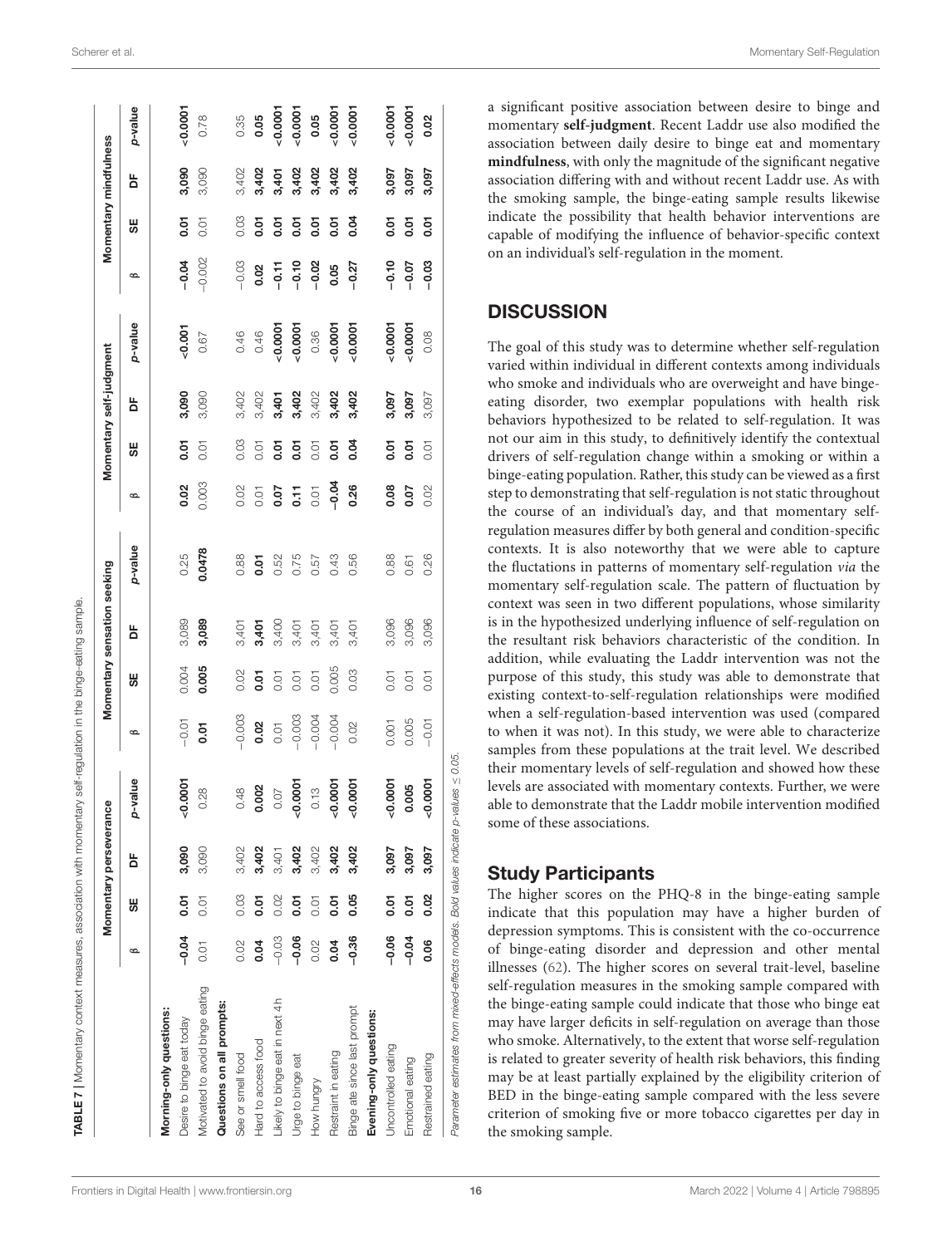| 0.03<br>0.04<br>5.01<br>0.01<br>$50 -$<br>500<br>5.01<br>59<br>0.01<br>0.01<br>S₩<br>$-0.04$<br>0.003<br>0.26<br>0.02<br>0.02<br>0.08<br>0.07<br>0.11<br>0.01<br>0.01<br>B<br>p-value<br>0.0478<br>0.25<br>0.75<br>0.88<br>0.43<br>0.56<br>0.88<br>0.52<br>50.07<br>0.57<br>3,096<br>3,089<br>3,089<br>3,400<br>3,401<br>3,401<br>3,401<br>3,401<br>3,401<br>3,401<br>눕<br>0.004<br>0.005<br>0.005<br>0.02<br>0.03<br>$\overline{5}$<br>0.01<br>0.01<br>0.01<br>S₩<br>0.01<br>$-0.003$<br>$-0.003$<br>$-0.004$<br>$-0.004$<br>$-0.01$<br>0.02<br>0.001<br>0.02<br>0.01<br>50.07<br>$\infty$<br>-value<br>0.0001<br>0.0007<br>0.0001<br>$-0.0001$<br>$-0.0001$<br>0.002<br>0.48<br>0.13<br>0.28<br>0.07<br>Q<br>3,090<br>3,402<br>3,402<br>3,402<br>3,402<br>3,402<br>3,402<br>3,090<br>3,097<br>3,401<br>ă<br>0.03<br>0.02<br>0.05<br><b>5.01</b><br><b>D.OT</b><br>5.01<br>5.01<br>5<br>0.01<br>0.01<br>0.01<br>S₩<br>$-0.04$<br>$-0.06$<br>$-0.06$<br>$-0.03$<br>$-0.36$<br>0.02<br>0.04<br>0.02<br>0.04<br>0.01<br>B<br>Motivated to avoid binge eating<br>Likely to binge eat in next 4h<br>Questions on all prompts:<br>Binge ate since last prompt<br>Morning-only questions:<br>Evening-only questions:<br>Desire to binge eat today<br>Hard to access food<br>Uncontrolled eating<br>Restraint in eating<br>See or smell food<br>Urge to binge eat<br>How hungry |         | Momentary perseveran | ပ္ပိ  |       |      | Momentary sensation seeking |      |      |                | Momentary self-judgment |           |          |                | Momentary mindfulness |           |
|--------------------------------------------------------------------------------------------------------------------------------------------------------------------------------------------------------------------------------------------------------------------------------------------------------------------------------------------------------------------------------------------------------------------------------------------------------------------------------------------------------------------------------------------------------------------------------------------------------------------------------------------------------------------------------------------------------------------------------------------------------------------------------------------------------------------------------------------------------------------------------------------------------------------------------------------------------------------------------------------------------------------------------------------------------------------------------------------------------------------------------------------------------------------------------------------------------------------------------------------------------------------------------------------------------------------------------------------------------------------------|---------|----------------------|-------|-------|------|-----------------------------|------|------|----------------|-------------------------|-----------|----------|----------------|-----------------------|-----------|
|                                                                                                                                                                                                                                                                                                                                                                                                                                                                                                                                                                                                                                                                                                                                                                                                                                                                                                                                                                                                                                                                                                                                                                                                                                                                                                                                                                          |         |                      |       |       |      |                             |      |      |                | ă                       | p-value   | B        | S₩             | 눕                     | p-value   |
|                                                                                                                                                                                                                                                                                                                                                                                                                                                                                                                                                                                                                                                                                                                                                                                                                                                                                                                                                                                                                                                                                                                                                                                                                                                                                                                                                                          |         |                      |       |       |      |                             |      |      |                |                         |           |          |                |                       |           |
|                                                                                                                                                                                                                                                                                                                                                                                                                                                                                                                                                                                                                                                                                                                                                                                                                                                                                                                                                                                                                                                                                                                                                                                                                                                                                                                                                                          |         |                      |       |       |      |                             |      |      |                | 3,090                   | $-0.001$  | $-0.04$  | 50.07          | 3,090                 | $-0.0001$ |
|                                                                                                                                                                                                                                                                                                                                                                                                                                                                                                                                                                                                                                                                                                                                                                                                                                                                                                                                                                                                                                                                                                                                                                                                                                                                                                                                                                          |         |                      |       |       |      |                             |      |      |                | 3,090                   | 0.67      | $-0.002$ | 0.01           | 3,090                 | 0.78      |
|                                                                                                                                                                                                                                                                                                                                                                                                                                                                                                                                                                                                                                                                                                                                                                                                                                                                                                                                                                                                                                                                                                                                                                                                                                                                                                                                                                          |         |                      |       |       |      |                             |      |      |                |                         |           |          |                |                       |           |
|                                                                                                                                                                                                                                                                                                                                                                                                                                                                                                                                                                                                                                                                                                                                                                                                                                                                                                                                                                                                                                                                                                                                                                                                                                                                                                                                                                          |         |                      |       |       |      |                             |      |      |                | 3,402                   | 0.46      | $-0.03$  | 0.03           | 3,402                 | 0.35      |
|                                                                                                                                                                                                                                                                                                                                                                                                                                                                                                                                                                                                                                                                                                                                                                                                                                                                                                                                                                                                                                                                                                                                                                                                                                                                                                                                                                          |         |                      |       |       |      |                             |      |      |                | 3,402                   | 0.46      | 0.02     | $50 -$         | 3,402                 | 0.05      |
|                                                                                                                                                                                                                                                                                                                                                                                                                                                                                                                                                                                                                                                                                                                                                                                                                                                                                                                                                                                                                                                                                                                                                                                                                                                                                                                                                                          |         |                      |       |       |      |                             |      |      |                | 3,401                   | $-0.0001$ | $-0.11$  | 5<br>0.01      | 3,401                 | 0.0007    |
|                                                                                                                                                                                                                                                                                                                                                                                                                                                                                                                                                                                                                                                                                                                                                                                                                                                                                                                                                                                                                                                                                                                                                                                                                                                                                                                                                                          |         |                      |       |       |      |                             |      |      |                | 3,402                   | 0.0001    | $-0.10$  | $\overline{5}$ | 3,402                 | 0.0007    |
|                                                                                                                                                                                                                                                                                                                                                                                                                                                                                                                                                                                                                                                                                                                                                                                                                                                                                                                                                                                                                                                                                                                                                                                                                                                                                                                                                                          |         |                      |       |       |      |                             |      |      |                | 3,402                   | 0.36      | $-0.02$  | 5.01           | 3,402                 | 0.05      |
|                                                                                                                                                                                                                                                                                                                                                                                                                                                                                                                                                                                                                                                                                                                                                                                                                                                                                                                                                                                                                                                                                                                                                                                                                                                                                                                                                                          |         |                      |       |       |      |                             |      |      |                | 3,402                   | $-0.0001$ | 0.05     | 5<br>0.01      | 3,402                 | $-0.0001$ |
|                                                                                                                                                                                                                                                                                                                                                                                                                                                                                                                                                                                                                                                                                                                                                                                                                                                                                                                                                                                                                                                                                                                                                                                                                                                                                                                                                                          |         |                      |       |       |      |                             |      |      |                | 3,402                   | $-0.0001$ | $-0.27$  | 0.04           | 3,402                 | $-0.0001$ |
|                                                                                                                                                                                                                                                                                                                                                                                                                                                                                                                                                                                                                                                                                                                                                                                                                                                                                                                                                                                                                                                                                                                                                                                                                                                                                                                                                                          |         |                      |       |       |      |                             |      |      |                |                         |           |          |                |                       |           |
|                                                                                                                                                                                                                                                                                                                                                                                                                                                                                                                                                                                                                                                                                                                                                                                                                                                                                                                                                                                                                                                                                                                                                                                                                                                                                                                                                                          |         |                      |       |       |      |                             |      |      |                | 3,097                   | $-0.0001$ | $-0.10$  | 5<br>0.01      | 3,097                 | $-0.0001$ |
| 3,097<br>5.01<br>Emotional eating                                                                                                                                                                                                                                                                                                                                                                                                                                                                                                                                                                                                                                                                                                                                                                                                                                                                                                                                                                                                                                                                                                                                                                                                                                                                                                                                        | $-0.04$ |                      | 0.005 | 0.005 | 0.01 | 3,096                       | 0.61 | 0.07 | $\overline{5}$ | 3,097                   | 0.0001    | $-0.07$  | $\overline{5}$ | 3,097                 | $-0.0001$ |
| 0.01<br>0.02<br>0.26<br>3,096<br>0.01<br>$-0.01$<br>0.0007<br>3,097<br>0.02<br>0.06<br>Restrained eating                                                                                                                                                                                                                                                                                                                                                                                                                                                                                                                                                                                                                                                                                                                                                                                                                                                                                                                                                                                                                                                                                                                                                                                                                                                                 |         |                      |       |       |      |                             |      |      |                | 3,097                   | 0.08      | $-0.03$  | 50.07          | 3,097                 | 0.02      |

a significant positive association between desire to binge and momentary **self-judgment**. Recent Laddr use also modified the association between daily desire to binge eat and momentary **mindfulness**, with only the magnitude of the significant negative association differing with and without recent Laddr use. As with the smoking sample, the binge-eating sample results likewise indicate the possibility that health behavior interventions are capable of modifying the influence of behavior-specific context on an individual's self-regulation in the moment.

## **DISCUSSION**

The goal of this study was to determine whether self-regulation varied within individual in different contexts among individuals who smoke and individuals who are overweight and have bingeeating disorder, two exemplar populations with health risk behaviors hypothesized to be related to self-regulation. It was not our aim in this study, to definitively identify the contextual drivers of self-regulation change within a smoking or within a binge-eating population. Rather, this study can be viewed as a first step to demonstrating that self-regulation is not static throughout the course of an individual's day, and that momentary selfregulation measures differ by both general and condition-specific contexts. It is also noteworthy that we were able to capture the fluctations in patterns of momentary self-regulation via the momentary self-regulation scale. The pattern of fluctuation by context was seen in two different populations, whose similarity is in the hypothesized underlying influence of self-regulation on the resultant risk behaviors characteristic of the condition. In addition, while evaluating the Laddr intervention was not the purpose of this study, this study was able to demonstrate that existing context-to-self-regulation relationships were modified when a self-regulation-based intervention was used (compared to when it was not). In this study, we were able to characterize samples from these populations at the trait level. We described their momentary levels of self-regulation and showed how these levels are associated with momentary contexts. Further, we were able to demonstrate that the Laddr mobile intervention modified some of these associations.

## Study Participants

<span id="page-15-0"></span>The higher scores on the PHQ-8 in the binge-eating sample indicate that this population may have a higher burden of depression symptoms. This is consistent with the co-occurrence of binge-eating disorder and depression and other mental illnesses [\(62\)](#page-21-5). The higher scores on several trait-level, baseline self-regulation measures in the smoking sample compared with the binge-eating sample could indicate that those who binge eat may have larger deficits in self-regulation on average than those who smoke. Alternatively, to the extent that worse self-regulation is related to greater severity of health risk behaviors, this finding may be at least partially explained by the eligibility criterion of BED in the binge-eating sample compared with the less severe criterion of smoking five or more tobacco cigarettes per day in the smoking sample.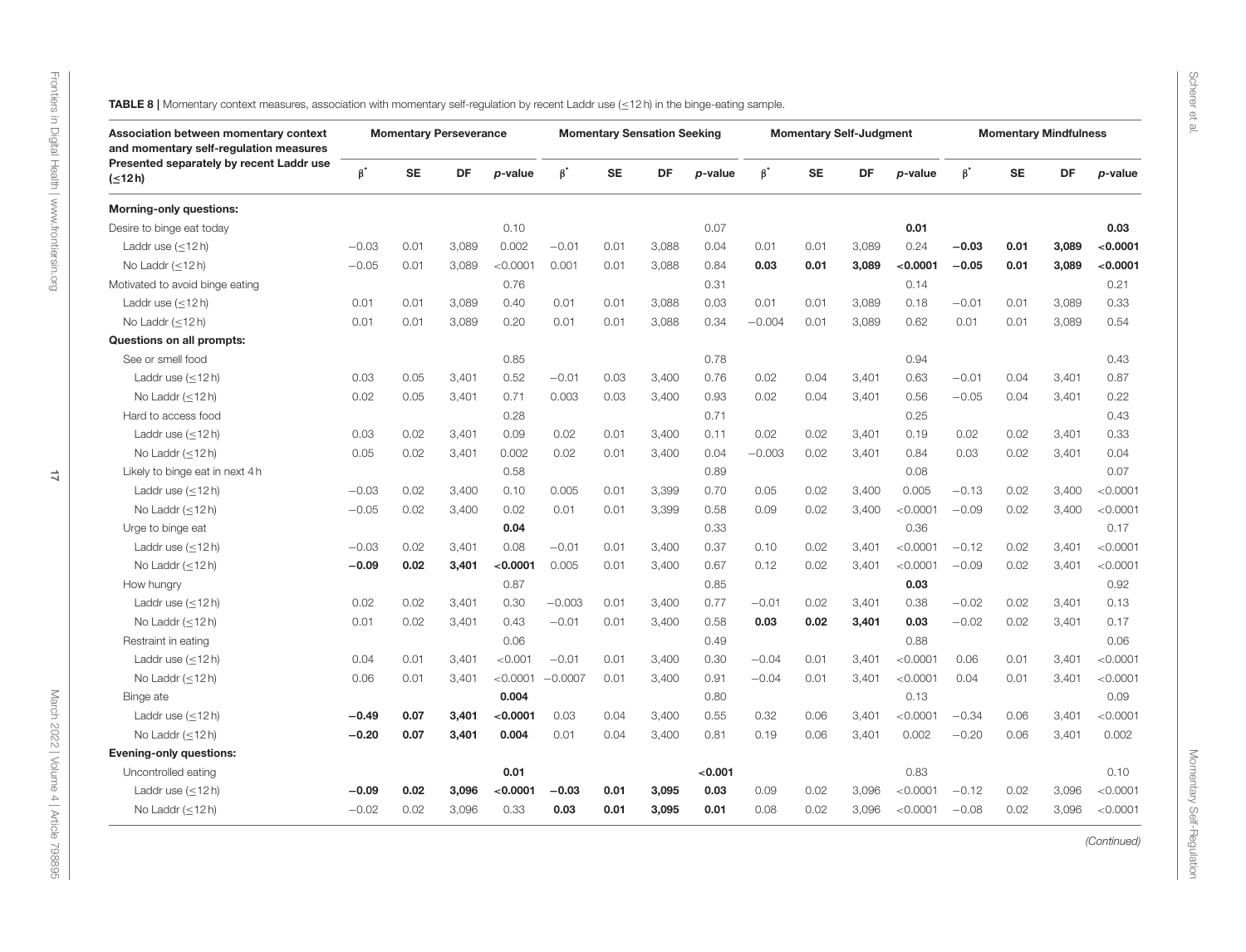<span id="page-16-0"></span>

| Association between momentary context<br>and momentary self-regulation measures |           |           | <b>Momentary Perseverance</b> |          |           |           | <b>Momentary Sensation Seeking</b> |         |           |           | <b>Momentary Self-Judgment</b> |          |           |           | <b>Momentary Mindfulness</b> |          |
|---------------------------------------------------------------------------------|-----------|-----------|-------------------------------|----------|-----------|-----------|------------------------------------|---------|-----------|-----------|--------------------------------|----------|-----------|-----------|------------------------------|----------|
| Presented separately by recent Laddr use<br>$($ $\leq$ 12 h)                    | $\beta^*$ | <b>SE</b> | DF                            | p-value  | $\beta^*$ | <b>SE</b> | DF                                 | p-value | $\beta^*$ | <b>SE</b> | DF                             | p-value  | $\beta^*$ | <b>SE</b> | DF                           | p-value  |
| <b>Morning-only questions:</b>                                                  |           |           |                               |          |           |           |                                    |         |           |           |                                |          |           |           |                              |          |
| Desire to binge eat today                                                       |           |           |                               | 0.10     |           |           |                                    | 0.07    |           |           |                                | 0.01     |           |           |                              | 0.03     |
| Laddr use $(<12 h)$                                                             | $-0.03$   | 0.01      | 3.089                         | 0.002    | $-0.01$   | 0.01      | 3.088                              | 0.04    | 0.01      | 0.01      | 3.089                          | 0.24     | $-0.03$   | 0.01      | 3.089                        | < 0.0001 |
| No Laddr $(\leq 12 h)$                                                          | $-0.05$   | 0.01      | 3,089                         | < 0.0001 | 0.001     | 0.01      | 3,088                              | 0.84    | 0.03      | 0.01      | 3,089                          | < 0.0001 | $-0.05$   | 0.01      | 3,089                        | < 0.0001 |
| Motivated to avoid binge eating                                                 |           |           |                               | 0.76     |           |           |                                    | 0.31    |           |           |                                | 0.14     |           |           |                              | 0.21     |
| Laddr use $(\leq 12 h)$                                                         | 0.01      | 0.01      | 3,089                         | 0.40     | 0.01      | 0.01      | 3,088                              | 0.03    | 0.01      | 0.01      | 3,089                          | 0.18     | $-0.01$   | 0.01      | 3,089                        | 0.33     |
| No Laddr $(<12 h)$                                                              | 0.01      | 0.01      | 3.089                         | 0.20     | 0.01      | 0.01      | 3,088                              | 0.34    | $-0.004$  | 0.01      | 3.089                          | 0.62     | 0.01      | 0.01      | 3.089                        | 0.54     |
| Questions on all prompts:                                                       |           |           |                               |          |           |           |                                    |         |           |           |                                |          |           |           |                              |          |
| See or smell food                                                               |           |           |                               | 0.85     |           |           |                                    | 0.78    |           |           |                                | 0.94     |           |           |                              | 0.43     |
| Laddr use $(\leq 12 h)$                                                         | 0.03      | 0.05      | 3,401                         | 0.52     | $-0.01$   | 0.03      | 3,400                              | 0.76    | 0.02      | 0.04      | 3,401                          | 0.63     | $-0.01$   | 0.04      | 3,401                        | 0.87     |
| No Laddr $(<12 h)$                                                              | 0.02      | 0.05      | 3,401                         | 0.71     | 0.003     | 0.03      | 3,400                              | 0.93    | 0.02      | 0.04      | 3,401                          | 0.56     | $-0.05$   | 0.04      | 3,401                        | 0.22     |
| Hard to access food                                                             |           |           |                               | 0.28     |           |           |                                    | 0.71    |           |           |                                | 0.25     |           |           |                              | 0.43     |
| Laddr use $(\leq 12 h)$                                                         | 0.03      | 0.02      | 3,401                         | 0.09     | 0.02      | 0.01      | 3,400                              | 0.11    | 0.02      | 0.02      | 3,401                          | 0.19     | 0.02      | 0.02      | 3,401                        | 0.33     |
| No Laddr $(\leq 12 h)$                                                          | 0.05      | 0.02      | 3,401                         | 0.002    | 0.02      | 0.01      | 3,400                              | 0.04    | $-0.003$  | 0.02      | 3.401                          | 0.84     | 0.03      | 0.02      | 3,401                        | 0.04     |
| Likely to binge eat in next 4 h                                                 |           |           |                               | 0.58     |           |           |                                    | 0.89    |           |           |                                | 0.08     |           |           |                              | 0.07     |
| Laddr use $(<12 h)$                                                             | $-0.03$   | 0.02      | 3.400                         | 0.10     | 0.005     | 0.01      | 3,399                              | 0.70    | 0.05      | 0.02      | 3,400                          | 0.005    | $-0.13$   | 0.02      | 3,400                        | < 0.0001 |
| No Laddr $(\leq 12 h)$                                                          | $-0.05$   | 0.02      | 3,400                         | 0.02     | 0.01      | 0.01      | 3,399                              | 0.58    | 0.09      | 0.02      | 3,400                          | < 0.0001 | $-0.09$   | 0.02      | 3,400                        | < 0.0001 |
| Urge to binge eat                                                               |           |           |                               | 0.04     |           |           |                                    | 0.33    |           |           |                                | 0.36     |           |           |                              | 0.17     |
| Laddr use $(\leq 12 h)$                                                         | $-0.03$   | 0.02      | 3,401                         | 0.08     | $-0.01$   | 0.01      | 3,400                              | 0.37    | 0.10      | 0.02      | 3,401                          | < 0.0001 | $-0.12$   | 0.02      | 3,401                        | < 0.0001 |
| No Laddr (<12h)                                                                 | $-0.09$   | 0.02      | 3,401                         | < 0.0001 | 0.005     | 0.01      | 3,400                              | 0.67    | 0.12      | 0.02      | 3,401                          | < 0.0001 | $-0.09$   | 0.02      | 3,401                        | < 0.0001 |
| How hungry                                                                      |           |           |                               | 0.87     |           |           |                                    | 0.85    |           |           |                                | 0.03     |           |           |                              | 0.92     |
| Laddr use $(\leq 12 h)$                                                         | 0.02      | 0.02      | 3,401                         | 0.30     | $-0.003$  | 0.01      | 3,400                              | 0.77    | $-0.01$   | 0.02      | 3,401                          | 0.38     | $-0.02$   | 0.02      | 3,401                        | 0.13     |
| No Laddr $(\leq 12 h)$                                                          | 0.01      | 0.02      | 3,401                         | 0.43     | $-0.01$   | 0.01      | 3,400                              | 0.58    | 0.03      | 0.02      | 3,401                          | 0.03     | $-0.02$   | 0.02      | 3,401                        | 0.17     |
| Restraint in eating                                                             |           |           |                               | 0.06     |           |           |                                    | 0.49    |           |           |                                | 0.88     |           |           |                              | 0.06     |
| Laddr use $(<12 h)$                                                             | 0.04      | 0.01      | 3,401                         | < 0.001  | $-0.01$   | 0.01      | 3,400                              | 0.30    | $-0.04$   | 0.01      | 3,401                          | < 0.0001 | 0.06      | 0.01      | 3.401                        | < 0.0001 |
| No Laddr $(\leq 12 h)$                                                          | 0.06      | 0.01      | 3,401                         | < 0.0001 | $-0.0007$ | 0.01      | 3,400                              | 0.91    | $-0.04$   | 0.01      | 3,401                          | < 0.0001 | 0.04      | 0.01      | 3,401                        | < 0.0001 |
| Binge ate                                                                       |           |           |                               | 0.004    |           |           |                                    | 0.80    |           |           |                                | 0.13     |           |           |                              | 0.09     |
| Laddr use $(\leq 12 h)$                                                         | $-0.49$   | 0.07      | 3,401                         | < 0.0001 | 0.03      | 0.04      | 3,400                              | 0.55    | 0.32      | 0.06      | 3,401                          | < 0.0001 | $-0.34$   | 0.06      | 3,401                        | < 0.0001 |
| No Laddr (<12h)                                                                 | $-0.20$   | 0.07      | 3,401                         | 0.004    | 0.01      | 0.04      | 3,400                              | 0.81    | 0.19      | 0.06      | 3,401                          | 0.002    | $-0.20$   | 0.06      | 3,401                        | 0.002    |
| <b>Evening-only questions:</b>                                                  |           |           |                               |          |           |           |                                    |         |           |           |                                |          |           |           |                              |          |
| Uncontrolled eating                                                             |           |           |                               | 0.01     |           |           |                                    | < 0.001 |           |           |                                | 0.83     |           |           |                              | 0.10     |
| Laddr use $(\leq 12 h)$                                                         | $-0.09$   | 0.02      | 3,096                         | < 0.0001 | $-0.03$   | 0.01      | 3,095                              | 0.03    | 0.09      | 0.02      | 3,096                          | < 0.0001 | $-0.12$   | 0.02      | 3,096                        | < 0.0001 |
| No Laddr $(\leq 12 h)$                                                          | $-0.02$   | 0.02      | 3,096                         | 0.33     | 0.03      | 0.01      | 3,095                              | 0.01    | 0.08      | 0.02      | 3,096                          | < 0.0001 | $-0.08$   | 0.02      | 3,096                        | < 0.0001 |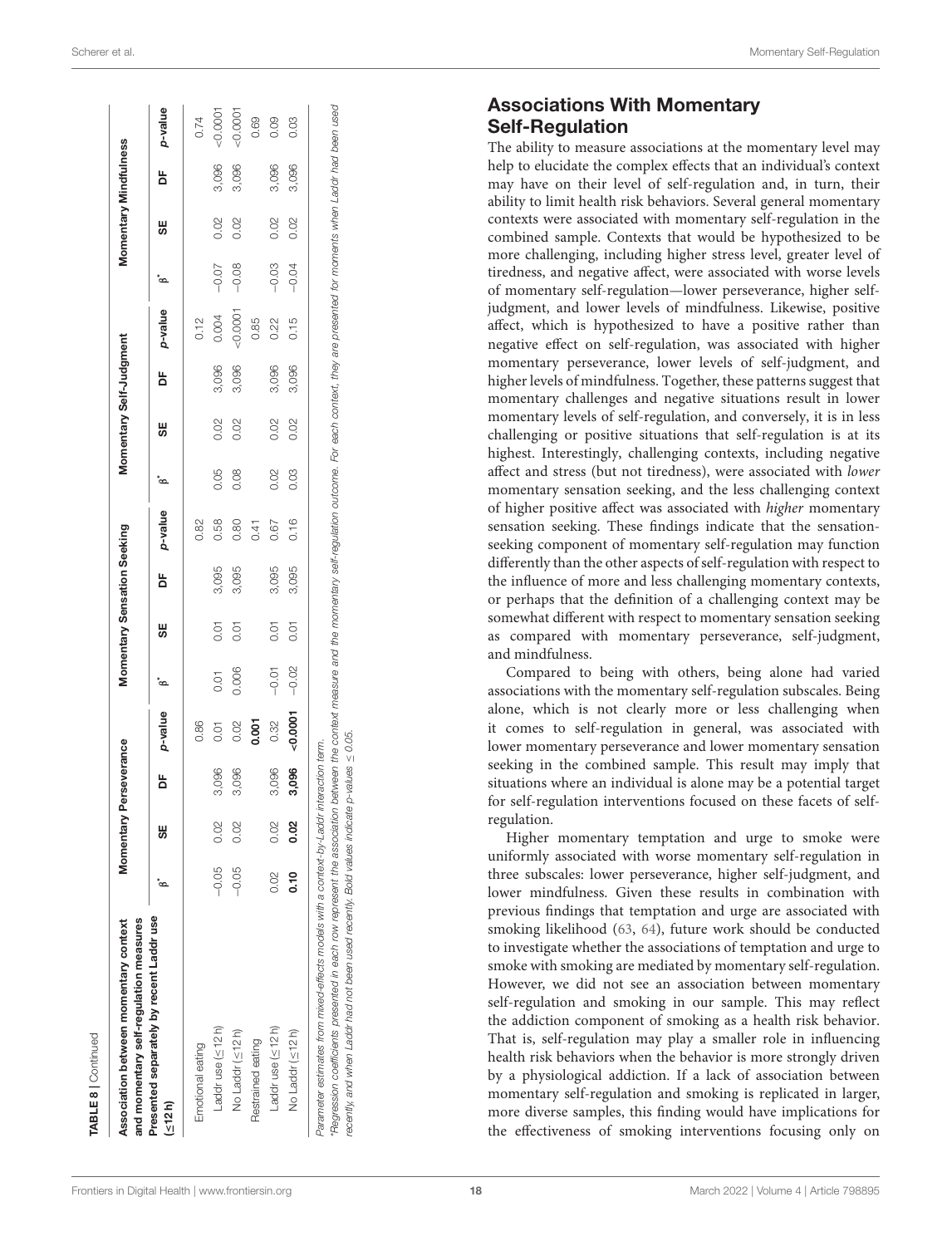| $\alpha$ |
|----------|
|          |
|          |
|          |
|          |
|          |

| and momentary self-regulation measures<br>Association between momentary context |         | Momentary Pe | rseverance |         |         |      | Momentary Sensation Seeking |         |      | Momentary Self-Judgment |       |           |         | Momentary Mindfulness |       |         |
|---------------------------------------------------------------------------------|---------|--------------|------------|---------|---------|------|-----------------------------|---------|------|-------------------------|-------|-----------|---------|-----------------------|-------|---------|
| Presented separately by recent Laddr use<br>(512h)                              |         | 5            | ă          | p-value | ്ര      | 5€   | ă                           | p-value | ്ര   | 5€                      | ă     | p-value   | ്ര      | 5€                    | ă     | p-value |
| Emotional eating                                                                |         |              |            | 0.86    |         |      |                             | 0.82    |      |                         |       | 0.12      |         |                       |       | 0.74    |
| Laddruse (≤12h)                                                                 | $-0.05$ | 0.02         | 3,096      | 0.01    | 0.01    | 0.01 | 3,095                       | 0.58    | 0.05 | 0.02                    | 3,096 | 0.004     | $-0.07$ | 0.02                  | 3,096 | 50.0001 |
| No Laddr (<12h)                                                                 | $-0.05$ | 0.02         | 3,096      | 0.02    | 0.006   | 0.01 | 3,095                       | 0.80    | 0.08 | 0.02                    | 3,096 | $-0.0001$ | $-0.08$ | 0.02                  | 3,096 | 0.0001  |
| Restrained eating                                                               |         |              |            | 0.001   |         |      |                             | 0.41    |      |                         |       | 0.85      |         |                       |       | 0.69    |
| Laddruse (<12h)                                                                 | 0.02    | 0.02         | 3,096      | 0.32    | $-0.01$ | 0.01 | 3,095                       | 0.67    | 0.02 | 0.02                    | 3,096 | 0.22      | $-0.03$ | 0.02                  | 3,096 | 0.09    |
| No Laddr (≤12h)                                                                 | 0.10    | 0.02         | 3,096      | 0.0007  | $-0.02$ | 0.01 | 3,095                       | 0.16    | 0.03 | 0.02                    | 3,096 | 0.15      | $-0.04$ | 0.02                  | 3,096 | 0.03    |

recently, and when Laddr had not been used recently. Bold values indicate p-values  $\leq$  0.05. recently, and when Laddr had not been used recently. Bold values indicate p-values  $\leq$  0.05

# Associations With Momentary Self-Regulation

The ability to measure associations at the momentary level may help to elucidate the complex effects that an individual's context may have on their level of self-regulation and, in turn, their ability to limit health risk behaviors. Several general momentary contexts were associated with momentary self-regulation in the combined sample. Contexts that would be hypothesized to be more challenging, including higher stress level, greater level of tiredness, and negative affect, were associated with worse levels of momentary self-regulation—lower perseverance, higher selfjudgment, and lower levels of mindfulness. Likewise, positive affect, which is hypothesized to have a positive rather than negative effect on self-regulation, was associated with higher momentary perseverance, lower levels of self-judgment, and higher levels of mindfulness. Together, these patterns suggest that momentary challenges and negative situations result in lower momentary levels of self-regulation, and conversely, it is in less challenging or positive situations that self-regulation is at its highest. Interestingly, challenging contexts, including negative affect and stress (but not tiredness), were associated with lower momentary sensation seeking, and the less challenging context of higher positive affect was associated with higher momentary sensation seeking. These findings indicate that the sensationseeking component of momentary self-regulation may function differently than the other aspects of self-regulation with respect to the influence of more and less challenging momentary contexts, or perhaps that the definition of a challenging context may be somewhat different with respect to momentary sensation seeking as compared with momentary perseverance, self-judgment, and mindfulness.

Compared to being with others, being alone had varied associations with the momentary self-regulation subscales. Being alone, which is not clearly more or less challenging when it comes to self-regulation in general, was associated with lower momentary perseverance and lower momentary sensation seeking in the combined sample. This result may imply that situations where an individual is alone may be a potential target for self-regulation interventions focused on these facets of selfregulation.

Higher momentary temptation and urge to smoke were uniformly associated with worse momentary self-regulation in three subscales: lower perseverance, higher self-judgment, and lower mindfulness. Given these results in combination with previous findings that temptation and urge are associated with smoking likelihood [\(63,](#page-21-6) [64\)](#page-21-7), future work should be conducted to investigate whether the associations of temptation and urge to smoke with smoking are mediated by momentary self-regulation. However, we did not see an association between momentary self-regulation and smoking in our sample. This may reflect the addiction component of smoking as a health risk behavior. That is, self-regulation may play a smaller role in influencing health risk behaviors when the behavior is more strongly driven by a physiological addiction. If a lack of association between momentary self-regulation and smoking is replicated in larger, more diverse samples, this finding would have implications for the effectiveness of smoking interventions focusing only on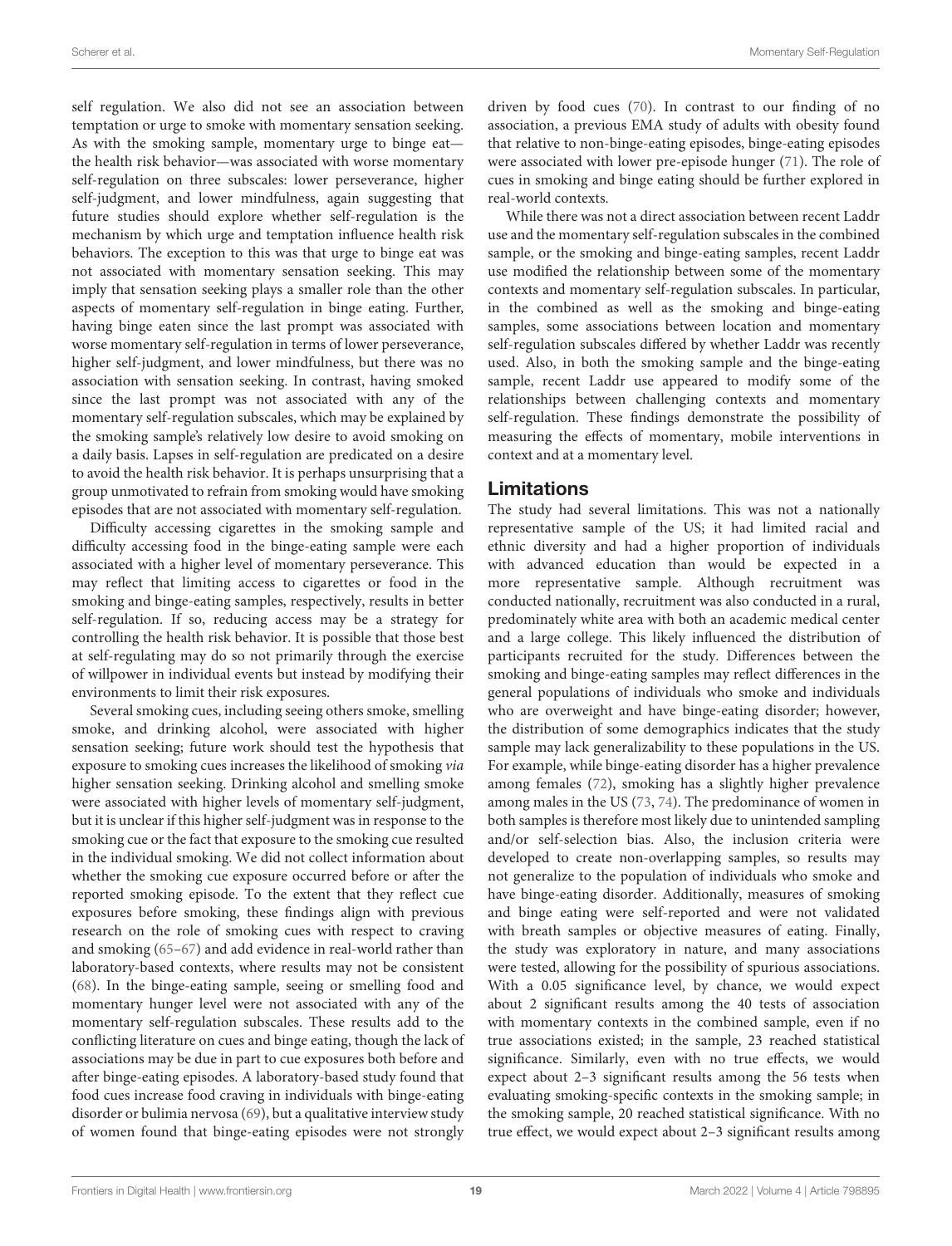self regulation. We also did not see an association between temptation or urge to smoke with momentary sensation seeking. As with the smoking sample, momentary urge to binge eat the health risk behavior—was associated with worse momentary self-regulation on three subscales: lower perseverance, higher self-judgment, and lower mindfulness, again suggesting that future studies should explore whether self-regulation is the mechanism by which urge and temptation influence health risk behaviors. The exception to this was that urge to binge eat was not associated with momentary sensation seeking. This may imply that sensation seeking plays a smaller role than the other aspects of momentary self-regulation in binge eating. Further, having binge eaten since the last prompt was associated with worse momentary self-regulation in terms of lower perseverance, higher self-judgment, and lower mindfulness, but there was no association with sensation seeking. In contrast, having smoked since the last prompt was not associated with any of the momentary self-regulation subscales, which may be explained by the smoking sample's relatively low desire to avoid smoking on a daily basis. Lapses in self-regulation are predicated on a desire to avoid the health risk behavior. It is perhaps unsurprising that a group unmotivated to refrain from smoking would have smoking episodes that are not associated with momentary self-regulation.

Difficulty accessing cigarettes in the smoking sample and difficulty accessing food in the binge-eating sample were each associated with a higher level of momentary perseverance. This may reflect that limiting access to cigarettes or food in the smoking and binge-eating samples, respectively, results in better self-regulation. If so, reducing access may be a strategy for controlling the health risk behavior. It is possible that those best at self-regulating may do so not primarily through the exercise of willpower in individual events but instead by modifying their environments to limit their risk exposures.

Several smoking cues, including seeing others smoke, smelling smoke, and drinking alcohol, were associated with higher sensation seeking; future work should test the hypothesis that exposure to smoking cues increases the likelihood of smoking via higher sensation seeking. Drinking alcohol and smelling smoke were associated with higher levels of momentary self-judgment, but it is unclear if this higher self-judgment was in response to the smoking cue or the fact that exposure to the smoking cue resulted in the individual smoking. We did not collect information about whether the smoking cue exposure occurred before or after the reported smoking episode. To the extent that they reflect cue exposures before smoking, these findings align with previous research on the role of smoking cues with respect to craving and smoking [\(65–](#page-21-8)[67\)](#page-21-9) and add evidence in real-world rather than laboratory-based contexts, where results may not be consistent [\(68\)](#page-21-10). In the binge-eating sample, seeing or smelling food and momentary hunger level were not associated with any of the momentary self-regulation subscales. These results add to the conflicting literature on cues and binge eating, though the lack of associations may be due in part to cue exposures both before and after binge-eating episodes. A laboratory-based study found that food cues increase food craving in individuals with binge-eating disorder or bulimia nervosa [\(69\)](#page-21-11), but a qualitative interview study of women found that binge-eating episodes were not strongly driven by food cues [\(70\)](#page-21-12). In contrast to our finding of no association, a previous EMA study of adults with obesity found that relative to non-binge-eating episodes, binge-eating episodes were associated with lower pre-episode hunger [\(71\)](#page-21-13). The role of cues in smoking and binge eating should be further explored in real-world contexts.

While there was not a direct association between recent Laddr use and the momentary self-regulation subscales in the combined sample, or the smoking and binge-eating samples, recent Laddr use modified the relationship between some of the momentary contexts and momentary self-regulation subscales. In particular, in the combined as well as the smoking and binge-eating samples, some associations between location and momentary self-regulation subscales differed by whether Laddr was recently used. Also, in both the smoking sample and the binge-eating sample, recent Laddr use appeared to modify some of the relationships between challenging contexts and momentary self-regulation. These findings demonstrate the possibility of measuring the effects of momentary, mobile interventions in context and at a momentary level.

## Limitations

The study had several limitations. This was not a nationally representative sample of the US; it had limited racial and ethnic diversity and had a higher proportion of individuals with advanced education than would be expected in a more representative sample. Although recruitment was conducted nationally, recruitment was also conducted in a rural, predominately white area with both an academic medical center and a large college. This likely influenced the distribution of participants recruited for the study. Differences between the smoking and binge-eating samples may reflect differences in the general populations of individuals who smoke and individuals who are overweight and have binge-eating disorder; however, the distribution of some demographics indicates that the study sample may lack generalizability to these populations in the US. For example, while binge-eating disorder has a higher prevalence among females [\(72\)](#page-21-14), smoking has a slightly higher prevalence among males in the US [\(73,](#page-21-15) [74\)](#page-21-16). The predominance of women in both samples is therefore most likely due to unintended sampling and/or self-selection bias. Also, the inclusion criteria were developed to create non-overlapping samples, so results may not generalize to the population of individuals who smoke and have binge-eating disorder. Additionally, measures of smoking and binge eating were self-reported and were not validated with breath samples or objective measures of eating. Finally, the study was exploratory in nature, and many associations were tested, allowing for the possibility of spurious associations. With a 0.05 significance level, by chance, we would expect about 2 significant results among the 40 tests of association with momentary contexts in the combined sample, even if no true associations existed; in the sample, 23 reached statistical significance. Similarly, even with no true effects, we would expect about 2–3 significant results among the 56 tests when evaluating smoking-specific contexts in the smoking sample; in the smoking sample, 20 reached statistical significance. With no true effect, we would expect about 2–3 significant results among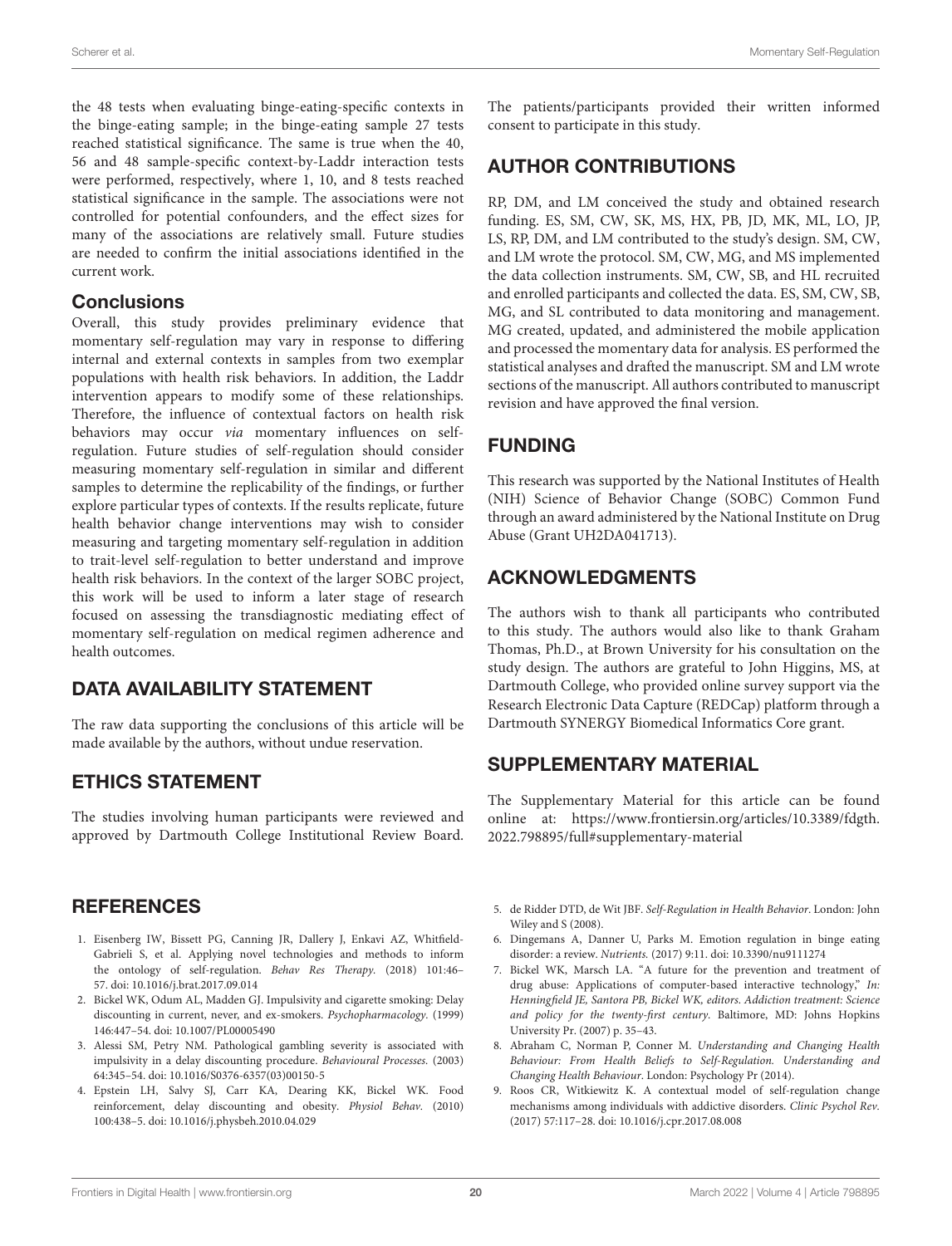the 48 tests when evaluating binge-eating-specific contexts in the binge-eating sample; in the binge-eating sample 27 tests reached statistical significance. The same is true when the 40, 56 and 48 sample-specific context-by-Laddr interaction tests were performed, respectively, where 1, 10, and 8 tests reached statistical significance in the sample. The associations were not controlled for potential confounders, and the effect sizes for many of the associations are relatively small. Future studies are needed to confirm the initial associations identified in the current work.

#### **Conclusions**

Overall, this study provides preliminary evidence that momentary self-regulation may vary in response to differing internal and external contexts in samples from two exemplar populations with health risk behaviors. In addition, the Laddr intervention appears to modify some of these relationships. Therefore, the influence of contextual factors on health risk behaviors may occur via momentary influences on selfregulation. Future studies of self-regulation should consider measuring momentary self-regulation in similar and different samples to determine the replicability of the findings, or further explore particular types of contexts. If the results replicate, future health behavior change interventions may wish to consider measuring and targeting momentary self-regulation in addition to trait-level self-regulation to better understand and improve health risk behaviors. In the context of the larger SOBC project, this work will be used to inform a later stage of research focused on assessing the transdiagnostic mediating effect of momentary self-regulation on medical regimen adherence and health outcomes.

## DATA AVAILABILITY STATEMENT

The raw data supporting the conclusions of this article will be made available by the authors, without undue reservation.

## ETHICS STATEMENT

The studies involving human participants were reviewed and approved by Dartmouth College Institutional Review Board.

## **REFERENCES**

- <span id="page-19-0"></span>1. Eisenberg IW, Bissett PG, Canning JR, Dallery J, Enkavi AZ, Whitfield-Gabrieli S, et al. Applying novel technologies and methods to inform the ontology of self-regulation. Behav Res Therapy. (2018) 101:46– 57. doi: [10.1016/j.brat.2017.09.014](https://doi.org/10.1016/j.brat.2017.09.014)
- <span id="page-19-1"></span>2. Bickel WK, Odum AL, Madden GJ. Impulsivity and cigarette smoking: Delay discounting in current, never, and ex-smokers. Psychopharmacology. (1999) 146:447–54. doi: [10.1007/PL00005490](https://doi.org/10.1007/PL00005490)
- 3. Alessi SM, Petry NM. Pathological gambling severity is associated with impulsivity in a delay discounting procedure. Behavioural Processes. (2003) 64:345–54. doi: [10.1016/S0376-6357\(03\)00150-5](https://doi.org/10.1016/S0376-6357(03)00150-5)
- 4. Epstein LH, Salvy SJ, Carr KA, Dearing KK, Bickel WK. Food reinforcement, delay discounting and obesity. Physiol Behav. (2010) 100:438–5. doi: [10.1016/j.physbeh.2010.04.029](https://doi.org/10.1016/j.physbeh.2010.04.029)

The patients/participants provided their written informed consent to participate in this study.

## AUTHOR CONTRIBUTIONS

RP, DM, and LM conceived the study and obtained research funding. ES, SM, CW, SK, MS, HX, PB, JD, MK, ML, LO, JP, LS, RP, DM, and LM contributed to the study's design. SM, CW, and LM wrote the protocol. SM, CW, MG, and MS implemented the data collection instruments. SM, CW, SB, and HL recruited and enrolled participants and collected the data. ES, SM, CW, SB, MG, and SL contributed to data monitoring and management. MG created, updated, and administered the mobile application and processed the momentary data for analysis. ES performed the statistical analyses and drafted the manuscript. SM and LM wrote sections of the manuscript. All authors contributed to manuscript revision and have approved the final version.

# FUNDING

This research was supported by the National Institutes of Health (NIH) Science of Behavior Change (SOBC) Common Fund through an award administered by the National Institute on Drug Abuse (Grant UH2DA041713).

## ACKNOWLEDGMENTS

The authors wish to thank all participants who contributed to this study. The authors would also like to thank Graham Thomas, Ph.D., at Brown University for his consultation on the study design. The authors are grateful to John Higgins, MS, at Dartmouth College, who provided online survey support via the Research Electronic Data Capture (REDCap) platform through a Dartmouth SYNERGY Biomedical Informatics Core grant.

## SUPPLEMENTARY MATERIAL

<span id="page-19-6"></span>The Supplementary Material for this article can be found [online at: https://www.frontiersin.org/articles/10.3389/fdgth.](https://www.frontiersin.org/articles/10.3389/fdgth.2022.798895/full#supplementary-material) 2022.798895/full#supplementary-material

- 5. de Ridder DTD, de Wit JBF. Self-Regulation in Health Behavior. London: John Wiley and S (2008).
- <span id="page-19-2"></span>6. Dingemans A, Danner U, Parks M. Emotion regulation in binge eating disorder: a review. Nutrients. (2017) 9:11. doi: [10.3390/nu9111274](https://doi.org/10.3390/nu9111274)
- <span id="page-19-3"></span>7. Bickel WK, Marsch LA. "A future for the prevention and treatment of drug abuse: Applications of computer-based interactive technology," In: Henningfield JE, Santora PB, Bickel WK, editors. Addiction treatment: Science and policy for the twenty-first century. Baltimore, MD: Johns Hopkins University Pr. (2007) p. 35–43.
- <span id="page-19-4"></span>8. Abraham C, Norman P, Conner M. Understanding and Changing Health Behaviour: From Health Beliefs to Self-Regulation. Understanding and Changing Health Behaviour. London: Psychology Pr (2014).
- <span id="page-19-5"></span>9. Roos CR, Witkiewitz K. A contextual model of self-regulation change mechanisms among individuals with addictive disorders. Clinic Psychol Rev. (2017) 57:117–28. doi: [10.1016/j.cpr.2017.08.008](https://doi.org/10.1016/j.cpr.2017.08.008)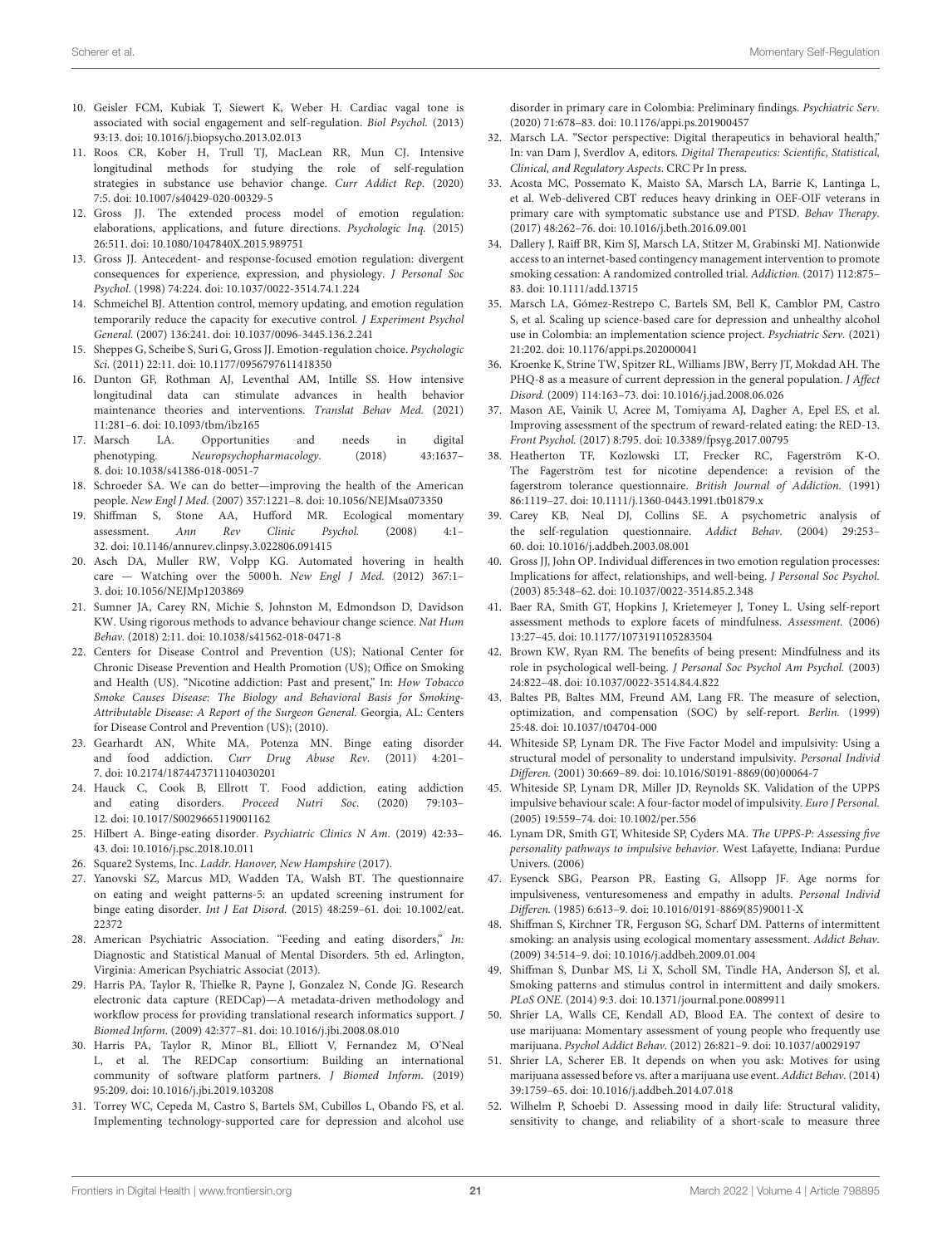- <span id="page-20-0"></span>10. Geisler FCM, Kubiak T, Siewert K, Weber H. Cardiac vagal tone is associated with social engagement and self-regulation. Biol Psychol. (2013) 93:13. doi: [10.1016/j.biopsycho.2013.02.013](https://doi.org/10.1016/j.biopsycho.2013.02.013)
- <span id="page-20-1"></span>11. Roos CR, Kober H, Trull TJ, MacLean RR, Mun CJ. Intensive longitudinal methods for studying the role of self-regulation strategies in substance use behavior change. Curr Addict Rep. (2020) 7:5. doi: [10.1007/s40429-020-00329-5](https://doi.org/10.1007/s40429-020-00329-5)
- <span id="page-20-2"></span>12. Gross JJ. The extended process model of emotion regulation: elaborations, applications, and future directions. Psychologic Inq. (2015) 26:511. doi: [10.1080/1047840X.2015.989751](https://doi.org/10.1080/1047840X.2015.989751)
- <span id="page-20-3"></span>13. Gross JJ. Antecedent- and response-focused emotion regulation: divergent consequences for experience, expression, and physiology. J Personal Soc Psychol. (1998) 74:224. doi: [10.1037/0022-3514.74.1.224](https://doi.org/10.1037/0022-3514.74.1.224)
- 14. Schmeichel BJ. Attention control, memory updating, and emotion regulation temporarily reduce the capacity for executive control. J Experiment Psychol General. (2007) 136:241. doi: [10.1037/0096-3445.136.2.241](https://doi.org/10.1037/0096-3445.136.2.241)
- <span id="page-20-4"></span>15. Sheppes G, Scheibe S, Suri G, Gross JJ. Emotion-regulation choice. Psychologic Sci. (2011) 22:11. doi: [10.1177/0956797611418350](https://doi.org/10.1177/0956797611418350)
- <span id="page-20-5"></span>16. Dunton GF, Rothman AJ, Leventhal AM, Intille SS. How intensive longitudinal data can stimulate advances in health behavior maintenance theories and interventions. Translat Behav Med. (2021) 11:281–6. doi: [10.1093/tbm/ibz165](https://doi.org/10.1093/tbm/ibz165)
- <span id="page-20-6"></span>17. Marsch LA. Opportunities and needs in digital phenotyping. Neuropsychopharmacology. (2018) 43:1637– 8. doi: [10.1038/s41386-018-0051-7](https://doi.org/10.1038/s41386-018-0051-7)
- <span id="page-20-7"></span>18. Schroeder SA. We can do better—improving the health of the American people. New Engl J Med. (2007) 357:1221–8. doi: [10.1056/NEJMsa073350](https://doi.org/10.1056/NEJMsa073350)
- <span id="page-20-8"></span>19. Shiffman S, Stone AA, Hufford MR. Ecological momentary assessment. Ann Rev Clinic Psychol. (2008) 4:1– 32. doi: [10.1146/annurev.clinpsy.3.022806.091415](https://doi.org/10.1146/annurev.clinpsy.3.022806.091415)
- <span id="page-20-9"></span>20. Asch DA, Muller RW, Volpp KG. Automated hovering in health care - Watching over the 5000 h. New Engl J Med. (2012) 367:1-3. doi: [10.1056/NEJMp1203869](https://doi.org/10.1056/NEJMp1203869)
- <span id="page-20-10"></span>21. Sumner JA, Carey RN, Michie S, Johnston M, Edmondson D, Davidson KW. Using rigorous methods to advance behaviour change science. Nat Hum Behav. (2018) 2:11. doi: [10.1038/s41562-018-0471-8](https://doi.org/10.1038/s41562-018-0471-8)
- <span id="page-20-11"></span>22. Centers for Disease Control and Prevention (US); National Center for Chronic Disease Prevention and Health Promotion (US); Office on Smoking and Health (US). "Nicotine addiction: Past and present," In: How Tobacco Smoke Causes Disease: The Biology and Behavioral Basis for Smoking-Attributable Disease: A Report of the Surgeon General. Georgia, AL: Centers for Disease Control and Prevention (US); (2010).
- <span id="page-20-12"></span>23. Gearhardt AN, White MA, Potenza MN. Binge eating disorder and food addiction. Curr Drug Abuse Rev. (2011) 4:201– 7. doi: [10.2174/1874473711104030201](https://doi.org/10.2174/1874473711104030201)
- <span id="page-20-13"></span>24. Hauck C, Cook B, Ellrott T. Food addiction, eating addiction and eating disorders. Proceed Nutri Soc. (2020) 79:103– 12. doi: [10.1017/S0029665119001162](https://doi.org/10.1017/S0029665119001162)
- <span id="page-20-14"></span>25. Hilbert A. Binge-eating disorder. Psychiatric Clinics N Am. (2019) 42:33– 43. doi: [10.1016/j.psc.2018.10.011](https://doi.org/10.1016/j.psc.2018.10.011)
- <span id="page-20-15"></span>26. Square2 Systems, Inc. Laddr. Hanover, New Hampshire (2017).
- <span id="page-20-16"></span>27. Yanovski SZ, Marcus MD, Wadden TA, Walsh BT. The questionnaire on eating and weight patterns-5: an updated screening instrument for binge eating disorder. Int J Eat Disord. [\(2015\) 48:259–61. doi: 10.1002/eat.](https://doi.org/10.1002/eat.22372) 22372
- <span id="page-20-17"></span>28. American Psychiatric Association. "Feeding and eating disorders," In: Diagnostic and Statistical Manual of Mental Disorders. 5th ed. Arlington, Virginia: American Psychiatric Associat (2013).
- <span id="page-20-18"></span>29. Harris PA, Taylor R, Thielke R, Payne J, Gonzalez N, Conde JG. Research electronic data capture (REDCap)—A metadata-driven methodology and workflow process for providing translational research informatics support. J Biomed Inform. (2009) 42:377–81. doi: [10.1016/j.jbi.2008.08.010](https://doi.org/10.1016/j.jbi.2008.08.010)
- <span id="page-20-19"></span>30. Harris PA, Taylor R, Minor BL, Elliott V, Fernandez M, O'Neal L, et al. The REDCap consortium: Building an international community of software platform partners. J Biomed Inform. (2019) 95:209. doi: [10.1016/j.jbi.2019.103208](https://doi.org/10.1016/j.jbi.2019.103208)
- <span id="page-20-20"></span>31. Torrey WC, Cepeda M, Castro S, Bartels SM, Cubillos L, Obando FS, et al. Implementing technology-supported care for depression and alcohol use

disorder in primary care in Colombia: Preliminary findings. Psychiatric Serv. (2020) 71:678–83. doi: [10.1176/appi.ps.201900457](https://doi.org/10.1176/appi.ps.201900457)

- 32. Marsch LA. "Sector perspective: Digital therapeutics in behavioral health," In: van Dam J, Sverdlov A, editors. Digital Therapeutics: Scientific, Statistical, Clinical, and Regulatory Aspects. CRC Pr In press.
- 33. Acosta MC, Possemato K, Maisto SA, Marsch LA, Barrie K, Lantinga L, et al. Web-delivered CBT reduces heavy drinking in OEF-OIF veterans in primary care with symptomatic substance use and PTSD. Behav Therapy. (2017) 48:262–76. doi: [10.1016/j.beth.2016.09.001](https://doi.org/10.1016/j.beth.2016.09.001)
- 34. Dallery J, Raiff BR, Kim SJ, Marsch LA, Stitzer M, Grabinski MJ. Nationwide access to an internet-based contingency management intervention to promote smoking cessation: A randomized controlled trial. Addiction. (2017) 112:875– 83. doi: [10.1111/add.13715](https://doi.org/10.1111/add.13715)
- <span id="page-20-21"></span>35. Marsch LA, Gómez-Restrepo C, Bartels SM, Bell K, Camblor PM, Castro S, et al. Scaling up science-based care for depression and unhealthy alcohol use in Colombia: an implementation science project. Psychiatric Serv. (2021) 21:202. doi: [10.1176/appi.ps.202000041](https://doi.org/10.1176/appi.ps.202000041)
- <span id="page-20-22"></span>36. Kroenke K, Strine TW, Spitzer RL, Williams JBW, Berry JT, Mokdad AH. The PHQ-8 as a measure of current depression in the general population. J Affect Disord. (2009) 114:163–73. doi: [10.1016/j.jad.2008.06.026](https://doi.org/10.1016/j.jad.2008.06.026)
- <span id="page-20-23"></span>37. Mason AE, Vainik U, Acree M, Tomiyama AJ, Dagher A, Epel ES, et al. Improving assessment of the spectrum of reward-related eating: the RED-13. Front Psychol. (2017) 8:795. doi: [10.3389/fpsyg.2017.00795](https://doi.org/10.3389/fpsyg.2017.00795)
- <span id="page-20-24"></span>38. Heatherton TF, Kozlowski LT, Frecker RC, Fagerström K-O. The Fagerström test for nicotine dependence: a revision of the fagerstrom tolerance questionnaire. British Journal of Addiction. (1991) 86:1119–27. doi: [10.1111/j.1360-0443.1991.tb01879.x](https://doi.org/10.1111/j.1360-0443.1991.tb01879.x)
- <span id="page-20-25"></span>39. Carey KB, Neal DJ, Collins SE. A psychometric analysis of the self-regulation questionnaire. Addict Behav. (2004) 29:253– 60. doi: [10.1016/j.addbeh.2003.08.001](https://doi.org/10.1016/j.addbeh.2003.08.001)
- <span id="page-20-26"></span>40. Gross JJ, John OP. Individual differences in two emotion regulation processes: Implications for affect, relationships, and well-being. J Personal Soc Psychol. (2003) 85:348–62. doi: [10.1037/0022-3514.85.2.348](https://doi.org/10.1037/0022-3514.85.2.348)
- <span id="page-20-27"></span>41. Baer RA, Smith GT, Hopkins J, Krietemeyer J, Toney L. Using self-report assessment methods to explore facets of mindfulness. Assessment. (2006) 13:27–45. doi: [10.1177/1073191105283504](https://doi.org/10.1177/1073191105283504)
- <span id="page-20-28"></span>42. Brown KW, Ryan RM. The benefits of being present: Mindfulness and its role in psychological well-being. J Personal Soc Psychol Am Psychol. (2003) 24:822–48. doi: [10.1037/0022-3514.84.4.822](https://doi.org/10.1037/0022-3514.84.4.822)
- <span id="page-20-29"></span>43. Baltes PB, Baltes MM, Freund AM, Lang FR. The measure of selection, optimization, and compensation (SOC) by self-report. Berlin. (1999) 25:48. doi: [10.1037/t04704-000](https://doi.org/10.1037/t04704-000)
- <span id="page-20-30"></span>44. Whiteside SP, Lynam DR. The Five Factor Model and impulsivity: Using a structural model of personality to understand impulsivity. Personal Individ Differen. (2001) 30:669–89. doi: [10.1016/S0191-8869\(00\)00064-7](https://doi.org/10.1016/S0191-8869(00)00064-7)
- 45. Whiteside SP, Lynam DR, Miller JD, Reynolds SK. Validation of the UPPS impulsive behaviour scale: A four-factor model of impulsivity. Euro J Personal. (2005) 19:559–74. doi: [10.1002/per.556](https://doi.org/10.1002/per.556)
- <span id="page-20-31"></span>46. Lynam DR, Smith GT, Whiteside SP, Cyders MA. The UPPS-P: Assessing five personality pathways to impulsive behavior. West Lafayette, Indiana: Purdue Univers. (2006)
- <span id="page-20-32"></span>47. Eysenck SBG, Pearson PR, Easting G, Allsopp JF. Age norms for impulsiveness, venturesomeness and empathy in adults. Personal Individ Differen. (1985) 6:613–9. doi: [10.1016/0191-8869\(85\)90011-X](https://doi.org/10.1016/0191-8869(85)90011-X)
- <span id="page-20-33"></span>48. Shiffman S, Kirchner TR, Ferguson SG, Scharf DM. Patterns of intermittent smoking: an analysis using ecological momentary assessment. Addict Behav. (2009) 34:514–9. doi: [10.1016/j.addbeh.2009.01.004](https://doi.org/10.1016/j.addbeh.2009.01.004)
- <span id="page-20-36"></span>49. Shiffman S, Dunbar MS, Li X, Scholl SM, Tindle HA, Anderson SJ, et al. Smoking patterns and stimulus control in intermittent and daily smokers. PLoS ONE. (2014) 9:3. doi: [10.1371/journal.pone.0089911](https://doi.org/10.1371/journal.pone.0089911)
- 50. Shrier LA, Walls CE, Kendall AD, Blood EA. The context of desire to use marijuana: Momentary assessment of young people who frequently use marijuana. Psychol Addict Behav. (2012) 26:821–9. doi: [10.1037/a0029197](https://doi.org/10.1037/a0029197)
- <span id="page-20-34"></span>51. Shrier LA, Scherer EB. It depends on when you ask: Motives for using marijuana assessed before vs. after a marijuana use event. Addict Behav. (2014) 39:1759–65. doi: [10.1016/j.addbeh.2014.07.018](https://doi.org/10.1016/j.addbeh.2014.07.018)
- <span id="page-20-35"></span>52. Wilhelm P, Schoebi D. Assessing mood in daily life: Structural validity, sensitivity to change, and reliability of a short-scale to measure three